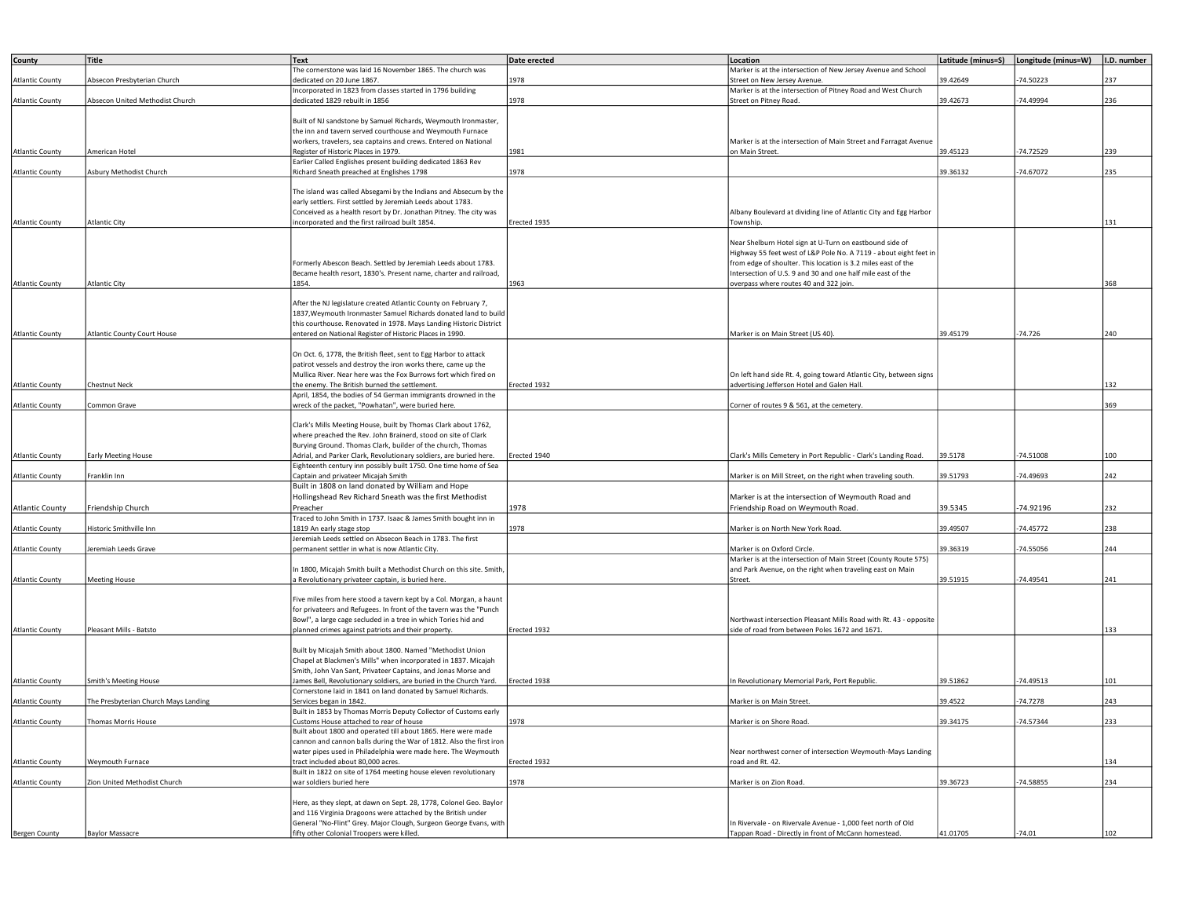| County                 | <b>Title</b>                         | Text                                                                | Date erected | Location                                                           | Latitude (minus=S) | Longitude (minus=W) | I.D. number |
|------------------------|--------------------------------------|---------------------------------------------------------------------|--------------|--------------------------------------------------------------------|--------------------|---------------------|-------------|
|                        |                                      | The cornerstone was laid 16 November 1865. The church was           |              |                                                                    |                    |                     |             |
|                        |                                      |                                                                     |              | Marker is at the intersection of New Jersey Avenue and School      |                    |                     |             |
| <b>Atlantic County</b> | Absecon Presbyterian Church          | dedicated on 20 June 1867.                                          | 1978         | Street on New Jersey Avenue.                                       | 39.42649           | $-74.50223$         | 237         |
|                        |                                      | Incorporated in 1823 from classes started in 1796 building          |              | Marker is at the intersection of Pitney Road and West Church       |                    |                     |             |
| <b>Atlantic County</b> | Absecon United Methodist Church      | dedicated 1829 rebuilt in 1856                                      | 1978         | Street on Pitney Road.                                             | 39.42673           | -74.49994           | 236         |
|                        |                                      |                                                                     |              |                                                                    |                    |                     |             |
|                        |                                      | Built of NJ sandstone by Samuel Richards, Weymouth Ironmaster,      |              |                                                                    |                    |                     |             |
|                        |                                      | the inn and tavern served courthouse and Weymouth Furnace           |              |                                                                    |                    |                     |             |
|                        |                                      |                                                                     |              |                                                                    |                    |                     |             |
|                        |                                      | workers, travelers, sea captains and crews. Entered on National     |              | Marker is at the intersection of Main Street and Farragat Avenue   |                    |                     |             |
| <b>Atlantic County</b> | American Hotel                       | Register of Historic Places in 1979.                                | 1981         | on Main Street.                                                    | 39.45123           | -74.72529           | 239         |
|                        |                                      | Earlier Called Englishes present building dedicated 1863 Rev        |              |                                                                    |                    |                     |             |
| <b>Atlantic County</b> | Asbury Methodist Church              | Richard Sneath preached at Englishes 1798                           | 1978         |                                                                    | 39.36132           | -74.67072           | 235         |
|                        |                                      |                                                                     |              |                                                                    |                    |                     |             |
|                        |                                      | The island was called Absegami by the Indians and Absecum by the    |              |                                                                    |                    |                     |             |
|                        |                                      | early settlers. First settled by Jeremiah Leeds about 1783.         |              |                                                                    |                    |                     |             |
|                        |                                      |                                                                     |              |                                                                    |                    |                     |             |
|                        |                                      | Conceived as a health resort by Dr. Jonathan Pitney. The city was   |              | Albany Boulevard at dividing line of Atlantic City and Egg Harbor  |                    |                     |             |
| <b>Atlantic County</b> | <b>Atlantic City</b>                 | incorporated and the first railroad built 1854.                     | Erected 1935 | Township.                                                          |                    |                     | 131         |
|                        |                                      |                                                                     |              |                                                                    |                    |                     |             |
|                        |                                      |                                                                     |              | Near Shelburn Hotel sign at U-Turn on eastbound side of            |                    |                     |             |
|                        |                                      |                                                                     |              | Highway 55 feet west of L&P Pole No. A 7119 - about eight feet in  |                    |                     |             |
|                        |                                      | Formerly Abescon Beach. Settled by Jeremiah Leeds about 1783.       |              | from edge of shoulter. This location is 3.2 miles east of the      |                    |                     |             |
|                        |                                      | Became health resort, 1830's. Present name, charter and railroad,   |              | Intersection of U.S. 9 and 30 and one half mile east of the        |                    |                     |             |
|                        |                                      |                                                                     |              |                                                                    |                    |                     |             |
| <b>Atlantic County</b> | <b>Atlantic City</b>                 | 1854.                                                               | 1963         | overpass where routes 40 and 322 join.                             |                    |                     | 368         |
|                        |                                      |                                                                     |              |                                                                    |                    |                     |             |
|                        |                                      | After the NJ legislature created Atlantic County on February 7,     |              |                                                                    |                    |                     |             |
|                        |                                      | 1837, Weymouth Ironmaster Samuel Richards donated land to build     |              |                                                                    |                    |                     |             |
|                        |                                      | this courthouse. Renovated in 1978. Mays Landing Historic District  |              |                                                                    |                    |                     |             |
| <b>Atlantic County</b> |                                      |                                                                     |              | Marker is on Main Street (US 40).                                  | 39.45179           | $-74.726$           | 240         |
|                        | <b>Atlantic County Court House</b>   | entered on National Register of Historic Places in 1990.            |              |                                                                    |                    |                     |             |
|                        |                                      |                                                                     |              |                                                                    |                    |                     |             |
|                        |                                      | On Oct. 6, 1778, the British fleet, sent to Egg Harbor to attack    |              |                                                                    |                    |                     |             |
|                        |                                      | patirot vessels and destroy the iron works there, came up the       |              |                                                                    |                    |                     |             |
|                        |                                      | Mullica River. Near here was the Fox Burrows fort which fired on    |              | On left hand side Rt. 4, going toward Atlantic City, between signs |                    |                     |             |
| <b>Atlantic County</b> | <b>Chestnut Neck</b>                 | the enemy. The British burned the settlement.                       | Erected 1932 | advertising Jefferson Hotel and Galen Hall.                        |                    |                     | 132         |
|                        |                                      | April, 1854, the bodies of 54 German immigrants drowned in the      |              |                                                                    |                    |                     |             |
| <b>Atlantic County</b> | Common Grave                         |                                                                     |              | Corner of routes 9 & 561, at the cemetery.                         |                    |                     | 369         |
|                        |                                      | wreck of the packet, "Powhatan", were buried here.                  |              |                                                                    |                    |                     |             |
|                        |                                      |                                                                     |              |                                                                    |                    |                     |             |
|                        |                                      | Clark's Mills Meeting House, built by Thomas Clark about 1762,      |              |                                                                    |                    |                     |             |
|                        |                                      | where preached the Rev. John Brainerd, stood on site of Clark       |              |                                                                    |                    |                     |             |
|                        |                                      | Burying Ground. Thomas Clark, builder of the church, Thomas         |              |                                                                    |                    |                     |             |
| <b>Atlantic County</b> | <b>Early Meeting House</b>           | Adrial, and Parker Clark, Revolutionary soldiers, are buried here.  | Erected 1940 | Clark's Mills Cemetery in Port Republic - Clark's Landing Road.    | 39.5178            | $-74.51008$         | 100         |
|                        |                                      | Eighteenth century inn possibly built 1750. One time home of Sea    |              |                                                                    |                    |                     |             |
|                        |                                      |                                                                     |              |                                                                    |                    |                     |             |
| <b>Atlantic County</b> | Franklin Inn                         | Captain and privateer Micajah Smith                                 |              | Marker is on Mill Street, on the right when traveling south.       | 39.51793           | -74.49693           | 242         |
|                        |                                      | Built in 1808 on land donated by William and Hope                   |              |                                                                    |                    |                     |             |
|                        |                                      | Hollingshead Rev Richard Sneath was the first Methodist             |              | Marker is at the intersection of Weymouth Road and                 |                    |                     |             |
| Atlantic County        | Friendship Church                    | Preacher                                                            | 1978         | Friendship Road on Weymouth Road.                                  | 39.5345            | -74.92196           | 232         |
|                        |                                      | Fraced to John Smith in 1737. Isaac & James Smith bought inn in     |              |                                                                    |                    |                     |             |
| <b>Atlantic County</b> | Historic Smithville Inn              | 1819 An early stage stop                                            | 1978         | Marker is on North New York Road.                                  | 39.49507           | $-74.45772$         | 238         |
|                        |                                      |                                                                     |              |                                                                    |                    |                     |             |
|                        |                                      | Jeremiah Leeds settled on Absecon Beach in 1783. The first          |              |                                                                    |                    |                     |             |
| <b>Atlantic County</b> | Jeremiah Leeds Grave                 | permanent settler in what is now Atlantic City.                     |              | Marker is on Oxford Circle.                                        | 39.36319           | -74.55056           | 244         |
|                        |                                      |                                                                     |              | Marker is at the intersection of Main Street (County Route 575)    |                    |                     |             |
|                        |                                      | n 1800, Micajah Smith built a Methodist Church on this site. Smith, |              | and Park Avenue, on the right when traveling east on Main          |                    |                     |             |
| <b>Atlantic County</b> | <b>Meeting House</b>                 | Revolutionary privateer captain, is buried here.                    |              | Street.                                                            | 39.51915           | -74.49541           | 241         |
|                        |                                      |                                                                     |              |                                                                    |                    |                     |             |
|                        |                                      |                                                                     |              |                                                                    |                    |                     |             |
|                        |                                      | Five miles from here stood a tavern kept by a Col. Morgan, a haunt  |              |                                                                    |                    |                     |             |
|                        |                                      | for privateers and Refugees. In front of the tavern was the "Punch  |              |                                                                    |                    |                     |             |
|                        |                                      | Bowl", a large cage secluded in a tree in which Tories hid and      |              | Northwast intersection Pleasant Mills Road with Rt. 43 - opposite  |                    |                     |             |
| <b>Atlantic County</b> | Pleasant Mills - Batsto              | planned crimes against patriots and their property.                 | Erected 1932 | side of road from between Poles 1672 and 1671.                     |                    |                     | 133         |
|                        |                                      |                                                                     |              |                                                                    |                    |                     |             |
|                        |                                      | Built by Micajah Smith about 1800. Named "Methodist Union           |              |                                                                    |                    |                     |             |
|                        |                                      | Chapel at Blackmen's Mills" when incorporated in 1837. Micajah      |              |                                                                    |                    |                     |             |
|                        |                                      | Smith, John Van Sant, Privateer Captains, and Jonas Morse and       |              |                                                                    |                    |                     |             |
|                        |                                      |                                                                     |              |                                                                    |                    |                     |             |
| <b>Atlantic County</b> | Smith's Meeting House                | James Bell, Revolutionary soldiers, are buried in the Church Yard.  | Erected 1938 | In Revolutionary Memorial Park, Port Republic.                     | 39.51862           | -74.49513           | 101         |
|                        |                                      | Cornerstone laid in 1841 on land donated by Samuel Richards.        |              |                                                                    |                    |                     |             |
| <b>Atlantic County</b> | The Presbyterian Church Mays Landing | Services began in 1842.                                             |              | Marker is on Main Street                                           | 39.4522            | $-74.7278$          | 243         |
|                        |                                      | Built in 1853 by Thomas Morris Deputy Collector of Customs early    |              |                                                                    |                    |                     |             |
| <b>Atlantic County</b> | Thomas Morris House                  | Customs House attached to rear of house                             | 1978         | Marker is on Shore Road.                                           | 39.34175           | -74.57344           | 233         |
|                        |                                      | Built about 1800 and operated till about 1865. Here were made       |              |                                                                    |                    |                     |             |
|                        |                                      | cannon and cannon balls during the War of 1812. Also the first iron |              |                                                                    |                    |                     |             |
|                        |                                      |                                                                     |              |                                                                    |                    |                     |             |
|                        |                                      | water pipes used in Philadelphia were made here. The Weymouth       |              | Near northwest corner of intersection Weymouth-Mays Landing        |                    |                     |             |
| <b>Atlantic County</b> | Weymouth Furnace                     | tract included about 80,000 acres.                                  | Erected 1932 | road and Rt. 42.                                                   |                    |                     | 134         |
|                        |                                      | Built in 1822 on site of 1764 meeting house eleven revolutionary    |              |                                                                    |                    |                     |             |
| Atlantic County        | Zion United Methodist Church         | war soldiers buried here                                            | 1978         | Marker is on Zion Road.                                            | 39.36723           | -74.58855           | 234         |
|                        |                                      |                                                                     |              |                                                                    |                    |                     |             |
|                        |                                      | Here, as they slept, at dawn on Sept. 28, 1778, Colonel Geo. Baylor |              |                                                                    |                    |                     |             |
|                        |                                      | and 116 Virginia Dragoons were attached by the British under        |              |                                                                    |                    |                     |             |
|                        |                                      |                                                                     |              |                                                                    |                    |                     |             |
|                        |                                      | General "No-Flint" Grey. Major Clough, Surgeon George Evans, with   |              | In Rivervale - on Rivervale Avenue - 1,000 feet north of Old       |                    |                     |             |
| Bergen County          | <b>Baylor Massacre</b>               | fifty other Colonial Troopers were killed.                          |              | Tappan Road - Directly in front of McCann homestead                | 41.01705           | $-74.01$            | 102         |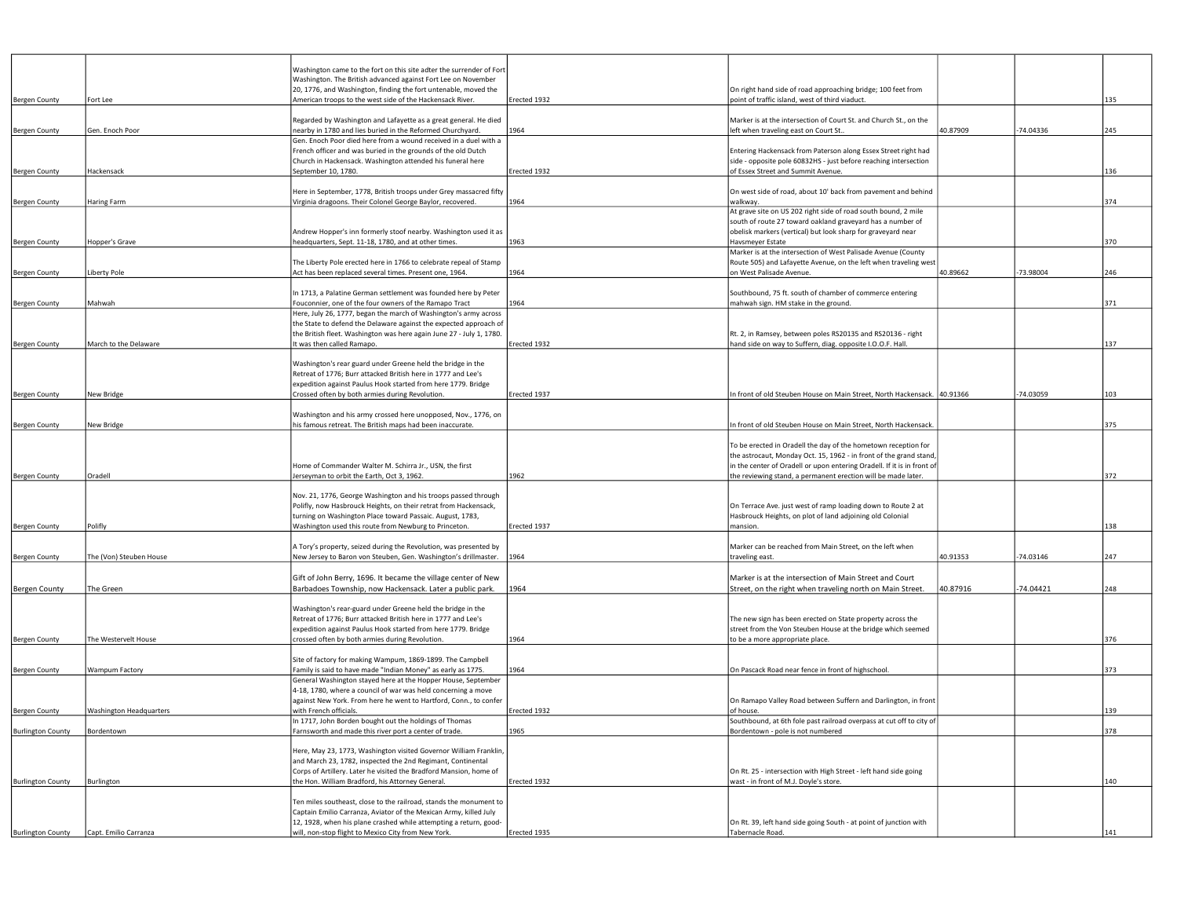|                          |                                | Washington came to the fort on this site adter the surrender of Fort                                                         |              |                                                                                                                           |          |             |     |
|--------------------------|--------------------------------|------------------------------------------------------------------------------------------------------------------------------|--------------|---------------------------------------------------------------------------------------------------------------------------|----------|-------------|-----|
|                          |                                | Washington. The British advanced against Fort Lee on November                                                                |              |                                                                                                                           |          |             |     |
|                          |                                | 20, 1776, and Washington, finding the fort untenable, moved the<br>American troops to the west side of the Hackensack River. | Erected 1932 | On right hand side of road approaching bridge; 100 feet from<br>point of traffic island, west of third viaduct.           |          |             | 135 |
| Bergen County            | Fort Lee                       |                                                                                                                              |              |                                                                                                                           |          |             |     |
|                          |                                | Regarded by Washington and Lafayette as a great general. He died                                                             |              | Marker is at the intersection of Court St. and Church St., on the                                                         |          |             |     |
| Bergen County            | Gen. Enoch Poor                | nearby in 1780 and lies buried in the Reformed Churchyard.                                                                   | 1964         | left when traveling east on Court St                                                                                      | 40.87909 | $-74.04336$ | 245 |
|                          |                                | Gen. Enoch Poor died here from a wound received in a duel with a                                                             |              |                                                                                                                           |          |             |     |
|                          |                                | French officer and was buried in the grounds of the old Dutch                                                                |              | Entering Hackensack from Paterson along Essex Street right had                                                            |          |             |     |
|                          |                                | Church in Hackensack. Washington attended his funeral here                                                                   |              | side - opposite pole 60832HS - just before reaching intersection                                                          |          |             |     |
| Bergen County            | Hackensack                     | September 10, 1780.                                                                                                          | Erected 1932 | of Essex Street and Summit Avenue.                                                                                        |          |             | 136 |
|                          |                                | Here in September, 1778, British troops under Grey massacred fifty                                                           |              | On west side of road, about 10' back from pavement and behind                                                             |          |             |     |
| Bergen County            | Haring Farm                    | Virginia dragoons. Their Colonel George Baylor, recovered.                                                                   | 1964         | walkway.                                                                                                                  |          |             | 374 |
|                          |                                |                                                                                                                              |              | At grave site on US 202 right side of road south bound, 2 mile                                                            |          |             |     |
|                          |                                |                                                                                                                              |              | south of route 27 toward oakland graveyard has a number of                                                                |          |             |     |
|                          |                                | Andrew Hopper's inn formerly stoof nearby. Washington used it as                                                             |              | obelisk markers (vertical) but look sharp for graveyard near                                                              |          |             |     |
| Bergen County            | lopper's Grave                 | headquarters, Sept. 11-18, 1780, and at other times.                                                                         | 1963         | Havsmeyer Estate<br>Marker is at the intersection of West Palisade Avenue (County                                         |          |             | 370 |
|                          |                                | The Liberty Pole erected here in 1766 to celebrate repeal of Stamp                                                           |              | Route 505) and Lafayette Avenue, on the left when traveling west                                                          |          |             |     |
| Bergen County            | Liberty Pole                   | Act has been replaced several times. Present one, 1964.                                                                      | 1964         | on West Palisade Avenue.                                                                                                  | 40.89662 | -73.98004   | 246 |
|                          |                                |                                                                                                                              |              |                                                                                                                           |          |             |     |
|                          |                                | In 1713, a Palatine German settlement was founded here by Peter                                                              |              | Southbound, 75 ft. south of chamber of commerce entering                                                                  |          |             |     |
| Bergen County            | Mahwah                         | Fouconnier, one of the four owners of the Ramapo Tract                                                                       | 1964         | mahwah sign. HM stake in the ground.                                                                                      |          |             | 371 |
|                          |                                | Here, July 26, 1777, began the march of Washington's army across                                                             |              |                                                                                                                           |          |             |     |
|                          |                                | the State to defend the Delaware against the expected approach of                                                            |              |                                                                                                                           |          |             |     |
| Bergen County            | March to the Delaware          | the British fleet. Washington was here again June 27 - July 1, 1780.<br>It was then called Ramapo.                           | Erected 1932 | Rt. 2, in Ramsey, between poles RS20135 and RS20136 - right<br>hand side on way to Suffern, diag. opposite I.O.O.F. Hall. |          |             | 137 |
|                          |                                |                                                                                                                              |              |                                                                                                                           |          |             |     |
|                          |                                | Washington's rear guard under Greene held the bridge in the                                                                  |              |                                                                                                                           |          |             |     |
|                          |                                | Retreat of 1776; Burr attacked British here in 1777 and Lee's                                                                |              |                                                                                                                           |          |             |     |
|                          |                                | expedition against Paulus Hook started from here 1779. Bridge                                                                |              |                                                                                                                           |          |             |     |
| Bergen County            | New Bridge                     | Crossed often by both armies during Revolution.                                                                              | Erected 1937 | In front of old Steuben House on Main Street, North Hackensack. 40.91366                                                  |          | -74.03059   | 103 |
|                          |                                |                                                                                                                              |              |                                                                                                                           |          |             |     |
| Bergen County            | <b>New Bridge</b>              | Washington and his army crossed here unopposed, Nov., 1776, on<br>his famous retreat. The British maps had been inaccurate.  |              | In front of old Steuben House on Main Street, North Hackensack.                                                           |          |             | 375 |
|                          |                                |                                                                                                                              |              |                                                                                                                           |          |             |     |
|                          |                                |                                                                                                                              |              | To be erected in Oradell the day of the hometown reception for                                                            |          |             |     |
|                          |                                |                                                                                                                              |              | the astrocaut, Monday Oct. 15, 1962 - in front of the grand stand,                                                        |          |             |     |
|                          |                                | Home of Commander Walter M. Schirra Jr., USN, the first                                                                      |              | in the center of Oradell or upon entering Oradell. If it is in front of                                                   |          |             |     |
| Bergen County            | Oradell                        | Jerseyman to orbit the Earth, Oct 3, 1962.                                                                                   | 1962         | the reviewing stand, a permanent erection will be made later.                                                             |          |             | 372 |
|                          |                                |                                                                                                                              |              |                                                                                                                           |          |             |     |
|                          |                                | Nov. 21, 1776, George Washington and his troops passed through                                                               |              |                                                                                                                           |          |             |     |
|                          |                                | Polifly, now Hasbrouck Heights, on their retrat from Hackensack,                                                             |              | On Terrace Ave. just west of ramp loading down to Route 2 at                                                              |          |             |     |
| <b>Bergen County</b>     | Polifly                        | turning on Washington Place toward Passaic. August, 1783,<br>Washington used this route from Newburg to Princeton.           | Erected 1937 | Hasbrouck Heights, on plot of land adjoining old Colonial<br>mansion.                                                     |          |             | 138 |
|                          |                                |                                                                                                                              |              |                                                                                                                           |          |             |     |
|                          |                                | A Tory's property, seized during the Revolution, was presented by                                                            |              | Marker can be reached from Main Street, on the left when                                                                  |          |             |     |
| Bergen County            | The (Von) Steuben House        | New Jersey to Baron von Steuben, Gen. Washington's drillmaster.                                                              | 1964         | traveling east.                                                                                                           | 40.91353 | 74.03146    | 247 |
|                          |                                |                                                                                                                              |              |                                                                                                                           |          |             |     |
|                          |                                | Gift of John Berry, 1696. It became the village center of New                                                                |              | Marker is at the intersection of Main Street and Court                                                                    |          |             |     |
| <b>Bergen County</b>     | The Green                      | Barbadoes Township, now Hackensack. Later a public park.                                                                     | 1964         | Street, on the right when traveling north on Main Street.                                                                 | 40.87916 | $-74.04421$ | 248 |
|                          |                                |                                                                                                                              |              |                                                                                                                           |          |             |     |
|                          |                                | Washington's rear-guard under Greene held the bridge in the<br>Retreat of 1776; Burr attacked British here in 1777 and Lee's |              | The new sign has been erected on State property across the                                                                |          |             |     |
|                          |                                | expedition against Paulus Hook started from here 1779. Bridge                                                                |              | street from the Von Steuben House at the bridge which seemed                                                              |          |             |     |
| Bergen County            | The Westervelt House           | crossed often by both armies during Revolution.                                                                              | 1964         | to be a more appropriate place.                                                                                           |          |             | 376 |
|                          |                                |                                                                                                                              |              |                                                                                                                           |          |             |     |
|                          |                                | Site of factory for making Wampum, 1869-1899. The Campbell                                                                   |              |                                                                                                                           |          |             |     |
| Bergen County            | Wampum Factory                 | Family is said to have made "Indian Money" as early as 1775.                                                                 | 1964         | On Pascack Road near fence in front of highschool.                                                                        |          |             | 373 |
|                          |                                | General Washington stayed here at the Hopper House, September                                                                |              |                                                                                                                           |          |             |     |
|                          |                                | 4-18, 1780, where a council of war was held concerning a move                                                                |              |                                                                                                                           |          |             |     |
|                          | <b>Washington Headquarters</b> | against New York. From here he went to Hartford, Conn., to confer<br>with French officials.                                  | Erected 1932 | On Ramapo Valley Road between Suffern and Darlington, in front<br>of house.                                               |          |             | 139 |
| Bergen County            |                                | n 1717, John Borden bought out the holdings of Thomas                                                                        |              | outhbound, at 6th fole past railroad overpass at cut off to city of                                                       |          |             |     |
| <b>Burlington County</b> | Bordentown                     | Farnsworth and made this river port a center of trade.                                                                       | 1965         | Bordentown - pole is not numbered                                                                                         |          |             | 378 |
|                          |                                |                                                                                                                              |              |                                                                                                                           |          |             |     |
|                          |                                | Here, May 23, 1773, Washington visited Governor William Franklin,                                                            |              |                                                                                                                           |          |             |     |
|                          |                                | and March 23, 1782, inspected the 2nd Regimant, Continental                                                                  |              |                                                                                                                           |          |             |     |
|                          |                                | Corps of Artillery. Later he visited the Bradford Mansion, home of                                                           |              | On Rt. 25 - intersection with High Street - left hand side going                                                          |          |             |     |
| <b>Burlington County</b> | Burlington                     | the Hon. William Bradford, his Attorney General.                                                                             | Erected 1932 | wast - in front of M.J. Doyle's store.                                                                                    |          |             | 140 |
|                          |                                | Ten miles southeast, close to the railroad, stands the monument to                                                           |              |                                                                                                                           |          |             |     |
|                          |                                | Captain Emilio Carranza, Aviator of the Mexican Army, killed July                                                            |              |                                                                                                                           |          |             |     |
|                          |                                | 12, 1928, when his plane crashed while attempting a return, good-                                                            |              | On Rt. 39, left hand side going South - at point of junction with                                                         |          |             |     |
| <b>Burlington County</b> | Capt. Emilio Carranza          | will, non-stop flight to Mexico City from New York.                                                                          | Erected 1935 | Tabernacle Road.                                                                                                          |          |             | 141 |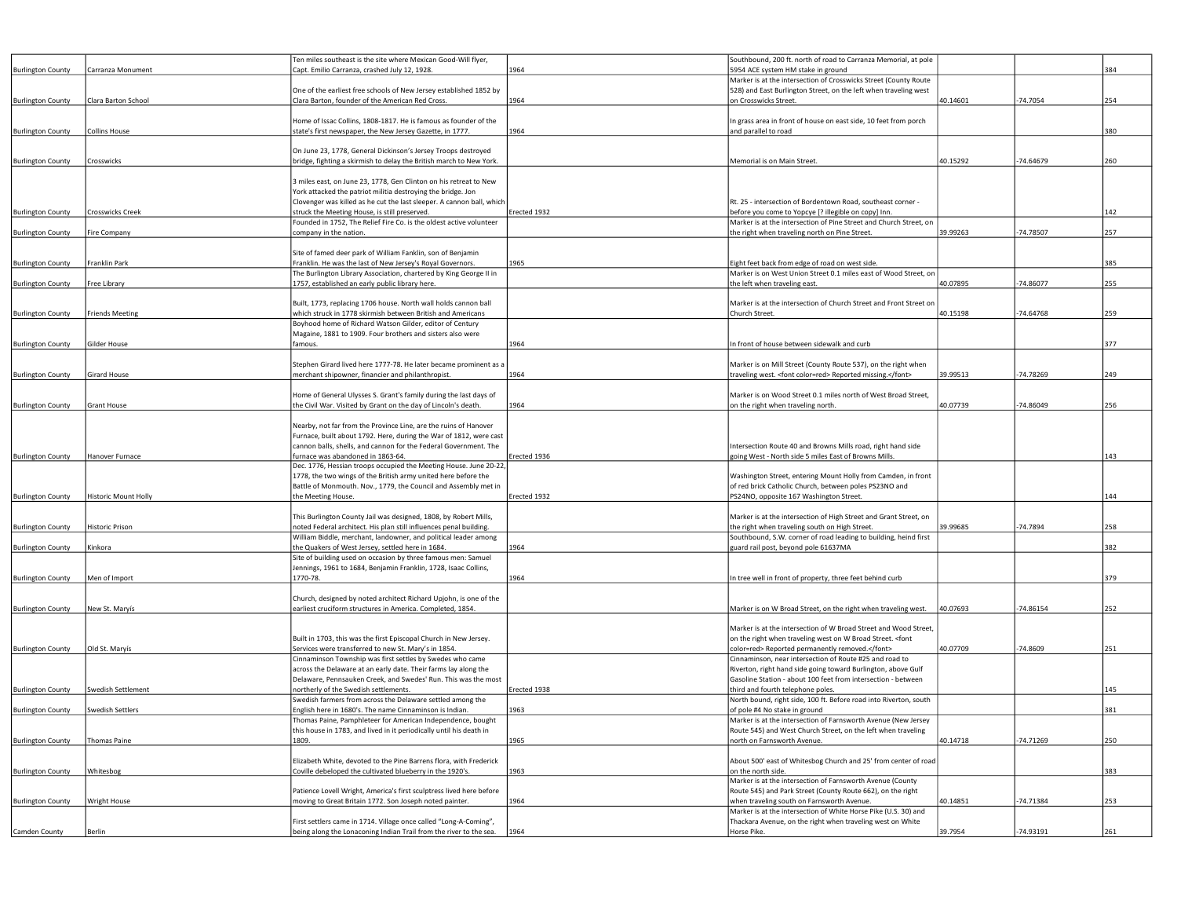|                          |                             | Ten miles southeast is the site where Mexican Good-Will flyer,          |              | Southbound, 200 ft. north of road to Carranza Memorial, at pole    |          |             |     |
|--------------------------|-----------------------------|-------------------------------------------------------------------------|--------------|--------------------------------------------------------------------|----------|-------------|-----|
| <b>Burlington County</b> | Carranza Monument           | Capt. Emilio Carranza, crashed July 12, 1928.                           | 1964         | 5954 ACE system HM stake in ground                                 |          |             | 384 |
|                          |                             |                                                                         |              | Marker is at the intersection of Crosswicks Street (County Route   |          |             |     |
|                          |                             | One of the earliest free schools of New Jersey established 1852 by      |              | 528) and East Burlington Street, on the left when traveling west   |          |             |     |
| <b>Burlington County</b> | Clara Barton School         | Clara Barton, founder of the American Red Cross.                        | 1964         | on Crosswicks Street.                                              | 40.14601 | $-74.7054$  | 254 |
|                          |                             |                                                                         |              |                                                                    |          |             |     |
|                          |                             | Home of Issac Collins, 1808-1817. He is famous as founder of the        |              | In grass area in front of house on east side, 10 feet from porch   |          |             |     |
| <b>Burlington County</b> | <b>Collins House</b>        | state's first newspaper, the New Jersey Gazette, in 1777.               | 1964         | and parallel to road                                               |          |             | 380 |
|                          |                             |                                                                         |              |                                                                    |          |             |     |
|                          |                             | On June 23, 1778, General Dickinson's Jersey Troops destroyed           |              |                                                                    |          |             |     |
| <b>Burlington County</b> | Crosswicks                  | bridge, fighting a skirmish to delay the British march to New York.     |              | Memorial is on Main Street.                                        | 40.15292 | -74.64679   | 260 |
|                          |                             |                                                                         |              |                                                                    |          |             |     |
|                          |                             | 3 miles east, on June 23, 1778, Gen Clinton on his retreat to New       |              |                                                                    |          |             |     |
|                          |                             | York attacked the patriot militia destroying the bridge. Jon            |              |                                                                    |          |             |     |
|                          |                             | Clovenger was killed as he cut the last sleeper. A cannon ball, which   |              | Rt. 25 - intersection of Bordentown Road, southeast corner -       |          |             |     |
| <b>Burlington County</b> | Crosswicks Creek            | struck the Meeting House, is still preserved.                           | Erected 1932 | before you come to Yopcye [? illegible on copy] Inn.               |          |             | 142 |
|                          |                             | Founded in 1752, The Relief Fire Co. is the oldest active volunteer     |              | Marker is at the intersection of Pine Street and Church Street, on |          |             |     |
| <b>Burlington County</b> | Fire Company                | company in the nation.                                                  |              | the right when traveling north on Pine Street.                     | 39.99263 | $-74.78507$ | 257 |
|                          |                             |                                                                         |              |                                                                    |          |             |     |
|                          |                             | Site of famed deer park of William Fanklin, son of Benjamin             |              |                                                                    |          |             |     |
|                          | Franklin Park               | Franklin. He was the last of New Jersey's Royal Governors.              | 1965         | Eight feet back from edge of road on west side.                    |          |             | 385 |
| <b>Burlington County</b> |                             |                                                                         |              | Marker is on West Union Street 0.1 miles east of Wood Street, on   |          |             |     |
|                          |                             | The Burlington Library Association, chartered by King George II in      |              |                                                                    |          |             |     |
| <b>Burlington County</b> | Free Library                | 1757, established an early public library here.                         |              | the left when traveling east.                                      | 40.07895 | $-74.86077$ | 255 |
|                          |                             |                                                                         |              |                                                                    |          |             |     |
|                          |                             | Built, 1773, replacing 1706 house. North wall holds cannon ball         |              | Marker is at the intersection of Church Street and Front Street on |          |             |     |
| <b>Burlington County</b> | <b>Friends Meeting</b>      | which struck in 1778 skirmish between British and Americans             |              | Church Street.                                                     | 40.15198 | $-74.64768$ | 259 |
|                          |                             | Boyhood home of Richard Watson Gilder, editor of Century                |              |                                                                    |          |             |     |
|                          |                             | Magaine, 1881 to 1909. Four brothers and sisters also were              |              |                                                                    |          |             |     |
| <b>Burlington County</b> | Gilder House                | famous.                                                                 | 1964         | In front of house between sidewalk and curb                        |          |             | 377 |
|                          |                             |                                                                         |              |                                                                    |          |             |     |
|                          |                             | Stephen Girard lived here 1777-78. He later became prominent as a       |              | Marker is on Mill Street (County Route 537), on the right when     |          |             |     |
| <b>Burlington County</b> | Girard House                | merchant shipowner, financier and philanthropist.                       | 1964         | traveling west. < font color=red> Reported missing.                | 39.99513 | -74.78269   | 249 |
|                          |                             |                                                                         |              |                                                                    |          |             |     |
|                          |                             | Home of General Ulysses S. Grant's family during the last days of       |              | Marker is on Wood Street 0.1 miles north of West Broad Street,     |          |             |     |
| <b>Burlington County</b> | <b>Grant House</b>          | the Civil War. Visited by Grant on the day of Lincoln's death.          | 1964         | on the right when traveling north.                                 | 40.07739 | -74.86049   | 256 |
|                          |                             |                                                                         |              |                                                                    |          |             |     |
|                          |                             | Nearby, not far from the Province Line, are the ruins of Hanover        |              |                                                                    |          |             |     |
|                          |                             | Furnace, built about 1792. Here, during the War of 1812, were cast      |              |                                                                    |          |             |     |
|                          |                             | cannon balls, shells, and cannon for the Federal Government. The        |              | Intersection Route 40 and Browns Mills road, right hand side       |          |             |     |
| <b>Burlington County</b> | Hanover Furnace             | furnace was abandoned in 1863-64.                                       | Erected 1936 | going West - North side 5 miles East of Browns Mills.              |          |             | 143 |
|                          |                             | Dec. 1776, Hessian troops occupied the Meeting House. June 20-22,       |              |                                                                    |          |             |     |
|                          |                             | 1778, the two wings of the British army united here before the          |              | Washington Street, entering Mount Holly from Camden, in front      |          |             |     |
|                          |                             | Battle of Monmouth. Nov., 1779, the Council and Assembly met in         |              | of red brick Catholic Church, between poles PS23NO and             |          |             |     |
| <b>Burlington County</b> | <b>Historic Mount Holly</b> | the Meeting House.                                                      | Erected 1932 | PS24NO, opposite 167 Washington Street.                            |          |             | 144 |
|                          |                             |                                                                         |              |                                                                    |          |             |     |
|                          |                             | This Burlington County Jail was designed, 1808, by Robert Mills,        |              | Marker is at the intersection of High Street and Grant Street, on  |          |             |     |
| <b>Burlington County</b> | <b>Historic Prison</b>      | noted Federal architect. His plan still influences penal building.      |              | the right when traveling south on High Street.                     | 39.99685 | -74.7894    | 258 |
|                          |                             | William Biddle, merchant, landowner, and political leader among         |              | Southbound, S.W. corner of road leading to building, heind first   |          |             |     |
| <b>Burlington County</b> | Kinkora                     | he Quakers of West Jersey, settled here in 1684.                        | 1964         | guard rail post, beyond pole 61637MA                               |          |             | 382 |
|                          |                             | Site of building used on occasion by three famous men: Samuel           |              |                                                                    |          |             |     |
|                          |                             |                                                                         |              |                                                                    |          |             |     |
|                          |                             | Jennings, 1961 to 1684, Benjamin Franklin, 1728, Isaac Collins,         |              |                                                                    |          |             |     |
| <b>Burlington County</b> | Men of Import               | 1770-78.                                                                | 1964         | In tree well in front of property, three feet behind curb          |          |             | 379 |
|                          |                             |                                                                         |              |                                                                    |          |             |     |
|                          |                             | Church, designed by noted architect Richard Upjohn, is one of the       |              |                                                                    |          |             |     |
| <b>Burlington County</b> | New St. Maryís              | earliest cruciform structures in America. Completed, 1854.              |              | Marker is on W Broad Street, on the right when traveling west.     | 40.07693 | $-74.86154$ | 252 |
|                          |                             |                                                                         |              |                                                                    |          |             |     |
|                          |                             |                                                                         |              | Marker is at the intersection of W Broad Street and Wood Street,   |          |             |     |
|                          |                             | Built in 1703, this was the first Episcopal Church in New Jersey.       |              | on the right when traveling west on W Broad Street. < font         |          |             |     |
| <b>Burlington County</b> | Old St. Maryís              | Services were transferred to new St. Mary's in 1854.                    |              | color=red> Reported permanently removed.                           | 40.07709 | $-74.8609$  | 251 |
|                          |                             | Cinnaminson Township was first settles by Swedes who came               |              | Cinnaminson, near intersection of Route #25 and road to            |          |             |     |
|                          |                             | across the Delaware at an early date. Their farms lay along the         |              | Riverton, right hand side going toward Burlington, above Gulf      |          |             |     |
|                          |                             | Delaware, Pennsauken Creek, and Swedes' Run, This was the most          |              | Gasoline Station - about 100 feet from intersection - between      |          |             |     |
| <b>Burlington County</b> | Swedish Settlement          | northerly of the Swedish settlements.                                   | Erected 1938 | third and fourth telephone poles.                                  |          |             | 145 |
|                          |                             | Swedish farmers from across the Delaware settled among the              |              | North bound, right side, 100 ft. Before road into Riverton, south  |          |             |     |
| <b>Burlington County</b> | <b>Swedish Settlers</b>     | English here in 1680's. The name Cinnaminson is Indian.                 | 1963         | of pole #4 No stake in ground                                      |          |             | 381 |
|                          |                             | Thomas Paine, Pamphleteer for American Independence, bought             |              | Marker is at the intersection of Farnsworth Avenue (New Jersey     |          |             |     |
|                          |                             | this house in 1783, and lived in it periodically until his death in     |              | Route 545) and West Church Street, on the left when traveling      |          |             |     |
| <b>Burlington County</b> | <b>Thomas Paine</b>         | 1809.                                                                   | 1965         | north on Farnsworth Avenue.                                        | 40.14718 | -74.71269   | 250 |
|                          |                             |                                                                         |              |                                                                    |          |             |     |
|                          |                             | Elizabeth White, devoted to the Pine Barrens flora, with Frederick      |              | About 500' east of Whitesbog Church and 25' from center of road    |          |             |     |
| <b>Burlington County</b> | Whitesbog                   | Coville debeloped the cultivated blueberry in the 1920's.               | 1963         | on the north side.                                                 |          |             | 383 |
|                          |                             |                                                                         |              | Marker is at the intersection of Farnsworth Avenue (County         |          |             |     |
|                          |                             | Patience Lovell Wright, America's first sculptress lived here before    |              | Route 545) and Park Street (County Route 662), on the right        |          |             |     |
| <b>Burlington County</b> | <b>Wright House</b>         | moving to Great Britain 1772. Son Joseph noted painter.                 | 1964         | when traveling south on Farnsworth Avenue.                         | 40.14851 | -74.71384   | 253 |
|                          |                             |                                                                         |              | Marker is at the intersection of White Horse Pike (U.S. 30) and    |          |             |     |
|                          |                             | First settlers came in 1714. Village once called "Long-A-Coming",       |              | Thackara Avenue, on the right when traveling west on White         |          |             |     |
| Camden County            | Berlin                      | being along the Lonaconing Indian Trail from the river to the sea. 1964 |              | Horse Pike.                                                        | 39.7954  | $-74.93191$ | 261 |
|                          |                             |                                                                         |              |                                                                    |          |             |     |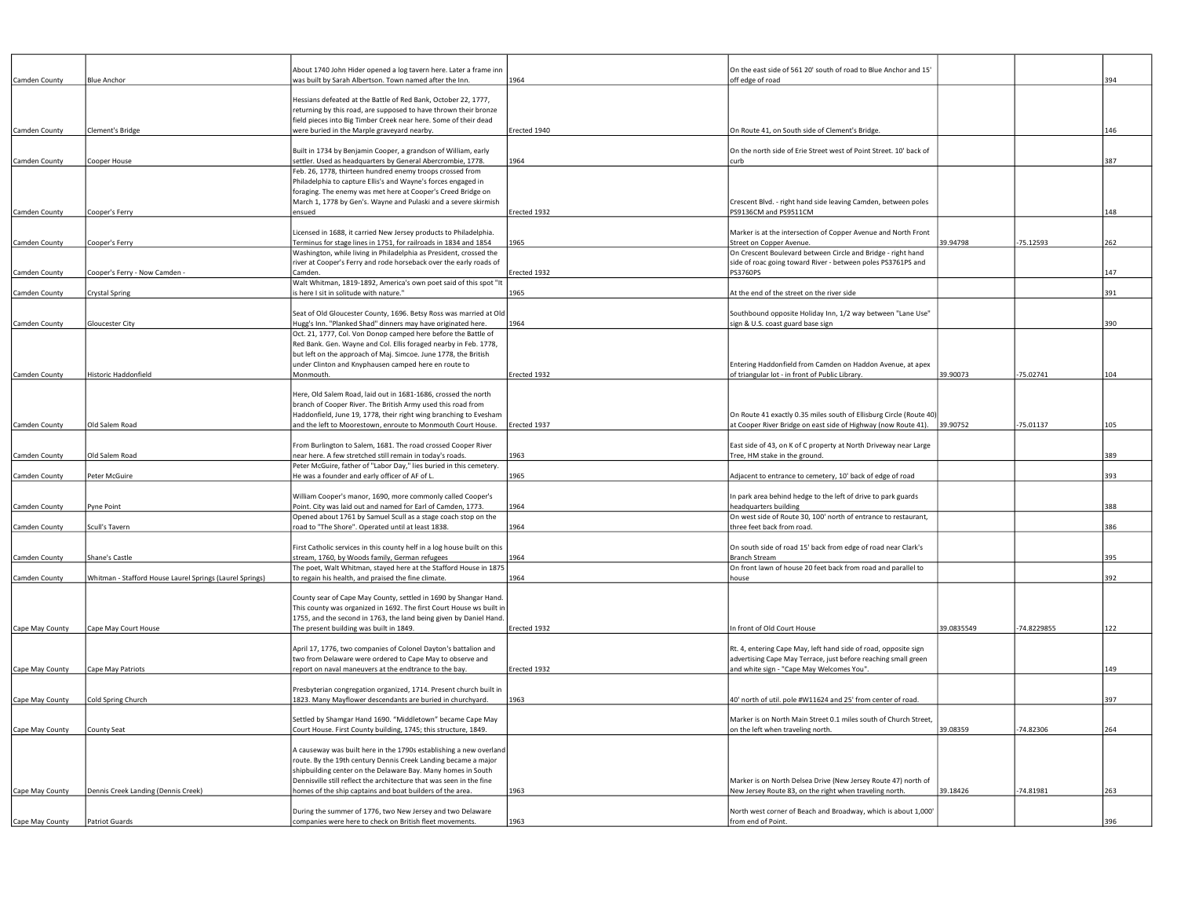|                 |                                                          | About 1740 John Hider opened a log tavern here. Later a frame inn                                                                                                                                                                                                            |              | On the east side of 561 20' south of road to Blue Anchor and 15'                                                                                                               |            |             |     |
|-----------------|----------------------------------------------------------|------------------------------------------------------------------------------------------------------------------------------------------------------------------------------------------------------------------------------------------------------------------------------|--------------|--------------------------------------------------------------------------------------------------------------------------------------------------------------------------------|------------|-------------|-----|
| Camden County   | <b>Blue Anchor</b>                                       | was built by Sarah Albertson. Town named after the Inn.                                                                                                                                                                                                                      | 1964         | off edge of road                                                                                                                                                               |            |             | 394 |
|                 |                                                          | Hessians defeated at the Battle of Red Bank, October 22, 1777,<br>returning by this road, are supposed to have thrown their bronze<br>field pieces into Big Timber Creek near here. Some of their dead                                                                       |              |                                                                                                                                                                                |            |             |     |
| Camden County   | Clement's Bridge                                         | were buried in the Marple graveyard nearby.                                                                                                                                                                                                                                  | Erected 1940 | On Route 41, on South side of Clement's Bridge.                                                                                                                                |            |             | 146 |
| Camden County   | Cooper House                                             | Built in 1734 by Benjamin Cooper, a grandson of William, early<br>settler. Used as headquarters by General Abercrombie, 1778.                                                                                                                                                | 1964         | On the north side of Erie Street west of Point Street. 10' back of<br>curb                                                                                                     |            |             | 387 |
| Camden County   | Cooper's Ferry                                           | Feb. 26, 1778, thirteen hundred enemy troops crossed from<br>Philadelphia to capture Ellis's and Wayne's forces engaged in<br>foraging. The enemy was met here at Cooper's Creed Bridge on<br>March 1, 1778 by Gen's. Wayne and Pulaski and a severe skirmish<br>ensued      | Erected 1932 | Crescent Blvd. - right hand side leaving Camden, between poles<br>PS9136CM and PS9511CM                                                                                        |            |             | 148 |
| Camden County   | Cooper's Ferry                                           | Licensed in 1688, it carried New Jersey products to Philadelphia.<br>Terminus for stage lines in 1751, for railroads in 1834 and 1854                                                                                                                                        | 1965         | Marker is at the intersection of Copper Avenue and North Front<br>Street on Copper Avenue.                                                                                     | 39.94798   | $-75.12593$ | 262 |
|                 |                                                          | Washington, while living in Philadelphia as President, crossed the<br>river at Cooper's Ferry and rode horseback over the early roads of                                                                                                                                     |              | On Crescent Boulevard between Circle and Bridge - right hand<br>side of roac going toward River - between poles PS3761PS and                                                   |            |             |     |
| Camden County   | Cooper's Ferry - Now Camden -                            | Camden.                                                                                                                                                                                                                                                                      | Erected 1932 | <b>PS3760PS</b>                                                                                                                                                                |            |             | 147 |
| Camden County   | rystal Spring                                            | Walt Whitman, 1819-1892, America's own poet said of this spot "It<br>is here I sit in solitude with nature."                                                                                                                                                                 | 1965         | At the end of the street on the river side                                                                                                                                     |            |             | 391 |
| Camden County   | Gloucester City                                          | Seat of Old Gloucester County, 1696. Betsy Ross was married at Old<br>Hugg's Inn. "Planked Shad" dinners may have originated here.                                                                                                                                           | 1964         | Southbound opposite Holiday Inn, 1/2 way between "Lane Use"<br>sign & U.S. coast guard base sign                                                                               |            |             | 390 |
|                 |                                                          | Oct. 21, 1777, Col. Von Donop camped here before the Battle of                                                                                                                                                                                                               |              |                                                                                                                                                                                |            |             |     |
|                 |                                                          | Red Bank. Gen. Wayne and Col. Ellis foraged nearby in Feb. 1778,<br>but left on the approach of Maj. Simcoe. June 1778, the British                                                                                                                                          |              |                                                                                                                                                                                |            |             |     |
| Camden County   | Historic Haddonfield                                     | under Clinton and Knyphausen camped here en route to<br>Monmouth.                                                                                                                                                                                                            | Erected 1932 | Entering Haddonfield from Camden on Haddon Avenue, at apex<br>of triangular lot - in front of Public Library.                                                                  | 39.90073   | $-75.02741$ | 104 |
|                 |                                                          | Here, Old Salem Road, laid out in 1681-1686, crossed the north                                                                                                                                                                                                               |              |                                                                                                                                                                                |            |             |     |
|                 |                                                          | branch of Cooper River. The British Army used this road from<br>Haddonfield, June 19, 1778, their right wing branching to Evesham                                                                                                                                            |              | On Route 41 exactly 0.35 miles south of Ellisburg Circle (Route 40)                                                                                                            |            |             |     |
| Camden County   | Old Salem Road                                           | and the left to Moorestown, enroute to Monmouth Court House.                                                                                                                                                                                                                 | Erected 1937 | at Cooper River Bridge on east side of Highway (now Route 41).                                                                                                                 | 39.90752   | $-75.01137$ | 105 |
| Camden County   | Old Salem Road                                           | From Burlington to Salem, 1681. The road crossed Cooper River<br>near here. A few stretched still remain in today's roads.                                                                                                                                                   | 1963         | East side of 43, on K of C property at North Driveway near Large<br>Tree, HM stake in the ground.                                                                              |            |             | 389 |
| Camden County   | Peter McGuire                                            | Peter McGuire, father of "Labor Day," lies buried in this cemetery.<br>He was a founder and early officer of AF of L.                                                                                                                                                        | 1965         | Adjacent to entrance to cemetery, 10' back of edge of road                                                                                                                     |            |             | 393 |
| Camden County   | Pyne Point                                               | William Cooper's manor, 1690, more commonly called Cooper's<br>Point. City was laid out and named for Earl of Camden, 1773.                                                                                                                                                  | 1964         | In park area behind hedge to the left of drive to park guards<br>headquarters building                                                                                         |            |             | 388 |
|                 |                                                          | Opened about 1761 by Samuel Scull as a stage coach stop on the                                                                                                                                                                                                               |              | On west side of Route 30, 100' north of entrance to restaurant,                                                                                                                |            |             |     |
| Camden County   | Scull's Tavern                                           | road to "The Shore". Operated until at least 1838.                                                                                                                                                                                                                           | 1964         | three feet back from road                                                                                                                                                      |            |             | 386 |
| Camden County   | Shane's Castle                                           | First Catholic services in this county helf in a log house built on this<br>stream, 1760, by Woods family, German refugees                                                                                                                                                   | 1964         | On south side of road 15' back from edge of road near Clark's<br><b>Branch Stream</b>                                                                                          |            |             | 395 |
| Camden County   | Whitman - Stafford House Laurel Springs (Laurel Springs) | The poet, Walt Whitman, stayed here at the Stafford House in 1875<br>to regain his health, and praised the fine climate.                                                                                                                                                     | 1964         | On front lawn of house 20 feet back from road and parallel to<br>house                                                                                                         |            |             | 392 |
|                 |                                                          | County sear of Cape May County, settled in 1690 by Shangar Hand.<br>This county was organized in 1692. The first Court House ws built in<br>1755, and the second in 1763, the land being given by Daniel Hand.                                                               |              |                                                                                                                                                                                |            |             |     |
| Cape May County | Cape May Court House                                     | The present building was built in 1849.                                                                                                                                                                                                                                      | Erected 1932 | In front of Old Court House                                                                                                                                                    | 39.0835549 | -74.8229855 | 122 |
| Cape May County | Cape May Patriots                                        | April 17, 1776, two companies of Colonel Dayton's battalion and<br>two from Delaware were ordered to Cape May to observe and<br>report on naval maneuvers at the endtrance to the bay.                                                                                       | Erected 1932 | Rt. 4, entering Cape May, left hand side of road, opposite sign<br>advertising Cape May Terrace, just before reaching small green<br>and white sign - "Cape May Welcomes You". |            |             | 149 |
| Cape May County | Cold Spring Church                                       | Presbyterian congregation organized, 1714. Present church built in<br>1823. Many Mayflower descendants are buried in churchyard.                                                                                                                                             | 1963         | 40' north of util. pole #W11624 and 25' from center of road.                                                                                                                   |            |             | 397 |
| Cape May County | County Seat                                              | Settled by Shamgar Hand 1690. "Middletown" became Cape May<br>Court House. First County building, 1745; this structure, 1849.                                                                                                                                                |              | Marker is on North Main Street 0.1 miles south of Church Street,<br>on the left when traveling north.                                                                          | 39.08359   | 74.82306    | 264 |
|                 |                                                          | A causeway was built here in the 1790s establishing a new overland<br>route. By the 19th century Dennis Creek Landing became a major<br>shipbuilding center on the Delaware Bay. Many homes in South<br>Dennisville still reflect the architecture that was seen in the fine |              | Marker is on North Delsea Drive (New Jersey Route 47) north of                                                                                                                 |            |             |     |
| Cape May County | Dennis Creek Landing (Dennis Creek)                      | homes of the ship captains and boat builders of the area.                                                                                                                                                                                                                    | 1963         | New Jersey Route 83, on the right when traveling north.                                                                                                                        | 39.18426   | $-74.81981$ | 263 |
| Cape May County | Patriot Guards                                           | During the summer of 1776, two New Jersey and two Delaware<br>companies were here to check on British fleet movements.                                                                                                                                                       | 1963         | North west corner of Beach and Broadway, which is about 1,000'<br>from end of Point.                                                                                           |            |             | 396 |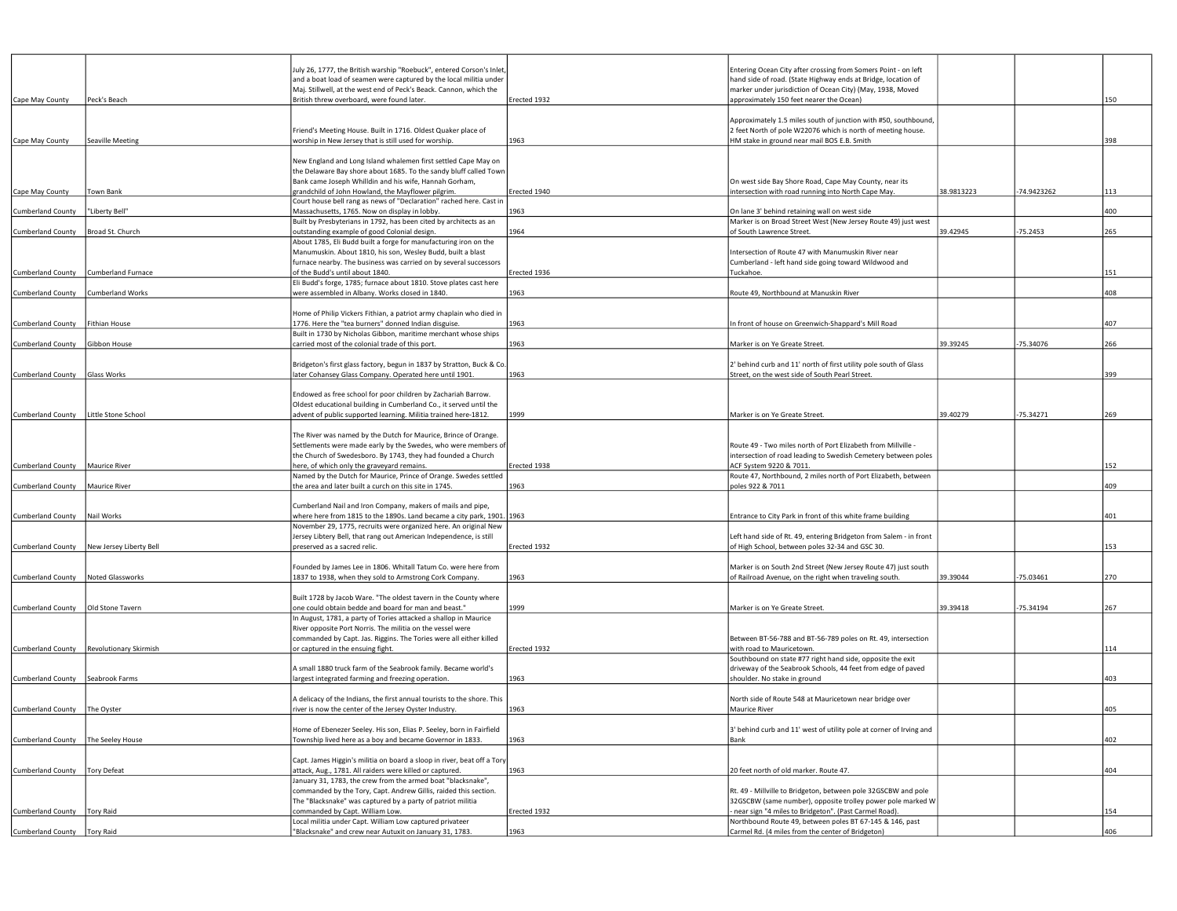|                                         |                               | July 26, 1777, the British warship "Roebuck", entered Corson's Inlet,                                                             |              | Entering Ocean City after crossing from Somers Point - on left                                                                  |            |             |     |
|-----------------------------------------|-------------------------------|-----------------------------------------------------------------------------------------------------------------------------------|--------------|---------------------------------------------------------------------------------------------------------------------------------|------------|-------------|-----|
|                                         |                               | and a boat load of seamen were captured by the local militia under                                                                |              | hand side of road. (State Highway ends at Bridge, location of                                                                   |            |             |     |
|                                         |                               | Maj. Stillwell, at the west end of Peck's Beack. Cannon, which the<br>British threw overboard, were found later.                  |              | marker under jurisdiction of Ocean City) (May, 1938, Moved<br>approximately 150 feet nearer the Ocean)                          |            |             | 150 |
| Cape May County                         | Peck's Beach                  |                                                                                                                                   | Erected 1932 |                                                                                                                                 |            |             |     |
|                                         |                               |                                                                                                                                   |              | Approximately 1.5 miles south of junction with #50, southbound,                                                                 |            |             |     |
|                                         |                               | Friend's Meeting House. Built in 1716. Oldest Quaker place of                                                                     |              | 2 feet North of pole W22076 which is north of meeting house.                                                                    |            |             |     |
| Cape May County                         | <b>Seaville Meeting</b>       | worship in New Jersey that is still used for worship.                                                                             | 1963         | HM stake in ground near mail BOS E.B. Smith                                                                                     |            |             | 398 |
|                                         |                               | New England and Long Island whalemen first settled Cape May on                                                                    |              |                                                                                                                                 |            |             |     |
|                                         |                               | the Delaware Bay shore about 1685. To the sandy bluff called Town                                                                 |              |                                                                                                                                 |            |             |     |
| Cape May County                         | Town Bank                     | Bank came Joseph Whilldin and his wife, Hannah Gorham,<br>grandchild of John Howland, the Mayflower pilgrim.                      | Erected 1940 | On west side Bay Shore Road, Cape May County, near its<br>intersection with road running into North Cape May.                   | 38.9813223 | -74.9423262 | 113 |
|                                         |                               | Court house bell rang as news of "Declaration" rached here. Cast in                                                               |              |                                                                                                                                 |            |             |     |
| <b>Cumberland County</b>                | "Liberty Bell"                | Massachusetts, 1765. Now on display in lobby.                                                                                     | 1963         | On lane 3' behind retaining wall on west side                                                                                   |            |             | 400 |
|                                         |                               | Built by Presbyterians in 1792, has been cited by architects as an                                                                |              | Marker is on Broad Street West (New Jersey Route 49) just west                                                                  |            |             |     |
| Cumberland County                       | Broad St. Church              | outstanding example of good Colonial design.<br>About 1785, Eli Budd built a forge for manufacturing iron on the                  | 1964         | of South Lawrence Street.                                                                                                       | 39.42945   | $-75.2453$  | 265 |
|                                         |                               | Manumuskin. About 1810, his son, Wesley Budd, built a blast                                                                       |              | Intersection of Route 47 with Manumuskin River near                                                                             |            |             |     |
|                                         |                               | furnace nearby. The business was carried on by several successors                                                                 |              | Cumberland - left hand side going toward Wildwood and                                                                           |            |             |     |
| <b>Cumberland County</b>                | <b>Cumberland Furnace</b>     | of the Budd's until about 1840.                                                                                                   | Erected 1936 | Tuckahoe.                                                                                                                       |            |             | 151 |
| Cumberland County                       | <b>Cumberland Works</b>       | Eli Budd's forge, 1785; furnace about 1810. Stove plates cast here<br>were assembled in Albany. Works closed in 1840.             | 1963         | Route 49, Northbound at Manuskin River                                                                                          |            |             | 408 |
|                                         |                               |                                                                                                                                   |              |                                                                                                                                 |            |             |     |
|                                         |                               | Home of Philip Vickers Fithian, a patriot army chaplain who died in                                                               |              |                                                                                                                                 |            |             |     |
| <b>Cumberland County</b>                | <b>Fithian House</b>          | 1776. Here the "tea burners" donned Indian disguise.                                                                              | 1963         | In front of house on Greenwich-Shappard's Mill Road                                                                             |            |             | 407 |
| Cumberland County                       | Gibbon House                  | Built in 1730 by Nicholas Gibbon, maritime merchant whose ships<br>carried most of the colonial trade of this port.               | 1963         | Marker is on Ye Greate Street.                                                                                                  | 39.39245   | 75.34076    | 266 |
|                                         |                               |                                                                                                                                   |              |                                                                                                                                 |            |             |     |
|                                         |                               | Bridgeton's first glass factory, begun in 1837 by Stratton, Buck & Co.                                                            |              | 2' behind curb and 11' north of first utility pole south of Glass                                                               |            |             |     |
| Cumberland County                       | Glass Works                   | later Cohansey Glass Company. Operated here until 1901.                                                                           | 1963         | Street, on the west side of South Pearl Street.                                                                                 |            |             | 399 |
|                                         |                               | Endowed as free school for poor children by Zachariah Barrow.                                                                     |              |                                                                                                                                 |            |             |     |
|                                         |                               | Oldest educational building in Cumberland Co., it served until the                                                                |              |                                                                                                                                 |            |             |     |
| Cumberland County   Little Stone School |                               | advent of public supported learning. Militia trained here-1812.                                                                   | 1999         | Marker is on Ye Greate Street.                                                                                                  | 39.40279   | $-75.34271$ | 269 |
|                                         |                               |                                                                                                                                   |              |                                                                                                                                 |            |             |     |
|                                         |                               | The River was named by the Dutch for Maurice, Brince of Orange.                                                                   |              |                                                                                                                                 |            |             |     |
|                                         |                               | Settlements were made early by the Swedes, who were members of<br>the Church of Swedesboro. By 1743, they had founded a Church    |              | Route 49 - Two miles north of Port Elizabeth from Millville -<br>intersection of road leading to Swedish Cemetery between poles |            |             |     |
| Cumberland County   Maurice River       |                               | here, of which only the graveyard remains.                                                                                        | Erected 1938 | ACF System 9220 & 7011.                                                                                                         |            |             | 152 |
|                                         |                               | Named by the Dutch for Maurice, Prince of Orange. Swedes settled                                                                  |              | Route 47, Northbound, 2 miles north of Port Elizabeth, between                                                                  |            |             |     |
| <b>Cumberland County</b>                | Maurice River                 | the area and later built a curch on this site in 1745.                                                                            | 1963         | ooles 922 & 7011                                                                                                                |            |             | 409 |
|                                         |                               | Cumberland Nail and Iron Company, makers of mails and pipe,                                                                       |              |                                                                                                                                 |            |             |     |
| Cumberland County                       | Nail Works                    | where here from 1815 to the 1890s. Land became a city park, 1901. 1963                                                            |              | Entrance to City Park in front of this white frame building                                                                     |            |             | 401 |
|                                         |                               | November 29, 1775, recruits were organized here. An original New                                                                  |              |                                                                                                                                 |            |             |     |
| Cumberland County                       | New Jersey Liberty Bell       | Jersey Libtery Bell, that rang out American Independence, is still<br>preserved as a sacred relic.                                | Erected 1932 | Left hand side of Rt. 49, entering Bridgeton from Salem - in front<br>of High School, between poles 32-34 and GSC 30.           |            |             | 153 |
|                                         |                               |                                                                                                                                   |              |                                                                                                                                 |            |             |     |
|                                         |                               | Founded by James Lee in 1806. Whitall Tatum Co. were here from                                                                    |              | Marker is on South 2nd Street (New Jersey Route 47) just south                                                                  |            |             |     |
| Cumberland County                       | Noted Glassworks              | 1837 to 1938, when they sold to Armstrong Cork Company.                                                                           | 1963         | of Railroad Avenue, on the right when traveling south.                                                                          | 39.39044   | $-75.03461$ | 270 |
|                                         |                               | Built 1728 by Jacob Ware. "The oldest tavern in the County where                                                                  |              |                                                                                                                                 |            |             |     |
| <b>Cumberland County</b>                | Old Stone Tavern              | one could obtain bedde and board for man and beast."                                                                              | 1999         | Marker is on Ye Greate Street.                                                                                                  | 39.39418   | $-75.34194$ | 267 |
|                                         |                               | In August, 1781, a party of Tories attacked a shallop in Maurice                                                                  |              |                                                                                                                                 |            |             |     |
|                                         |                               | River opposite Port Norris. The militia on the vessel were                                                                        |              |                                                                                                                                 |            |             |     |
| <b>Cumberland County</b>                | <b>Revolutionary Skirmish</b> | commanded by Capt. Jas. Riggins. The Tories were all either killed<br>or captured in the ensuing fight.                           | Erected 1932 | Between BT-56-788 and BT-56-789 poles on Rt. 49, intersection<br>with road to Mauricetown.                                      |            |             | 114 |
|                                         |                               |                                                                                                                                   |              | Southbound on state #77 right hand side, opposite the exit                                                                      |            |             |     |
|                                         |                               | A small 1880 truck farm of the Seabrook family. Became world's                                                                    |              | driveway of the Seabrook Schools, 44 feet from edge of paved                                                                    |            |             |     |
| <b>Cumberland County</b>                | Seabrook Farms                | largest integrated farming and freezing operation.                                                                                | 1963         | shoulder. No stake in ground                                                                                                    |            |             | 403 |
|                                         |                               |                                                                                                                                   |              |                                                                                                                                 |            |             |     |
| Cumberland County                       | The Oyster                    | A delicacy of the Indians, the first annual tourists to the shore. This<br>river is now the center of the Jersey Oyster Industry. | 1963         | North side of Route 548 at Mauricetown near bridge over<br>Maurice River                                                        |            |             | 405 |
|                                         |                               |                                                                                                                                   |              |                                                                                                                                 |            |             |     |
|                                         |                               | Home of Ebenezer Seeley. His son, Elias P. Seeley, born in Fairfield                                                              |              | 3' behind curb and 11' west of utility pole at corner of Irving and                                                             |            |             |     |
| Cumberland County   The Seeley House    |                               | Township lived here as a boy and became Governor in 1833.                                                                         | 1963         | Bank                                                                                                                            |            |             | 402 |
|                                         |                               | Capt. James Higgin's militia on board a sloop in river, beat off a Tory                                                           |              |                                                                                                                                 |            |             |     |
| <b>Cumberland County</b>                | <b>Tory Defeat</b>            | attack, Aug., 1781. All raiders were killed or captured.                                                                          | 1963         | 20 feet north of old marker. Route 47.                                                                                          |            |             | 404 |
|                                         |                               | January 31, 1783, the crew from the armed boat "blacksnake",                                                                      |              |                                                                                                                                 |            |             |     |
|                                         |                               | commanded by the Tory, Capt. Andrew Gillis, raided this section.<br>The "Blacksnake" was captured by a party of patriot militia   |              | Rt. 49 - Millville to Bridgeton, between pole 32GSCBW and pole<br>32GSCBW (same number), opposite trolley power pole marked W   |            |             |     |
| Cumberland County                       | <b>Tory Raid</b>              | commanded by Capt. William Low.                                                                                                   | Erected 1932 | near sign "4 miles to Bridgeton". (Past Carmel Road).                                                                           |            |             | 154 |
|                                         |                               | Local militia under Capt. William Low captured privateer                                                                          |              | Northbound Route 49, between poles BT 67-145 & 146, past                                                                        |            |             |     |
| Cumberland County   Tory Raid           |                               | "Blacksnake" and crew near Autuxit on January 31, 1783.                                                                           | 1963         | Carmel Rd. (4 miles from the center of Bridgeton)                                                                               |            |             | 406 |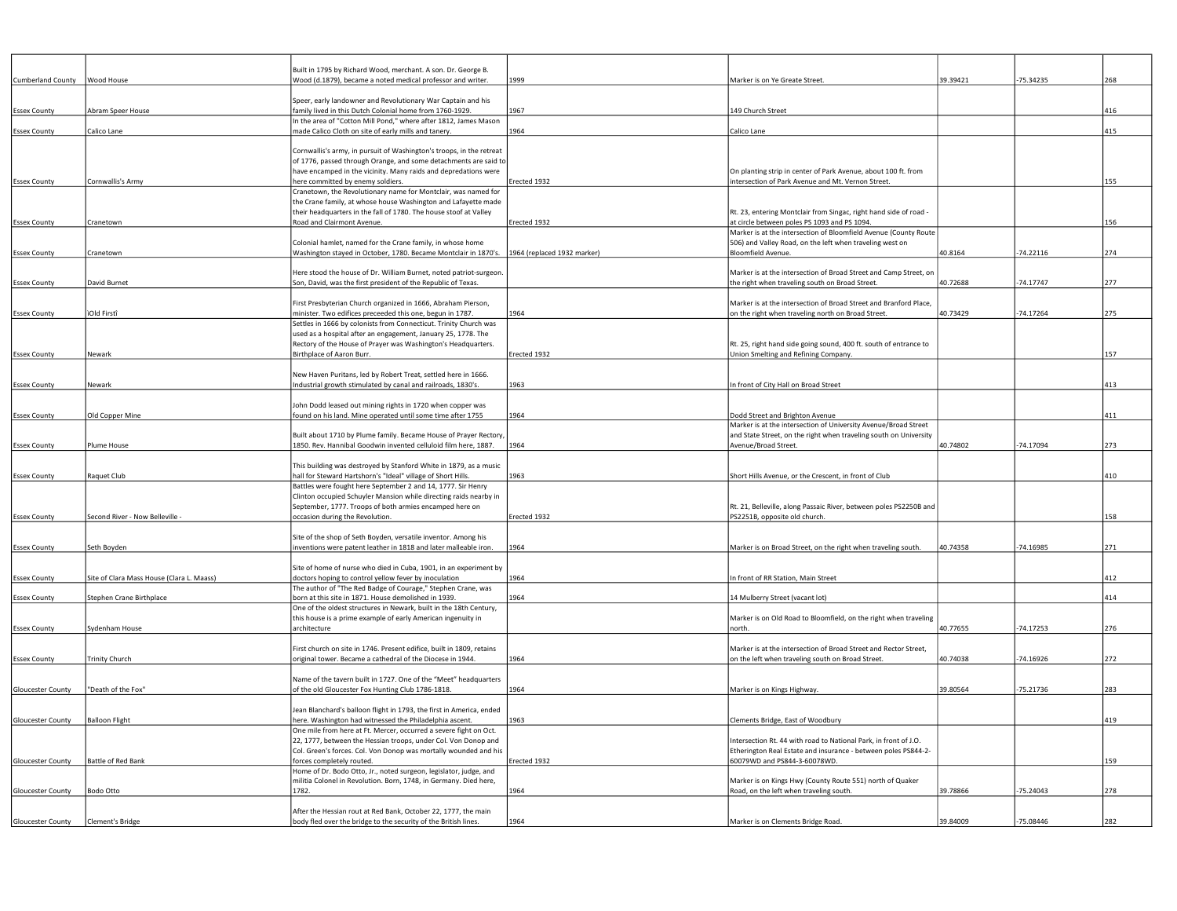|                          |                                           | Built in 1795 by Richard Wood, merchant. A son. Dr. George B.                                                                   |                             |                                                                                                                                      |          |             |     |
|--------------------------|-------------------------------------------|---------------------------------------------------------------------------------------------------------------------------------|-----------------------------|--------------------------------------------------------------------------------------------------------------------------------------|----------|-------------|-----|
| <b>Cumberland County</b> | Wood House                                | Wood (d.1879), became a noted medical professor and writer.                                                                     | 1999                        | Marker is on Ye Greate Street                                                                                                        | 39.39421 | 75.34235    | 268 |
|                          |                                           |                                                                                                                                 |                             |                                                                                                                                      |          |             |     |
|                          |                                           | Speer, early landowner and Revolutionary War Captain and his<br>family lived in this Dutch Colonial home from 1760-1929.        | 1967                        |                                                                                                                                      |          |             |     |
| <b>Essex County</b>      | Abram Speer House                         | In the area of "Cotton Mill Pond," where after 1812, James Mason                                                                |                             | 149 Church Street                                                                                                                    |          |             | 416 |
| <b>Essex County</b>      | Calico Lane                               | made Calico Cloth on site of early mills and tanery.                                                                            | 1964                        | Calico Lane                                                                                                                          |          |             | 415 |
|                          |                                           |                                                                                                                                 |                             |                                                                                                                                      |          |             |     |
|                          |                                           | Cornwallis's army, in pursuit of Washington's troops, in the retreat                                                            |                             |                                                                                                                                      |          |             |     |
|                          |                                           | of 1776, passed through Orange, and some detachments are said to                                                                |                             |                                                                                                                                      |          |             |     |
|                          |                                           | have encamped in the vicinity. Many raids and depredations were                                                                 |                             | On planting strip in center of Park Avenue, about 100 ft. from                                                                       |          |             |     |
| <b>Essex County</b>      | Cornwallis's Army                         | here committed by enemy soldiers.                                                                                               | Erected 1932                | intersection of Park Avenue and Mt. Vernon Street.                                                                                   |          |             | 155 |
|                          |                                           | Cranetown, the Revolutionary name for Montclair, was named for                                                                  |                             |                                                                                                                                      |          |             |     |
|                          |                                           | the Crane family, at whose house Washington and Lafayette made                                                                  |                             |                                                                                                                                      |          |             |     |
| <b>Essex County</b>      | Cranetown                                 | their headquarters in the fall of 1780. The house stoof at Valley<br>Road and Clairmont Avenue.                                 | Erected 1932                | Rt. 23, entering Montclair from Singac, right hand side of road -<br>at circle between poles PS 1093 and PS 1094.                    |          |             | 156 |
|                          |                                           |                                                                                                                                 |                             | Marker is at the intersection of Bloomfield Avenue (County Route                                                                     |          |             |     |
|                          |                                           | Colonial hamlet, named for the Crane family, in whose home                                                                      |                             | 506) and Valley Road, on the left when traveling west on                                                                             |          |             |     |
| <b>Essex County</b>      | Cranetown                                 | Washington stayed in October, 1780. Became Montclair in 1870's.                                                                 | 1964 (replaced 1932 marker) | Bloomfield Avenue.                                                                                                                   | 40.8164  | $-74.22116$ | 274 |
|                          |                                           |                                                                                                                                 |                             |                                                                                                                                      |          |             |     |
|                          |                                           | Here stood the house of Dr. William Burnet, noted patriot-surgeon.                                                              |                             | Marker is at the intersection of Broad Street and Camp Street, on                                                                    |          |             |     |
| <b>Essex County</b>      | David Burnet                              | Son, David, was the first president of the Republic of Texas.                                                                   |                             | the right when traveling south on Broad Street.                                                                                      | 40.72688 | $-74.17747$ | 277 |
|                          |                                           |                                                                                                                                 |                             |                                                                                                                                      |          |             |     |
|                          |                                           | First Presbyterian Church organized in 1666, Abraham Pierson,                                                                   |                             | Marker is at the intersection of Broad Street and Branford Place,                                                                    |          |             |     |
| <b>Essex County</b>      | ìOld Firstî                               | minister. Two edifices preceeded this one, begun in 1787.<br>Settles in 1666 by colonists from Connecticut. Trinity Church was  | 1964                        | on the right when traveling north on Broad Street.                                                                                   | 40.73429 | $-74.17264$ | 275 |
|                          |                                           | used as a hospital after an engagement, January 25, 1778. The                                                                   |                             |                                                                                                                                      |          |             |     |
|                          |                                           | Rectory of the House of Prayer was Washington's Headquarters.                                                                   |                             | Rt. 25, right hand side going sound, 400 ft. south of entrance to                                                                    |          |             |     |
| <b>Essex County</b>      | Newark                                    | Birthplace of Aaron Burr.                                                                                                       | Erected 1932                | Union Smelting and Refining Company.                                                                                                 |          |             | 157 |
|                          |                                           |                                                                                                                                 |                             |                                                                                                                                      |          |             |     |
|                          |                                           | New Haven Puritans, led by Robert Treat, settled here in 1666.                                                                  |                             |                                                                                                                                      |          |             |     |
| <b>Essex County</b>      | Newark                                    | Industrial growth stimulated by canal and railroads, 1830's.                                                                    | 1963                        | In front of City Hall on Broad Street                                                                                                |          |             | 413 |
|                          |                                           |                                                                                                                                 |                             |                                                                                                                                      |          |             |     |
|                          |                                           | John Dodd leased out mining rights in 1720 when copper was                                                                      |                             |                                                                                                                                      |          |             |     |
| <b>Essex County</b>      | Old Copper Mine                           | found on his land. Mine operated until some time after 1755                                                                     | 1964                        | Dodd Street and Brighton Avenue                                                                                                      |          |             | 411 |
|                          |                                           | Built about 1710 by Plume family. Became House of Prayer Rectory,                                                               |                             | Marker is at the intersection of University Avenue/Broad Street<br>and State Street, on the right when traveling south on University |          |             |     |
| <b>Essex County</b>      | Plume House                               | 1850. Rev. Hannibal Goodwin invented celluloid film here, 1887.                                                                 | 1964                        | Avenue/Broad Street.                                                                                                                 | 40.74802 | $-74.17094$ | 273 |
|                          |                                           |                                                                                                                                 |                             |                                                                                                                                      |          |             |     |
|                          |                                           | This building was destroyed by Stanford White in 1879, as a music                                                               |                             |                                                                                                                                      |          |             |     |
| <b>Essex County</b>      | Raquet Club                               | hall for Steward Hartshorn's "Ideal" village of Short Hills.                                                                    | 1963                        | Short Hills Avenue, or the Crescent, in front of Club                                                                                |          |             | 410 |
|                          |                                           | Battles were fought here September 2 and 14, 1777. Sir Henry                                                                    |                             |                                                                                                                                      |          |             |     |
|                          |                                           | Clinton occupied Schuyler Mansion while directing raids nearby in                                                               |                             |                                                                                                                                      |          |             |     |
|                          |                                           | September, 1777. Troops of both armies encamped here on                                                                         |                             | Rt. 21, Belleville, along Passaic River, between poles PS2250B and                                                                   |          |             |     |
| <b>Essex County</b>      | Second River - Now Belleville -           | occasion during the Revolution.                                                                                                 | Erected 1932                | PS2251B, opposite old church.                                                                                                        |          |             | 158 |
|                          |                                           | Site of the shop of Seth Boyden, versatile inventor. Among his                                                                  |                             |                                                                                                                                      |          |             |     |
| <b>Essex County</b>      | Seth Boyden                               | inventions were patent leather in 1818 and later malleable iron.                                                                | 1964                        | Marker is on Broad Street, on the right when traveling south.                                                                        | 40.74358 | $-74.16985$ | 271 |
|                          |                                           |                                                                                                                                 |                             |                                                                                                                                      |          |             |     |
|                          |                                           | Site of home of nurse who died in Cuba, 1901, in an experiment by                                                               |                             |                                                                                                                                      |          |             |     |
| <b>Essex County</b>      | Site of Clara Mass House (Clara L. Maass) | doctors hoping to control yellow fever by inoculation                                                                           | 1964                        | In front of RR Station, Main Street                                                                                                  |          |             | 412 |
|                          |                                           | The author of "The Red Badge of Courage," Stephen Crane, was                                                                    |                             |                                                                                                                                      |          |             |     |
| <b>Essex County</b>      | Stephen Crane Birthplace                  | born at this site in 1871. House demolished in 1939.                                                                            | 1964                        | 14 Mulberry Street (vacant lot)                                                                                                      |          |             | 414 |
|                          |                                           | One of the oldest structures in Newark, built in the 18th Century,                                                              |                             |                                                                                                                                      |          |             |     |
| <b>Essex County</b>      | Sydenham House                            | this house is a prime example of early American ingenuity in<br>architecture                                                    |                             | Marker is on Old Road to Bloomfield, on the right when traveling<br>north                                                            | 40.77655 | $-74.17253$ | 276 |
|                          |                                           |                                                                                                                                 |                             |                                                                                                                                      |          |             |     |
|                          |                                           | First church on site in 1746. Present edifice, built in 1809, retains                                                           |                             | Marker is at the intersection of Broad Street and Rector Street,                                                                     |          |             |     |
| <b>Essex County</b>      | <b>Trinity Church</b>                     | original tower. Became a cathedral of the Diocese in 1944.                                                                      | 1964                        | on the left when traveling south on Broad Street.                                                                                    | 40.74038 | -74.16926   | 272 |
|                          |                                           |                                                                                                                                 |                             |                                                                                                                                      |          |             |     |
|                          |                                           | Name of the tavern built in 1727. One of the "Meet" headquarters                                                                |                             |                                                                                                                                      |          |             |     |
| Gloucester County        | "Death of the Fox"                        | of the old Gloucester Fox Hunting Club 1786-1818.                                                                               | 1964                        | Marker is on Kings Highway.                                                                                                          | 39.80564 | $-75.21736$ | 283 |
|                          |                                           |                                                                                                                                 |                             |                                                                                                                                      |          |             |     |
| Gloucester County        | <b>Balloon Flight</b>                     | Jean Blanchard's balloon flight in 1793, the first in America, ended<br>here. Washington had witnessed the Philadelphia ascent. | 1963                        | Clements Bridge, East of Woodbury                                                                                                    |          |             | 419 |
|                          |                                           | One mile from here at Ft. Mercer, occurred a severe fight on Oct.                                                               |                             |                                                                                                                                      |          |             |     |
|                          |                                           | 22, 1777, between the Hessian troops, under Col. Von Donop and                                                                  |                             | Intersection Rt. 44 with road to National Park, in front of J.O.                                                                     |          |             |     |
|                          |                                           | Col. Green's forces. Col. Von Donop was mortally wounded and his                                                                |                             | Etherington Real Estate and insurance - between poles PS844-2-                                                                       |          |             |     |
| Gloucester County        | Battle of Red Bank                        | forces completely routed.                                                                                                       | Erected 1932                | 60079WD and PS844-3-60078WD.                                                                                                         |          |             | 159 |
|                          |                                           | Home of Dr. Bodo Otto, Jr., noted surgeon, legislator, judge, and                                                               |                             |                                                                                                                                      |          |             |     |
|                          |                                           | militia Colonel in Revolution. Born, 1748, in Germany. Died here,                                                               |                             | Marker is on Kings Hwy (County Route 551) north of Quaker                                                                            |          |             |     |
| Gloucester County        | Bodo Otto                                 | 1782.                                                                                                                           | 1964                        | Road, on the left when traveling south.                                                                                              | 39.78866 | $-75.24043$ | 278 |
|                          |                                           | After the Hessian rout at Red Bank, October 22, 1777, the main                                                                  |                             |                                                                                                                                      |          |             |     |
| <b>Gloucester County</b> | Clement's Bridge                          | body fled over the bridge to the security of the British lines.                                                                 | 1964                        | Marker is on Clements Bridge Road.                                                                                                   | 39.84009 | $-75.08446$ | 282 |
|                          |                                           |                                                                                                                                 |                             |                                                                                                                                      |          |             |     |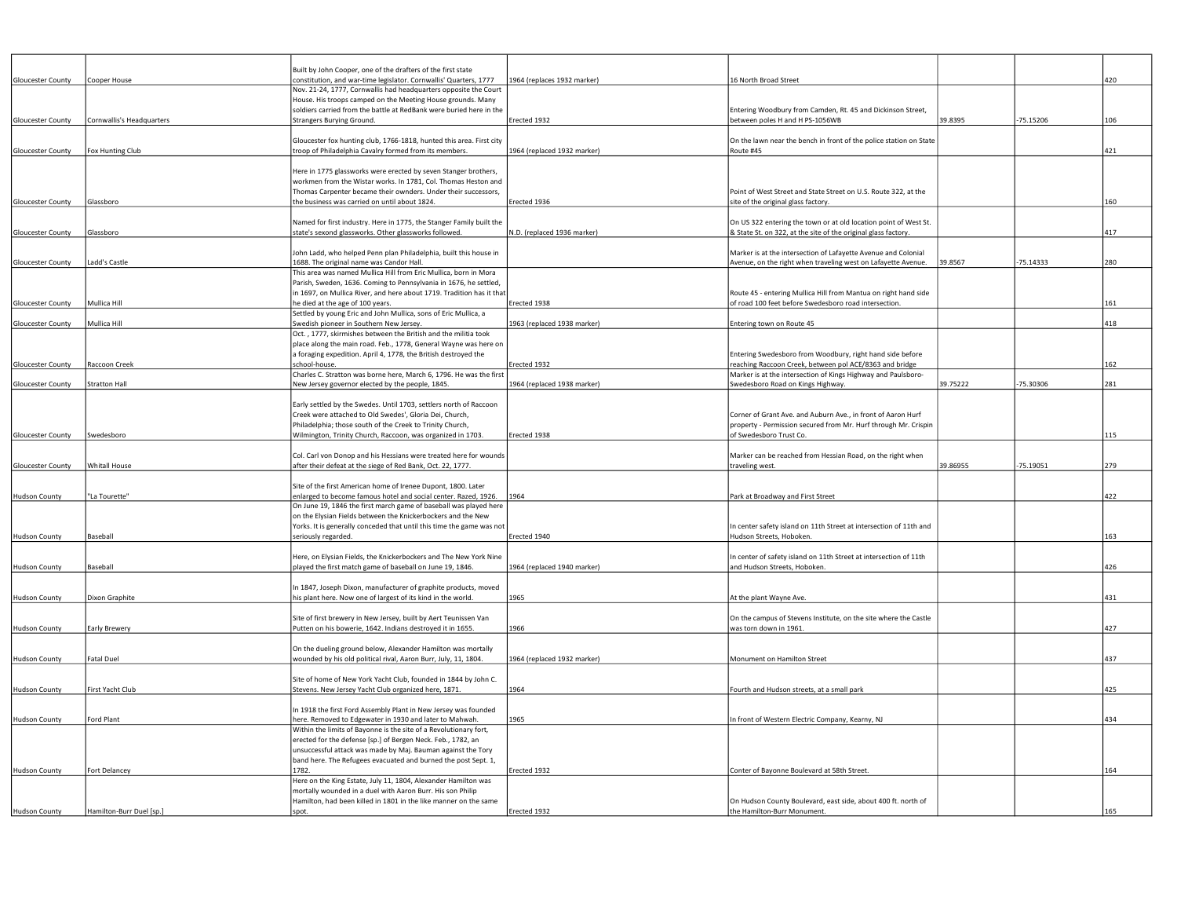|                          |                           | Built by John Cooper, one of the drafters of the first state                                     |                             |                                                                                              |          |             |     |
|--------------------------|---------------------------|--------------------------------------------------------------------------------------------------|-----------------------------|----------------------------------------------------------------------------------------------|----------|-------------|-----|
| <b>Gloucester County</b> | Cooper House              | constitution, and war-time legislator. Cornwallis' Quarters, 1777                                | 1964 (replaces 1932 marker) | 16 North Broad Street                                                                        |          |             | 420 |
|                          |                           | Nov. 21-24, 1777, Cornwallis had headquarters opposite the Court                                 |                             |                                                                                              |          |             |     |
|                          |                           | House. His troops camped on the Meeting House grounds. Many                                      |                             | Entering Woodbury from Camden, Rt. 45 and Dickinson Street,                                  |          |             |     |
| Gloucester County        | Cornwallis's Headquarters | soldiers carried from the battle at RedBank were buried here in the<br>Strangers Burying Ground. | Erected 1932                | between poles H and H PS-1056WB                                                              | 39.8395  | $-75.15206$ | 106 |
|                          |                           |                                                                                                  |                             |                                                                                              |          |             |     |
|                          |                           | Gloucester fox hunting club, 1766-1818, hunted this area. First city                             |                             | On the lawn near the bench in front of the police station on State                           |          |             |     |
| <b>Gloucester County</b> | Fox Hunting Club          | troop of Philadelphia Cavalry formed from its members.                                           | 1964 (replaced 1932 marker) | Route #45                                                                                    |          |             | 421 |
|                          |                           |                                                                                                  |                             |                                                                                              |          |             |     |
|                          |                           | Here in 1775 glassworks were erected by seven Stanger brothers,                                  |                             |                                                                                              |          |             |     |
|                          |                           | workmen from the Wistar works. In 1781, Col. Thomas Heston and                                   |                             |                                                                                              |          |             |     |
|                          |                           | Thomas Carpenter became their ownders. Under their successors,                                   |                             | Point of West Street and State Street on U.S. Route 322, at the                              |          |             |     |
| <b>Gloucester County</b> | Glassboro                 | the business was carried on until about 1824.                                                    | Erected 1936                | site of the original glass factory.                                                          |          |             | 160 |
|                          |                           |                                                                                                  |                             |                                                                                              |          |             |     |
|                          |                           | Named for first industry. Here in 1775, the Stanger Family built the                             |                             | On US 322 entering the town or at old location point of West St.                             |          |             |     |
| <b>Gloucester County</b> | Glassboro                 | state's sexond glassworks. Other glassworks followed.                                            | N.D. (replaced 1936 marker) | & State St. on 322, at the site of the original glass factory.                               |          |             | 117 |
|                          |                           | John Ladd, who helped Penn plan Philadelphia, built this house in                                |                             | Marker is at the intersection of Lafayette Avenue and Colonial                               |          |             |     |
| Gloucester County        | add's Castle              | 1688. The original name was Candor Hall.                                                         |                             | Avenue, on the right when traveling west on Lafayette Avenue.                                | 39.8567  | 75.14333    | 280 |
|                          |                           | This area was named Mullica Hill from Eric Mullica, born in Mora                                 |                             |                                                                                              |          |             |     |
|                          |                           | Parish, Sweden, 1636. Coming to Pennsylvania in 1676, he settled,                                |                             |                                                                                              |          |             |     |
|                          |                           | in 1697, on Mullica River, and here about 1719. Tradition has it that                            |                             | Route 45 - entering Mullica Hill from Mantua on right hand side                              |          |             |     |
| Gloucester County        | Mullica Hill              | he died at the age of 100 years.                                                                 | Erected 1938                | of road 100 feet before Swedesboro road intersection.                                        |          |             | 161 |
|                          |                           | Settled by young Eric and John Mullica, sons of Eric Mullica, a                                  |                             |                                                                                              |          |             |     |
| Gloucester County        | Mullica Hill              | Swedish pioneer in Southern New Jersey.                                                          | 1963 (replaced 1938 marker) | Entering town on Route 45                                                                    |          |             | 418 |
|                          |                           | Oct., 1777, skirmishes between the British and the militia took                                  |                             |                                                                                              |          |             |     |
|                          |                           | place along the main road. Feb., 1778, General Wayne was here on                                 |                             |                                                                                              |          |             |     |
|                          |                           | a foraging expedition. April 4, 1778, the British destroyed the                                  |                             | Entering Swedesboro from Woodbury, right hand side before                                    |          |             |     |
| Gloucester County        | Raccoon Creek             | school-house.                                                                                    | Erected 1932                | reaching Raccoon Creek, between pol ACE/8363 and bridge                                      |          |             | 162 |
|                          |                           | Charles C. Stratton was borne here, March 6, 1796. He was the first                              |                             | Marker is at the intersection of Kings Highway and Paulsboro-                                |          |             |     |
| Gloucester County        | <b>Stratton Hall</b>      | New Jersey governor elected by the people, 1845.                                                 | 1964 (replaced 1938 marker) | Swedesboro Road on Kings Highway.                                                            | 39.75222 | $-75.30306$ | 281 |
|                          |                           | Early settled by the Swedes. Until 1703, settlers north of Raccoon                               |                             |                                                                                              |          |             |     |
|                          |                           | Creek were attached to Old Swedes', Gloria Dei, Church,                                          |                             | Corner of Grant Ave. and Auburn Ave., in front of Aaron Hurf                                 |          |             |     |
|                          |                           | Philadelphia; those south of the Creek to Trinity Church,                                        |                             | property - Permission secured from Mr. Hurf through Mr. Crispin                              |          |             |     |
| <b>Gloucester County</b> | Swedesboro                | Wilmington, Trinity Church, Raccoon, was organized in 1703.                                      | Erected 1938                | of Swedesboro Trust Co.                                                                      |          |             | 115 |
|                          |                           |                                                                                                  |                             |                                                                                              |          |             |     |
|                          |                           | Col. Carl von Donop and his Hessians were treated here for wounds                                |                             | Marker can be reached from Hessian Road, on the right when                                   |          |             |     |
| Gloucester County        | Whitall House             | after their defeat at the siege of Red Bank, Oct. 22, 1777.                                      |                             | traveling west.                                                                              | 39.86955 | $-75.19051$ | 279 |
|                          |                           |                                                                                                  |                             |                                                                                              |          |             |     |
|                          |                           | Site of the first American home of Irenee Dupont, 1800. Later                                    |                             |                                                                                              |          |             |     |
| <b>Hudson County</b>     | "La Tourette"             | enlarged to become famous hotel and social center. Razed, 1926.                                  | 1964                        | Park at Broadway and First Street                                                            |          |             | 422 |
|                          |                           | On June 19, 1846 the first march game of baseball was played here                                |                             |                                                                                              |          |             |     |
|                          |                           | on the Elysian Fields between the Knickerbockers and the New                                     |                             |                                                                                              |          |             |     |
|                          |                           | Yorks. It is generally conceded that until this time the game was not                            |                             | In center safety island on 11th Street at intersection of 11th and                           |          |             | 163 |
| <b>Hudson County</b>     | Baseball                  | seriously regarded.                                                                              | Erected 1940                | Hudson Streets, Hoboken.                                                                     |          |             |     |
|                          |                           | Here, on Elysian Fields, the Knickerbockers and The New York Nine                                |                             | In center of safety island on 11th Street at intersection of 11th                            |          |             |     |
| <b>Hudson County</b>     | Baseball                  | played the first match game of baseball on June 19, 1846.                                        | 1964 (replaced 1940 marker) | and Hudson Streets, Hoboken.                                                                 |          |             | 426 |
|                          |                           |                                                                                                  |                             |                                                                                              |          |             |     |
|                          |                           | In 1847, Joseph Dixon, manufacturer of graphite products, moved                                  |                             |                                                                                              |          |             |     |
| <b>Hudson County</b>     | Dixon Graphite            | his plant here. Now one of largest of its kind in the world.                                     | 1965                        | At the plant Wayne Ave.                                                                      |          |             | 431 |
|                          |                           |                                                                                                  |                             |                                                                                              |          |             |     |
|                          |                           | Site of first brewery in New Jersey, built by Aert Teunissen Van                                 |                             | On the campus of Stevens Institute, on the site where the Castle                             |          |             |     |
| <b>Hudson County</b>     | Early Brewery             | Putten on his bowerie, 1642. Indians destroyed it in 1655.                                       | 1966                        | was torn down in 1961                                                                        |          |             | 427 |
|                          |                           |                                                                                                  |                             |                                                                                              |          |             |     |
|                          | Fatal Duel                | On the dueling ground below, Alexander Hamilton was mortally                                     |                             |                                                                                              |          |             | 437 |
| <b>Hudson County</b>     |                           | wounded by his old political rival, Aaron Burr, July, 11, 1804.                                  | 1964 (replaced 1932 marker) | Monument on Hamilton Street                                                                  |          |             |     |
|                          |                           | Site of home of New York Yacht Club, founded in 1844 by John C.                                  |                             |                                                                                              |          |             |     |
| <b>Hudson County</b>     | First Yacht Club          | Stevens. New Jersey Yacht Club organized here, 1871.                                             | 1964                        | Fourth and Hudson streets, at a small park                                                   |          |             | 425 |
|                          |                           |                                                                                                  |                             |                                                                                              |          |             |     |
|                          |                           | In 1918 the first Ford Assembly Plant in New Jersey was founded                                  |                             |                                                                                              |          |             |     |
| <b>Hudson County</b>     | Ford Plant                | here. Removed to Edgewater in 1930 and later to Mahwah.                                          | 1965                        | In front of Western Electric Company, Kearny, NJ                                             |          |             | 434 |
|                          |                           | Within the limits of Bayonne is the site of a Revolutionary fort,                                |                             |                                                                                              |          |             |     |
|                          |                           | erected for the defense [sp.] of Bergen Neck. Feb., 1782, an                                     |                             |                                                                                              |          |             |     |
|                          |                           | unsuccessful attack was made by Maj. Bauman against the Tory                                     |                             |                                                                                              |          |             |     |
|                          |                           | band here. The Refugees evacuated and burned the post Sept. 1,                                   |                             |                                                                                              |          |             |     |
| Hudson County            | Fort Delancey             | 1782.                                                                                            | Erected 1932                | Conter of Bayonne Boulevard at 58th Street.                                                  |          |             | 164 |
|                          |                           | Here on the King Estate, July 11, 1804, Alexander Hamilton was                                   |                             |                                                                                              |          |             |     |
|                          |                           | mortally wounded in a duel with Aaron Burr. His son Philip                                       |                             |                                                                                              |          |             |     |
| <b>Hudson County</b>     | Hamilton-Burr Duel [sp.]  | Hamilton, had been killed in 1801 in the like manner on the same<br>spot.                        | Erected 1932                | On Hudson County Boulevard, east side, about 400 ft. north of<br>the Hamilton-Burr Monument. |          |             | 165 |
|                          |                           |                                                                                                  |                             |                                                                                              |          |             |     |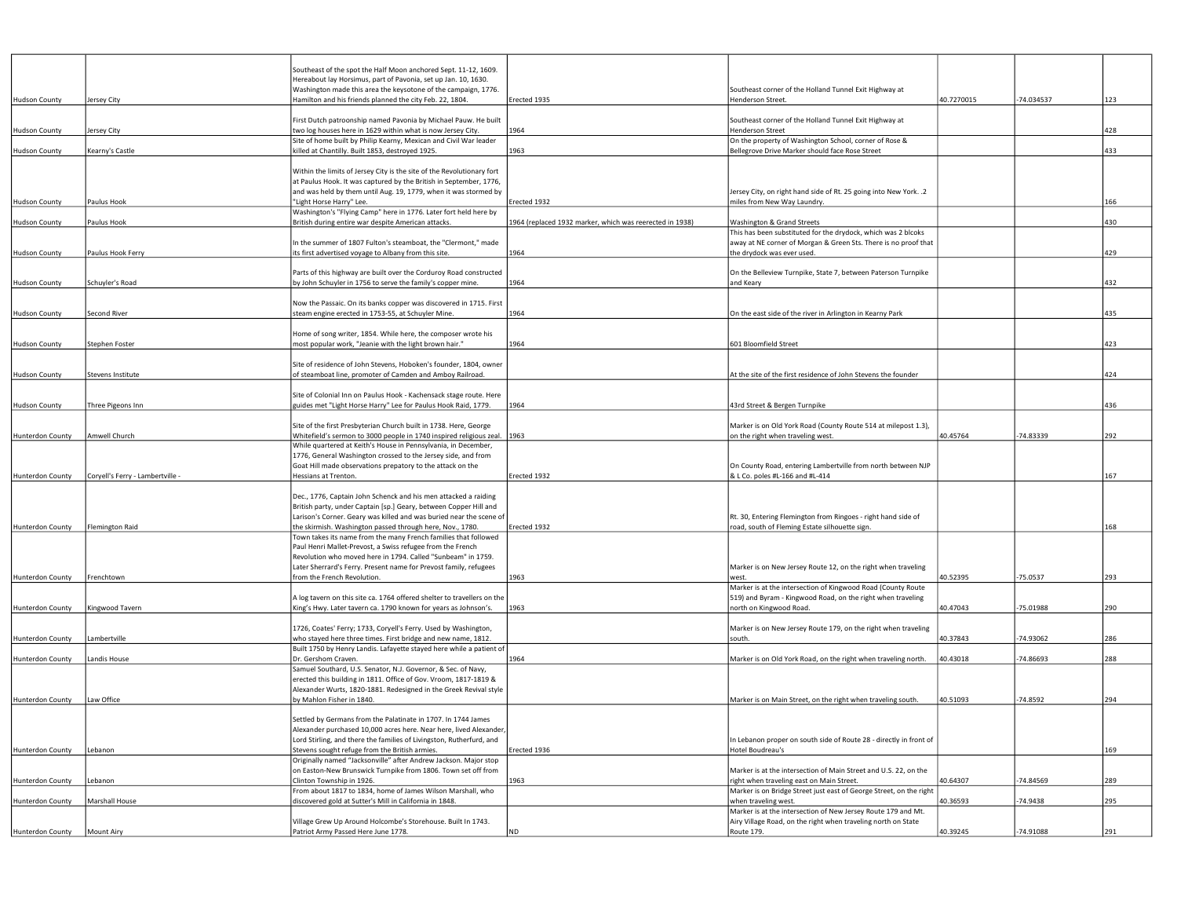|                         |                                  | Southeast of the spot the Half Moon anchored Sept. 11-12, 1609.                                                                      |                                                          |                                                                                       |            |             |     |
|-------------------------|----------------------------------|--------------------------------------------------------------------------------------------------------------------------------------|----------------------------------------------------------|---------------------------------------------------------------------------------------|------------|-------------|-----|
|                         |                                  | Hereabout lay Horsimus, part of Pavonia, set up Jan. 10, 1630.                                                                       |                                                          |                                                                                       |            |             |     |
| <b>Hudson County</b>    | Jersey City                      | Washington made this area the keysotone of the campaign, 1776.<br>Hamilton and his friends planned the city Feb. 22, 1804.           | Erected 1935                                             | Southeast corner of the Holland Tunnel Exit Highway at<br>Henderson Street.           | 40.7270015 | -74.034537  | 123 |
|                         |                                  |                                                                                                                                      |                                                          |                                                                                       |            |             |     |
|                         |                                  | First Dutch patroonship named Pavonia by Michael Pauw. He built                                                                      |                                                          | Southeast corner of the Holland Tunnel Exit Highway at                                |            |             |     |
| <b>Hudson County</b>    | Jersey City                      | two log houses here in 1629 within what is now Jersey City.                                                                          | 1964                                                     | <b>Henderson Street</b>                                                               |            |             | 428 |
|                         |                                  | Site of home built by Philip Kearny, Mexican and Civil War leader                                                                    |                                                          | On the property of Washington School, corner of Rose &                                |            |             |     |
| <b>Hudson County</b>    | Kearny's Castle                  | killed at Chantilly. Built 1853, destroyed 1925.                                                                                     | 1963                                                     | Bellegrove Drive Marker should face Rose Street                                       |            |             | 433 |
|                         |                                  |                                                                                                                                      |                                                          |                                                                                       |            |             |     |
|                         |                                  | Within the limits of Jersey City is the site of the Revolutionary fort                                                               |                                                          |                                                                                       |            |             |     |
|                         |                                  | at Paulus Hook. It was captured by the British in September, 1776,                                                                   |                                                          | Jersey City, on right hand side of Rt. 25 going into New York. .2                     |            |             |     |
| <b>Hudson County</b>    | Paulus Hook                      | and was held by them until Aug. 19, 1779, when it was stormed by<br>"Light Horse Harry" Lee.                                         | Erected 1932                                             | miles from New Way Laundry.                                                           |            |             | 166 |
|                         |                                  | Washington's "Flying Camp" here in 1776. Later fort held here by                                                                     |                                                          |                                                                                       |            |             |     |
| <b>Hudson County</b>    | Paulus Hook                      | British during entire war despite American attacks.                                                                                  | 1964 (replaced 1932 marker, which was reerected in 1938) | Washington & Grand Streets                                                            |            |             | 430 |
|                         |                                  |                                                                                                                                      |                                                          | This has been substituted for the drydock, which was 2 blcoks                         |            |             |     |
|                         |                                  | In the summer of 1807 Fulton's steamboat, the "Clermont," made                                                                       |                                                          | away at NE corner of Morgan & Green Sts. There is no proof that                       |            |             |     |
| <b>Hudson County</b>    | Paulus Hook Ferry                | its first advertised voyage to Albany from this site.                                                                                | 1964                                                     | the drydock was ever used.                                                            |            |             | 429 |
|                         |                                  |                                                                                                                                      |                                                          |                                                                                       |            |             |     |
|                         |                                  | Parts of this highway are built over the Corduroy Road constructed                                                                   |                                                          | On the Belleview Turnpike, State 7, between Paterson Turnpike                         |            |             |     |
| <b>Hudson County</b>    | Schuyler's Road                  | by John Schuyler in 1756 to serve the family's copper mine.                                                                          | 1964                                                     | and Keary                                                                             |            |             | 432 |
|                         |                                  | Now the Passaic. On its banks copper was discovered in 1715. First                                                                   |                                                          |                                                                                       |            |             |     |
| <b>Hudson County</b>    | Second River                     | steam engine erected in 1753-55, at Schuyler Mine.                                                                                   | 1964                                                     | On the east side of the river in Arlington in Kearny Park                             |            |             | 435 |
|                         |                                  |                                                                                                                                      |                                                          |                                                                                       |            |             |     |
|                         |                                  | Home of song writer, 1854. While here, the composer wrote his                                                                        |                                                          |                                                                                       |            |             |     |
| <b>Hudson County</b>    | Stephen Foster                   | most popular work, "Jeanie with the light brown hair."                                                                               | 1964                                                     | 601 Bloomfield Street                                                                 |            |             | 423 |
|                         |                                  |                                                                                                                                      |                                                          |                                                                                       |            |             |     |
|                         |                                  | Site of residence of John Stevens, Hoboken's founder, 1804, owner                                                                    |                                                          |                                                                                       |            |             |     |
| <b>Hudson County</b>    | Stevens Institute                | of steamboat line, promoter of Camden and Amboy Railroad.                                                                            |                                                          | At the site of the first residence of John Stevens the founder                        |            |             | 424 |
|                         |                                  |                                                                                                                                      |                                                          |                                                                                       |            |             |     |
| <b>Hudson County</b>    | Three Pigeons Inn                | Site of Colonial Inn on Paulus Hook - Kachensack stage route. Here<br>guides met "Light Horse Harry" Lee for Paulus Hook Raid, 1779. | 1964                                                     | 43rd Street & Bergen Turnpike                                                         |            |             | 436 |
|                         |                                  |                                                                                                                                      |                                                          |                                                                                       |            |             |     |
|                         |                                  | Site of the first Presbyterian Church built in 1738. Here, George                                                                    |                                                          | Marker is on Old York Road (County Route 514 at milepost 1.3),                        |            |             |     |
| Hunterdon County        | Amwell Church                    | Whitefield's sermon to 3000 people in 1740 inspired religious zeal.                                                                  | 1963                                                     | on the right when traveling west.                                                     | 40.45764   | -74.83339   | 292 |
|                         |                                  | While quartered at Keith's House in Pennsylvania, in December,                                                                       |                                                          |                                                                                       |            |             |     |
|                         |                                  | 1776, General Washington crossed to the Jersey side, and from                                                                        |                                                          |                                                                                       |            |             |     |
|                         |                                  | Goat Hill made observations prepatory to the attack on the                                                                           |                                                          | On County Road, entering Lambertville from north between NJP                          |            |             |     |
| Hunterdon County        | Coryell's Ferry - Lambertville - | Hessians at Trenton.                                                                                                                 | Erected 1932                                             | & L Co. poles #L-166 and #L-414                                                       |            |             | 167 |
|                         |                                  | Dec., 1776, Captain John Schenck and his men attacked a raiding                                                                      |                                                          |                                                                                       |            |             |     |
|                         |                                  | British party, under Captain [sp.] Geary, between Copper Hill and                                                                    |                                                          |                                                                                       |            |             |     |
|                         |                                  | Larison's Corner. Geary was killed and was buried near the scene of                                                                  |                                                          | Rt. 30, Entering Flemington from Ringoes - right hand side of                         |            |             |     |
| Hunterdon County        | Flemington Raid                  | the skirmish. Washington passed through here, Nov., 1780.                                                                            | Erected 1932                                             | road, south of Fleming Estate silhouette sign.                                        |            |             | 168 |
|                         |                                  | Town takes its name from the many French families that followed                                                                      |                                                          |                                                                                       |            |             |     |
|                         |                                  | Paul Henri Mallet-Prevost, a Swiss refugee from the French                                                                           |                                                          |                                                                                       |            |             |     |
|                         |                                  | Revolution who moved here in 1794. Called "Sunbeam" in 1759.                                                                         |                                                          |                                                                                       |            |             |     |
|                         |                                  | Later Sherrard's Ferry. Present name for Prevost family, refugees                                                                    |                                                          | Marker is on New Jersey Route 12, on the right when traveling                         |            |             |     |
| Hunterdon County        | Frenchtown                       | from the French Revolution.                                                                                                          | 1963                                                     | west.                                                                                 |            |             | 293 |
|                         |                                  |                                                                                                                                      |                                                          |                                                                                       | 40.52395   | $-75.0537$  |     |
| Hunterdon County        |                                  |                                                                                                                                      |                                                          | Marker is at the intersection of Kingwood Road (County Route                          |            |             |     |
|                         |                                  | A log tavern on this site ca. 1764 offered shelter to travellers on the                                                              |                                                          | 519) and Byram - Kingwood Road, on the right when traveling                           |            |             |     |
|                         | Kingwood Tavern                  | King's Hwy. Later tavern ca. 1790 known for years as Johnson's.                                                                      | 1963                                                     | north on Kingwood Road.                                                               | 40.47043   | -75.01988   | 290 |
|                         |                                  | 1726, Coates' Ferry; 1733, Coryell's Ferry. Used by Washington,                                                                      |                                                          | Marker is on New Jersey Route 179, on the right when traveling                        |            |             |     |
| <b>Hunterdon County</b> | Lambertville                     | who stayed here three times. First bridge and new name, 1812.                                                                        |                                                          | south.                                                                                | 40.37843   | 74.93062    | 286 |
|                         |                                  | Built 1750 by Henry Landis. Lafayette stayed here while a patient of                                                                 |                                                          |                                                                                       |            |             |     |
| Hunterdon County        | Landis House                     | Dr. Gershom Craven.                                                                                                                  | 1964                                                     | Marker is on Old York Road, on the right when traveling north.                        | 40.43018   | $-74.86693$ | 288 |
|                         |                                  | Samuel Southard, U.S. Senator, N.J. Governor, & Sec. of Navy,                                                                        |                                                          |                                                                                       |            |             |     |
|                         |                                  | erected this building in 1811. Office of Gov. Vroom, 1817-1819 &                                                                     |                                                          |                                                                                       |            |             |     |
|                         |                                  | Alexander Wurts, 1820-1881. Redesigned in the Greek Revival style                                                                    |                                                          |                                                                                       |            |             |     |
| <b>Hunterdon County</b> | Law Office                       | by Mahlon Fisher in 1840.                                                                                                            |                                                          | Marker is on Main Street, on the right when traveling south.                          | 40.51093   | $-74.8592$  | 294 |
|                         |                                  | Settled by Germans from the Palatinate in 1707. In 1744 James                                                                        |                                                          |                                                                                       |            |             |     |
|                         |                                  | Alexander purchased 10,000 acres here. Near here, lived Alexander,                                                                   |                                                          |                                                                                       |            |             |     |
|                         |                                  | Lord Stirling, and there the families of Livingston, Rutherfurd, and                                                                 |                                                          | In Lebanon proper on south side of Route 28 - directly in front of                    |            |             |     |
| Hunterdon County        | Lebanon                          | Stevens sought refuge from the British armies.                                                                                       | Erected 1936                                             | Hotel Boudreau's                                                                      |            |             | 169 |
|                         |                                  | Originally named "Jacksonville" after Andrew Jackson. Major stop                                                                     |                                                          |                                                                                       |            |             |     |
|                         |                                  | on Easton-New Brunswick Turnpike from 1806. Town set off from                                                                        |                                                          | Marker is at the intersection of Main Street and U.S. 22, on the                      |            |             |     |
| <b>Hunterdon County</b> | Lebanon                          | Clinton Township in 1926.                                                                                                            | 1963                                                     | right when traveling east on Main Street.                                             | 40.64307   | 74.84569    | 289 |
|                         | Marshall House                   | From about 1817 to 1834, home of James Wilson Marshall, who                                                                          |                                                          | Marker is on Bridge Street just east of George Street, on the right                   |            |             |     |
| <b>Hunterdon County</b> |                                  | discovered gold at Sutter's Mill in California in 1848.                                                                              |                                                          | when traveling west.<br>Marker is at the intersection of New Jersey Route 179 and Mt. | 40.36593   | $-74.9438$  | 295 |
|                         |                                  | Village Grew Up Around Holcombe's Storehouse. Built In 1743.                                                                         |                                                          | Airy Village Road, on the right when traveling north on State                         |            |             |     |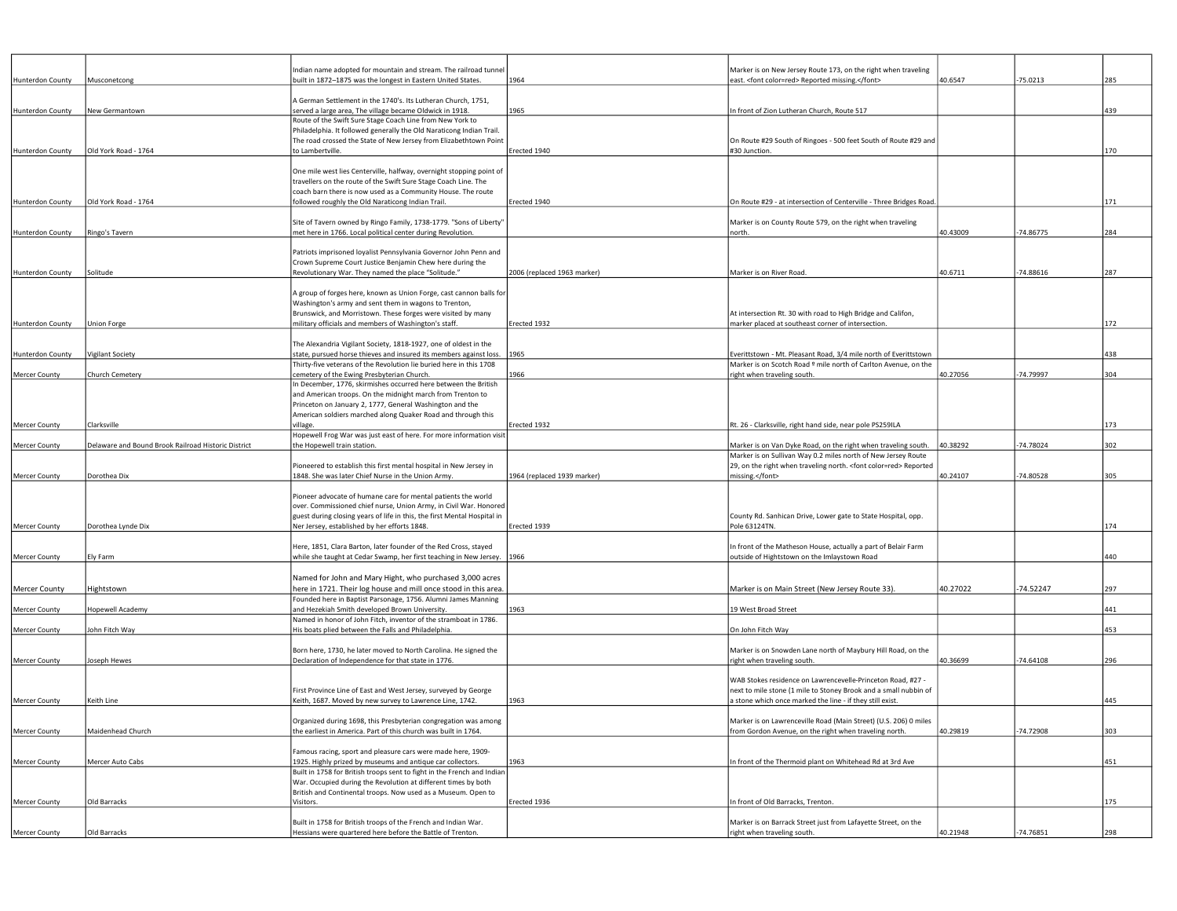|                         |                                                     | Indian name adopted for mountain and stream. The railroad tunnel         |                             | Marker is on New Jersey Route 173, on the right when traveling            |          |             |     |
|-------------------------|-----------------------------------------------------|--------------------------------------------------------------------------|-----------------------------|---------------------------------------------------------------------------|----------|-------------|-----|
| <b>Hunterdon County</b> | Musconetcong                                        | built in 1872-1875 was the longest in Eastern United States.             | 1964                        | east. < font color=red> Reported missing.                                 | 40.6547  | 75.0213     | 285 |
|                         |                                                     |                                                                          |                             |                                                                           |          |             |     |
|                         |                                                     |                                                                          |                             |                                                                           |          |             |     |
|                         |                                                     | A German Settlement in the 1740's. Its Lutheran Church, 1751,            |                             |                                                                           |          |             |     |
| Hunterdon County        | New Germantown                                      | served a large area, The village became Oldwick in 1918.                 | 1965                        | In front of Zion Lutheran Church, Route 517                               |          |             | 439 |
|                         |                                                     | Route of the Swift Sure Stage Coach Line from New York to                |                             |                                                                           |          |             |     |
|                         |                                                     | Philadelphia. It followed generally the Old Naraticong Indian Trail.     |                             |                                                                           |          |             |     |
|                         |                                                     | The road crossed the State of New Jersey from Elizabethtown Point        |                             | On Route #29 South of Ringoes - 500 feet South of Route #29 and           |          |             |     |
| Hunterdon County        | Old York Road - 1764                                | to Lambertville.                                                         | Erected 1940                | #30 Junction.                                                             |          |             | 170 |
|                         |                                                     |                                                                          |                             |                                                                           |          |             |     |
|                         |                                                     |                                                                          |                             |                                                                           |          |             |     |
|                         |                                                     | One mile west lies Centerville, halfway, overnight stopping point of     |                             |                                                                           |          |             |     |
|                         |                                                     | travellers on the route of the Swift Sure Stage Coach Line. The          |                             |                                                                           |          |             |     |
|                         |                                                     | coach barn there is now used as a Community House. The route             |                             |                                                                           |          |             |     |
| <b>Hunterdon County</b> | Old York Road - 1764                                | followed roughly the Old Naraticong Indian Trail.                        | Erected 1940                | On Route #29 - at intersection of Centerville - Three Bridges Road.       |          |             | 171 |
|                         |                                                     |                                                                          |                             |                                                                           |          |             |     |
|                         |                                                     | Site of Tavern owned by Ringo Family, 1738-1779. "Sons of Liberty"       |                             | Marker is on County Route 579, on the right when traveling                |          |             |     |
|                         | Ringo's Tavern                                      |                                                                          |                             |                                                                           |          |             | 284 |
| <b>Hunterdon County</b> |                                                     | met here in 1766. Local political center during Revolution.              |                             | north.                                                                    | 40.43009 | $-74.86775$ |     |
|                         |                                                     |                                                                          |                             |                                                                           |          |             |     |
|                         |                                                     | Patriots imprisoned loyalist Pennsylvania Governor John Penn and         |                             |                                                                           |          |             |     |
|                         |                                                     | Crown Supreme Court Justice Benjamin Chew here during the                |                             |                                                                           |          |             |     |
| Hunterdon County        | Solitude                                            | Revolutionary War. They named the place "Solitude."                      | 2006 (replaced 1963 marker) | Marker is on River Road.                                                  | 40.6711  | $-74.88616$ | 287 |
|                         |                                                     |                                                                          |                             |                                                                           |          |             |     |
|                         |                                                     |                                                                          |                             |                                                                           |          |             |     |
|                         |                                                     | A group of forges here, known as Union Forge, cast cannon balls for      |                             |                                                                           |          |             |     |
|                         |                                                     | Washington's army and sent them in wagons to Trenton,                    |                             |                                                                           |          |             |     |
|                         |                                                     | Brunswick, and Morristown. These forges were visited by many             |                             | At intersection Rt. 30 with road to High Bridge and Califon,              |          |             |     |
| Hunterdon County        | Union Forge                                         | military officials and members of Washington's staff.                    | Erected 1932                | marker placed at southeast corner of intersection.                        |          |             | 172 |
|                         |                                                     |                                                                          |                             |                                                                           |          |             |     |
|                         |                                                     | The Alexandria Vigilant Society, 1818-1927, one of oldest in the         |                             |                                                                           |          |             |     |
| Hunterdon County        | Vigilant Society                                    | state, pursued horse thieves and insured its members against loss.       | 1965                        | Everittstown - Mt. Pleasant Road, 3/4 mile north of Everittstown          |          |             | 438 |
|                         |                                                     |                                                                          |                             |                                                                           |          |             |     |
|                         |                                                     | Thirty-five veterans of the Revolution lie buried here in this 1708      |                             | Marker is on Scotch Road º mile north of Carlton Avenue, on the           |          |             |     |
| <b>Mercer County</b>    | Church Cemetery                                     | emetery of the Ewing Presbyterian Church.                                | 1966                        | right when traveling south.                                               | 40.27056 | -74.79997   | 304 |
|                         |                                                     | In December, 1776, skirmishes occurred here between the British          |                             |                                                                           |          |             |     |
|                         |                                                     | and American troops. On the midnight march from Trenton to               |                             |                                                                           |          |             |     |
|                         |                                                     | Princeton on January 2, 1777, General Washington and the                 |                             |                                                                           |          |             |     |
|                         |                                                     | American soldiers marched along Quaker Road and through this             |                             |                                                                           |          |             |     |
|                         |                                                     |                                                                          |                             |                                                                           |          |             |     |
| Mercer County           | Clarksville                                         | village.                                                                 | Erected 1932                | Rt. 26 - Clarksville, right hand side, near pole PS259ILA                 |          |             | 173 |
|                         |                                                     | Hopewell Frog War was just east of here. For more information visit      |                             |                                                                           |          |             |     |
| <b>Mercer County</b>    | Delaware and Bound Brook Railroad Historic District | the Hopewell train station.                                              |                             | Marker is on Van Dyke Road, on the right when traveling south.            | 40.38292 | $-74.78024$ | 302 |
|                         |                                                     |                                                                          |                             | Marker is on Sullivan Way 0.2 miles north of New Jersey Route             |          |             |     |
|                         |                                                     | Pioneered to establish this first mental hospital in New Jersey in       |                             | 29, on the right when traveling north. <font color="red"> Reported</font> |          |             |     |
| Mercer County           | Dorothea Dix                                        | 1848. She was later Chief Nurse in the Union Army.                       | 1964 (replaced 1939 marker) | missing.                                                                  | 40.24107 | $-74.80528$ | 305 |
|                         |                                                     |                                                                          |                             |                                                                           |          |             |     |
|                         |                                                     |                                                                          |                             |                                                                           |          |             |     |
|                         |                                                     | Pioneer advocate of humane care for mental patients the world            |                             |                                                                           |          |             |     |
|                         |                                                     | over. Commissioned chief nurse, Union Army, in Civil War. Honored        |                             |                                                                           |          |             |     |
|                         |                                                     | guest during closing years of life in this, the first Mental Hospital in |                             | County Rd. Sanhican Drive, Lower gate to State Hospital, opp.             |          |             |     |
| <b>Mercer County</b>    | Dorothea Lynde Dix                                  | Ner Jersey, established by her efforts 1848.                             | Erected 1939                | Pole 63124TN.                                                             |          |             | 174 |
|                         |                                                     |                                                                          |                             |                                                                           |          |             |     |
|                         |                                                     | Here, 1851, Clara Barton, later founder of the Red Cross, stayed         |                             | In front of the Matheson House, actually a part of Belair Farm            |          |             |     |
| Mercer County           | Ely Farm                                            | while she taught at Cedar Swamp, her first teaching in New Jersey. 1966  |                             | outside of Hightstown on the Imlaystown Road                              |          |             | 140 |
|                         |                                                     |                                                                          |                             |                                                                           |          |             |     |
|                         |                                                     |                                                                          |                             |                                                                           |          |             |     |
|                         |                                                     | Named for John and Mary Hight, who purchased 3,000 acres                 |                             |                                                                           |          |             |     |
| Mercer County           | Hightstown                                          | here in 1721. Their log house and mill once stood in this area.          |                             | Marker is on Main Street (New Jersey Route 33).                           | 40.27022 | $-74.52247$ | 297 |
|                         |                                                     | Founded here in Baptist Parsonage, 1756. Alumni James Manning            |                             |                                                                           |          |             |     |
| Mercer County           | Hopewell Academy                                    | and Hezekiah Smith developed Brown University.                           | 1963                        | 19 West Broad Street                                                      |          |             | 441 |
|                         |                                                     | Named in honor of John Fitch, inventor of the stramboat in 1786.         |                             |                                                                           |          |             |     |
|                         |                                                     |                                                                          |                             |                                                                           |          |             |     |
| Mercer County           | John Fitch Way                                      | His boats plied between the Falls and Philadelphia.                      |                             | On John Fitch Way                                                         |          |             | 453 |
|                         |                                                     |                                                                          |                             |                                                                           |          |             |     |
|                         |                                                     | Born here, 1730, he later moved to North Carolina. He signed the         |                             | Marker is on Snowden Lane north of Maybury Hill Road, on the              |          |             |     |
| Mercer County           | Joseph Hewes                                        | Declaration of Independence for that state in 1776.                      |                             | right when traveling south.                                               | 40.36699 | $-74.64108$ | 296 |
|                         |                                                     |                                                                          |                             |                                                                           |          |             |     |
|                         |                                                     |                                                                          |                             | WAB Stokes residence on Lawrencevelle-Princeton Road, #27 -               |          |             |     |
|                         |                                                     | First Province Line of East and West Jersey, surveyed by George          |                             | next to mile stone (1 mile to Stoney Brook and a small nubbin of          |          |             |     |
|                         |                                                     |                                                                          |                             |                                                                           |          |             |     |
| Mercer County           | Keith Line                                          | Keith, 1687. Moved by new survey to Lawrence Line, 1742.                 | 1963                        | a stone which once marked the line - if they still exist.                 |          |             | 445 |
|                         |                                                     |                                                                          |                             |                                                                           |          |             |     |
|                         |                                                     | Organized during 1698, this Presbyterian congregation was among          |                             | Aarker is on Lawrenceville Road (Main Street) (U.S. 206) 0 miles          |          |             |     |
| Mercer County           | Maidenhead Church                                   | the earliest in America. Part of this church was built in 1764.          |                             | from Gordon Avenue, on the right when traveling north.                    | 40.29819 | 74.72908    | 303 |
|                         |                                                     |                                                                          |                             |                                                                           |          |             |     |
|                         |                                                     | Famous racing, sport and pleasure cars were made here, 1909-             |                             |                                                                           |          |             |     |
| Mercer County           | Mercer Auto Cabs                                    | 1925. Highly prized by museums and antique car collectors.               | 1963                        | In front of the Thermoid plant on Whitehead Rd at 3rd Ave                 |          |             | 451 |
|                         |                                                     |                                                                          |                             |                                                                           |          |             |     |
|                         |                                                     | Built in 1758 for British troops sent to fight in the French and Indian  |                             |                                                                           |          |             |     |
|                         |                                                     | War. Occupied during the Revolution at different times by both           |                             |                                                                           |          |             |     |
|                         |                                                     | British and Continental troops. Now used as a Museum. Open to            |                             |                                                                           |          |             |     |
| Mercer County           | Old Barracks                                        | Visitors.                                                                | Erected 1936                | In front of Old Barracks, Trenton.                                        |          |             | 175 |
|                         |                                                     |                                                                          |                             |                                                                           |          |             |     |
|                         |                                                     | Built in 1758 for British troops of the French and Indian War.           |                             | Marker is on Barrack Street just from Lafayette Street, on the            |          |             |     |
|                         |                                                     | Hessians were quartered here before the Battle of Trenton.               |                             |                                                                           | 40.21948 | $-74.76851$ | 298 |
| <b>Mercer County</b>    | Old Barracks                                        |                                                                          |                             | right when traveling south.                                               |          |             |     |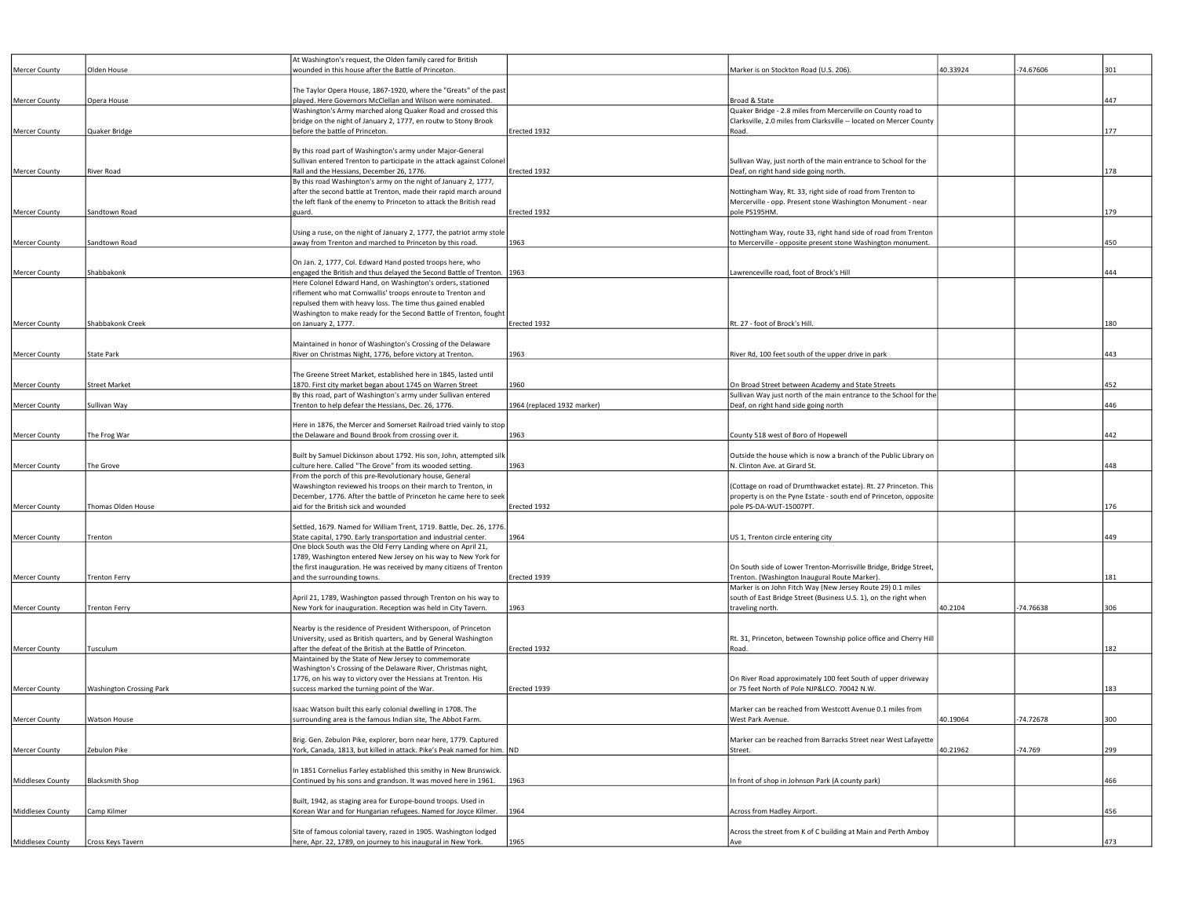|                      |                                 | At Washington's request, the Olden family cared for British<br>wounded in this house after the Battle of Princeton. |                             | Marker is on Stockton Road (U.S. 206).                              | 40.33924 | 74.67606    | 301 |
|----------------------|---------------------------------|---------------------------------------------------------------------------------------------------------------------|-----------------------------|---------------------------------------------------------------------|----------|-------------|-----|
| Mercer County        | Olden House                     |                                                                                                                     |                             |                                                                     |          |             |     |
|                      |                                 |                                                                                                                     |                             |                                                                     |          |             |     |
|                      |                                 | The Taylor Opera House, 1867-1920, where the "Greats" of the past                                                   |                             |                                                                     |          |             |     |
| Mercer County        | Opera House                     | played. Here Governors McClellan and Wilson were nominated.                                                         |                             | Broad & State                                                       |          |             | 447 |
|                      |                                 | Washington's Army marched along Quaker Road and crossed this                                                        |                             | Quaker Bridge - 2.8 miles from Mercerville on County road to        |          |             |     |
|                      |                                 | bridge on the night of January 2, 1777, en routw to Stony Brook                                                     |                             | Clarksville, 2.0 miles from Clarksville -- located on Mercer County |          |             |     |
| Mercer County        | Quaker Bridge                   | before the battle of Princeton.                                                                                     | Erected 1932                | Road.                                                               |          |             | 177 |
|                      |                                 |                                                                                                                     |                             |                                                                     |          |             |     |
|                      |                                 | By this road part of Washington's army under Major-General                                                          |                             |                                                                     |          |             |     |
|                      |                                 | Sullivan entered Trenton to participate in the attack against Colonel                                               |                             | Sullivan Way, just north of the main entrance to School for the     |          |             |     |
| Mercer County        | River Road                      | Rall and the Hessians, December 26, 1776.                                                                           | Erected 1932                | Deaf, on right hand side going north.                               |          |             | 178 |
|                      |                                 | By this road Washington's army on the night of January 2, 1777,                                                     |                             |                                                                     |          |             |     |
|                      |                                 |                                                                                                                     |                             |                                                                     |          |             |     |
|                      |                                 | after the second battle at Trenton, made their rapid march around                                                   |                             | Nottingham Way, Rt. 33, right side of road from Trenton to          |          |             |     |
|                      |                                 | the left flank of the enemy to Princeton to attack the British read                                                 |                             | Mercerville - opp. Present stone Washington Monument - near         |          |             |     |
| <b>Mercer County</b> | Sandtown Road                   | guard.                                                                                                              | Erected 1932                | pole PS195HM.                                                       |          |             | 179 |
|                      |                                 |                                                                                                                     |                             |                                                                     |          |             |     |
|                      |                                 | Using a ruse, on the night of January 2, 1777, the patriot army stole                                               |                             | Nottingham Way, route 33, right hand side of road from Trenton      |          |             |     |
| Mercer County        | Sandtown Road                   | away from Trenton and marched to Princeton by this road.                                                            | 1963                        | to Mercerville - opposite present stone Washington monument.        |          |             | 450 |
|                      |                                 |                                                                                                                     |                             |                                                                     |          |             |     |
|                      |                                 | On Jan. 2, 1777, Col. Edward Hand posted troops here, who                                                           |                             |                                                                     |          |             |     |
| Mercer County        | Shabbakonk                      | engaged the British and thus delayed the Second Battle of Trenton. 1963                                             |                             | Lawrenceville road, foot of Brock's Hill                            |          |             | 444 |
|                      |                                 | Here Colonel Edward Hand, on Washington's orders, stationed                                                         |                             |                                                                     |          |             |     |
|                      |                                 | riflement who mat Cornwallis' troops enroute to Trenton and                                                         |                             |                                                                     |          |             |     |
|                      |                                 | repulsed them with heavy loss. The time thus gained enabled                                                         |                             |                                                                     |          |             |     |
|                      |                                 |                                                                                                                     |                             |                                                                     |          |             |     |
|                      |                                 | Washington to make ready for the Second Battle of Trenton, fought                                                   |                             |                                                                     |          |             |     |
| Mercer County        | Shabbakonk Creek                | on January 2, 1777.                                                                                                 | Erected 1932                | Rt. 27 - foot of Brock's Hill                                       |          |             | 180 |
|                      |                                 |                                                                                                                     |                             |                                                                     |          |             |     |
|                      |                                 | Maintained in honor of Washington's Crossing of the Delaware                                                        |                             |                                                                     |          |             |     |
| Mercer County        | <b>State Park</b>               | River on Christmas Night, 1776, before victory at Trenton.                                                          | 1963                        | River Rd, 100 feet south of the upper drive in park                 |          |             | 443 |
|                      |                                 |                                                                                                                     |                             |                                                                     |          |             |     |
|                      |                                 | The Greene Street Market, established here in 1845, lasted until                                                    |                             |                                                                     |          |             |     |
| Mercer County        | <b>Street Market</b>            | 1870. First city market began about 1745 on Warren Street                                                           | 1960                        | On Broad Street between Academy and State Streets                   |          |             | 452 |
|                      |                                 | By this road, part of Washington's army under Sullivan entered                                                      |                             | Sullivan Way just north of the main entrance to the School for the  |          |             |     |
| Mercer County        | Sullivan Way                    | Trenton to help defear the Hessians, Dec. 26, 1776.                                                                 | 1964 (replaced 1932 marker) | Deaf, on right hand side going north                                |          |             | 446 |
|                      |                                 |                                                                                                                     |                             |                                                                     |          |             |     |
|                      |                                 | Here in 1876, the Mercer and Somerset Railroad tried vainly to stop                                                 |                             |                                                                     |          |             |     |
|                      |                                 |                                                                                                                     |                             | County 518 west of Boro of Hopewell                                 |          |             |     |
| Mercer County        | The Frog War                    | the Delaware and Bound Brook from crossing over it.                                                                 | 1963                        |                                                                     |          |             | 442 |
|                      |                                 |                                                                                                                     |                             |                                                                     |          |             |     |
|                      |                                 | Built by Samuel Dickinson about 1792. His son, John, attempted silk                                                 |                             | Outside the house which is now a branch of the Public Library on    |          |             |     |
| Mercer County        | The Grove                       | culture here. Called "The Grove" from its wooded setting.                                                           | 1963                        | N. Clinton Ave. at Girard St.                                       |          |             | 448 |
|                      |                                 | From the porch of this pre-Revolutionary house, General                                                             |                             |                                                                     |          |             |     |
|                      |                                 | Wawshington reviewed his troops on their march to Trenton, in                                                       |                             | (Cottage on road of Drumthwacket estate). Rt. 27 Princeton. This    |          |             |     |
|                      |                                 | December, 1776. After the battle of Princeton he came here to seek                                                  |                             | property is on the Pyne Estate - south end of Princeton, opposite   |          |             |     |
| Mercer County        | Thomas Olden House              | aid for the British sick and wounded                                                                                | Erected 1932                | pole PS-DA-WUT-15007PT.                                             |          |             | 176 |
|                      |                                 |                                                                                                                     |                             |                                                                     |          |             |     |
|                      |                                 | Settled, 1679. Named for William Trent, 1719. Battle, Dec. 26, 1776.                                                |                             |                                                                     |          |             |     |
| Mercer County        | Trenton                         | State capital, 1790. Early transportation and industrial center.                                                    | 1964                        | US 1, Trenton circle entering city                                  |          |             | 449 |
|                      |                                 | One block South was the Old Ferry Landing where on April 21,                                                        |                             |                                                                     |          |             |     |
|                      |                                 |                                                                                                                     |                             |                                                                     |          |             |     |
|                      |                                 | 1789, Washington entered New Jersey on his way to New York for                                                      |                             |                                                                     |          |             |     |
|                      |                                 | the first inauguration. He was received by many citizens of Trenton                                                 |                             | On South side of Lower Trenton-Morrisville Bridge, Bridge Street,   |          |             |     |
| Mercer County        | <b>Trenton Ferry</b>            | and the surrounding towns.                                                                                          | Erected 1939                | Trenton. (Washington Inaugural Route Marker).                       |          |             | 181 |
|                      |                                 |                                                                                                                     |                             | Marker is on John Fitch Way (New Jersey Route 29) 0.1 miles         |          |             |     |
|                      |                                 | April 21, 1789, Washington passed through Trenton on his way to                                                     |                             | south of East Bridge Street (Business U.S. 1), on the right when    |          |             |     |
| Mercer County        | <b>Trenton Ferry</b>            | New York for inauguration. Reception was held in City Tavern.                                                       | 1963                        | traveling north.                                                    | 40.2104  | $-74.76638$ | 306 |
|                      |                                 |                                                                                                                     |                             |                                                                     |          |             |     |
|                      |                                 | Nearby is the residence of President Witherspoon, of Princeton                                                      |                             |                                                                     |          |             |     |
|                      |                                 | University, used as British quarters, and by General Washington                                                     |                             | Rt. 31, Princeton, between Township police office and Cherry Hill   |          |             |     |
| <b>Mercer County</b> | Tusculum                        | after the defeat of the British at the Battle of Princeton.                                                         | Erected 1932                | Road.                                                               |          |             | 182 |
|                      |                                 | Maintained by the State of New Jersey to commemorate                                                                |                             |                                                                     |          |             |     |
|                      |                                 | Washington's Crossing of the Delaware River, Christmas night,                                                       |                             |                                                                     |          |             |     |
|                      |                                 | 1776, on his way to victory over the Hessians at Trenton. His                                                       |                             | On River Road approximately 100 feet South of upper driveway        |          |             |     |
| Mercer County        |                                 |                                                                                                                     | Erected 1939                | or 75 feet North of Pole NJP&LCO. 70042 N.W.                        |          |             | 183 |
|                      | <b>Washington Crossing Park</b> | success marked the turning point of the War.                                                                        |                             |                                                                     |          |             |     |
|                      |                                 |                                                                                                                     |                             |                                                                     |          |             |     |
|                      |                                 | Isaac Watson built this early colonial dwelling in 1708. The                                                        |                             | Marker can be reached from Westcott Avenue 0.1 miles from           |          |             |     |
| Mercer County        | <b>Watson House</b>             | surrounding area is the famous Indian site. The Abbot Farm                                                          |                             | West Park Avenue                                                    | 10 19064 | 74.72678    | חה  |
|                      |                                 |                                                                                                                     |                             |                                                                     |          |             |     |
|                      |                                 | Brig. Gen. Zebulon Pike, explorer, born near here, 1779. Captured                                                   |                             | Marker can be reached from Barracks Street near West Lafayette      |          |             |     |
| Mercer County        | Zebulon Pike                    | York, Canada, 1813, but killed in attack. Pike's Peak named for him. ND                                             |                             | Street.                                                             | 40.21962 | -74.769     | 299 |
|                      |                                 |                                                                                                                     |                             |                                                                     |          |             |     |
|                      |                                 | In 1851 Cornelius Farley established this smithy in New Brunswick.                                                  |                             |                                                                     |          |             |     |
| Middlesex County     | <b>Blacksmith Shop</b>          | Continued by his sons and grandson. It was moved here in 1961.                                                      | 1963                        | In front of shop in Johnson Park (A county park)                    |          |             | 466 |
|                      |                                 |                                                                                                                     |                             |                                                                     |          |             |     |
|                      |                                 | Built, 1942, as staging area for Europe-bound troops. Used in                                                       |                             |                                                                     |          |             |     |
|                      | Camp Kilmer                     | Korean War and for Hungarian refugees. Named for Joyce Kilmer.                                                      | 1964                        |                                                                     |          |             |     |
| Middlesex County     |                                 |                                                                                                                     |                             | Across from Hadley Airport.                                         |          |             | 456 |
|                      |                                 |                                                                                                                     |                             |                                                                     |          |             |     |
|                      |                                 | Site of famous colonial tavery, razed in 1905. Washington lodged                                                    |                             | Across the street from K of C building at Main and Perth Amboy      |          |             |     |
| Middlesex County     | Cross Keys Tavern               | here, Apr. 22, 1789, on journey to his inaugural in New York.                                                       | 1965                        | Ave                                                                 |          |             | 473 |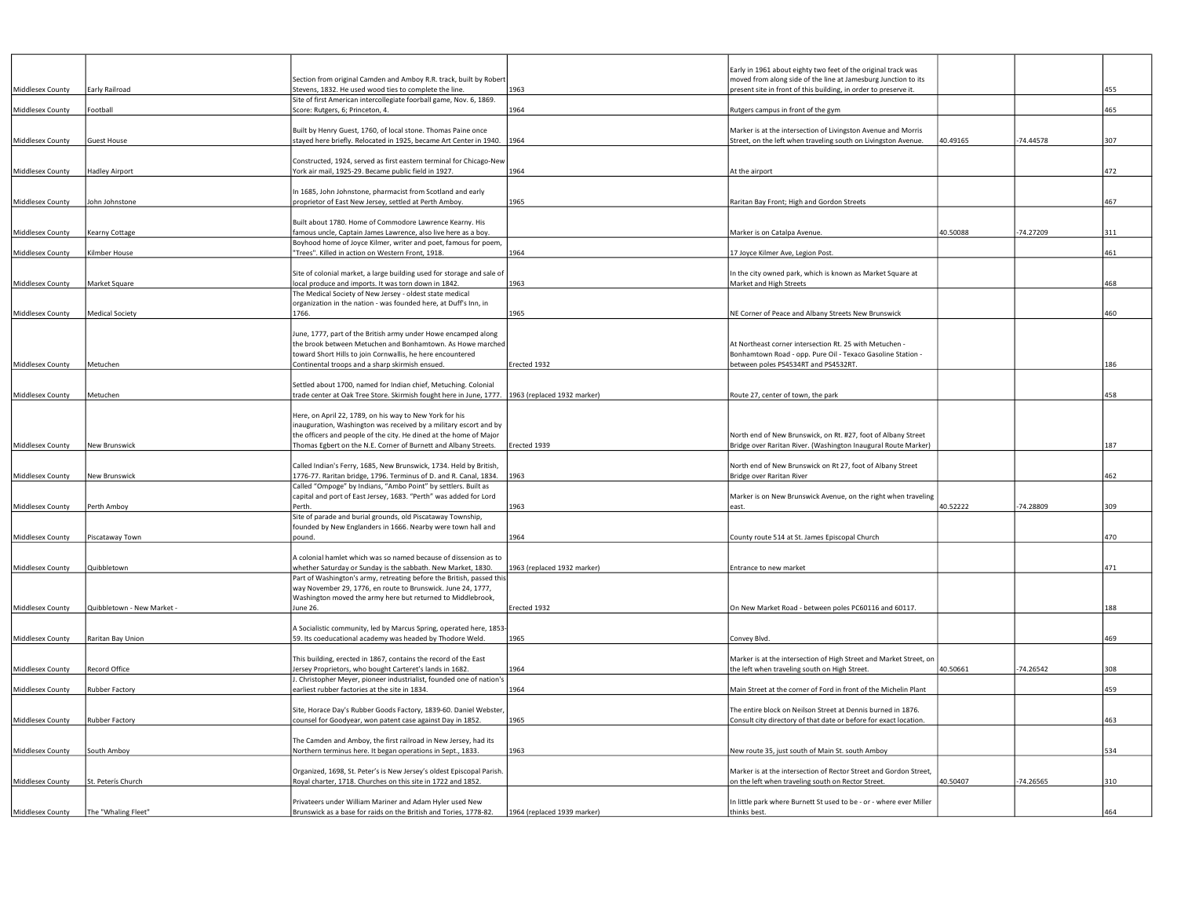|                  |                            |                                                                                                                                       |                             | Early in 1961 about eighty two feet of the original track was       |          |             |     |
|------------------|----------------------------|---------------------------------------------------------------------------------------------------------------------------------------|-----------------------------|---------------------------------------------------------------------|----------|-------------|-----|
|                  |                            | Section from original Camden and Amboy R.R. track, built by Robert                                                                    |                             | moved from along side of the line at Jamesburg Junction to its      |          |             |     |
| Middlesex County | Early Railroad             | Stevens, 1832. He used wood ties to complete the line.                                                                                | 1963                        | present site in front of this building, in order to preserve it.    |          |             | 455 |
|                  |                            | Site of first American intercollegiate foorball game, Nov. 6, 1869.                                                                   |                             |                                                                     |          |             | 465 |
| Middlesex County | Football                   | Score: Rutgers, 6; Princeton, 4.                                                                                                      | 1964                        | Rutgers campus in front of the gym                                  |          |             |     |
|                  |                            | Built by Henry Guest, 1760, of local stone. Thomas Paine once                                                                         |                             | Marker is at the intersection of Livingston Avenue and Morris       |          |             |     |
| Middlesex County | <b>Guest House</b>         | stayed here briefly. Relocated in 1925, became Art Center in 1940.                                                                    | 1964                        | Street, on the left when traveling south on Livingston Avenue.      | 40.49165 | $-74.44578$ | 307 |
|                  |                            |                                                                                                                                       |                             |                                                                     |          |             |     |
|                  |                            | Constructed, 1924, served as first eastern terminal for Chicago-New                                                                   |                             |                                                                     |          |             |     |
| Middlesex County | <b>Hadley Airport</b>      | York air mail, 1925-29. Became public field in 1927.                                                                                  | 1964                        | At the airport                                                      |          |             | 472 |
|                  |                            |                                                                                                                                       |                             |                                                                     |          |             |     |
|                  |                            | In 1685, John Johnstone, pharmacist from Scotland and early                                                                           |                             |                                                                     |          |             |     |
| Middlesex County | John Johnstone             | proprietor of East New Jersey, settled at Perth Amboy.                                                                                | 1965                        | Raritan Bay Front; High and Gordon Streets                          |          |             | 467 |
|                  |                            |                                                                                                                                       |                             |                                                                     |          |             |     |
|                  |                            | Built about 1780. Home of Commodore Lawrence Kearny. His                                                                              |                             |                                                                     |          |             |     |
| Middlesex County | <b>Kearny Cottage</b>      | famous uncle, Captain James Lawrence, also live here as a boy.                                                                        |                             | Marker is on Catalpa Avenue.                                        | 40.50088 | $-74.27209$ | 311 |
|                  |                            | Boyhood home of Joyce Kilmer, writer and poet, famous for poem,                                                                       |                             |                                                                     |          |             |     |
| Middlesex County | Kilmber House              | 'Trees". Killed in action on Western Front, 1918.                                                                                     | 1964                        | 17 Joyce Kilmer Ave, Legion Post.                                   |          |             | 461 |
|                  |                            | Site of colonial market, a large building used for storage and sale of                                                                |                             | In the city owned park, which is known as Market Square at          |          |             |     |
| Middlesex County | Market Square              | local produce and imports. It was torn down in 1842.                                                                                  | 1963                        | Market and High Streets                                             |          |             | 468 |
|                  |                            | The Medical Society of New Jersey - oldest state medical                                                                              |                             |                                                                     |          |             |     |
|                  |                            | organization in the nation - was founded here, at Duff's Inn, in                                                                      |                             |                                                                     |          |             |     |
| Middlesex County | <b>Medical Society</b>     | 1766                                                                                                                                  | 1965                        | NE Corner of Peace and Albany Streets New Brunswick                 |          |             | 460 |
|                  |                            |                                                                                                                                       |                             |                                                                     |          |             |     |
|                  |                            | June, 1777, part of the British army under Howe encamped along                                                                        |                             |                                                                     |          |             |     |
|                  |                            | the brook between Metuchen and Bonhamtown. As Howe marched                                                                            |                             | At Northeast corner intersection Rt. 25 with Metuchen -             |          |             |     |
|                  |                            | toward Short Hills to join Cornwallis, he here encountered                                                                            |                             | Bonhamtown Road - opp. Pure Oil - Texaco Gasoline Station -         |          |             |     |
| Middlesex County | Metuchen                   | Continental troops and a sharp skirmish ensued.                                                                                       | Erected 1932                | between poles PS4534RT and PS4532RT.                                |          |             | 186 |
|                  |                            |                                                                                                                                       |                             |                                                                     |          |             |     |
|                  |                            | Settled about 1700, named for Indian chief, Metuching. Colonial                                                                       |                             |                                                                     |          |             |     |
| Middlesex County | Metuchen                   | trade center at Oak Tree Store. Skirmish fought here in June, 1777. 1963 (replaced 1932 marker)                                       |                             | Route 27, center of town, the park                                  |          |             | 458 |
|                  |                            |                                                                                                                                       |                             |                                                                     |          |             |     |
|                  |                            | Here, on April 22, 1789, on his way to New York for his                                                                               |                             |                                                                     |          |             |     |
|                  |                            | inauguration, Washington was received by a military escort and by                                                                     |                             |                                                                     |          |             |     |
|                  |                            | the officers and people of the city. He dined at the home of Major                                                                    |                             | North end of New Brunswick, on Rt. #27, foot of Albany Street       |          |             |     |
| Middlesex County | New Brunswick              | Thomas Egbert on the N.E. Corner of Burnett and Albany Streets.                                                                       | Erected 1939                | Bridge over Raritan River. (Washington Inaugural Route Marker)      |          |             | 187 |
|                  |                            | Called Indian's Ferry, 1685, New Brunswick, 1734. Held by British,                                                                    |                             | North end of New Brunswick on Rt 27, foot of Albany Street          |          |             |     |
| Middlesex County | New Brunswick              | 1776-77. Raritan bridge, 1796. Terminus of D. and R. Canal, 1834.                                                                     | 1963                        | Bridge over Raritan River                                           |          |             | 462 |
|                  |                            | Called "Ompoge" by Indians, "Ambo Point" by settlers. Built as                                                                        |                             |                                                                     |          |             |     |
|                  |                            | capital and port of East Jersey, 1683. "Perth" was added for Lord                                                                     |                             | Marker is on New Brunswick Avenue, on the right when traveling      |          |             |     |
| Middlesex County | Perth Amboy                | Perth.                                                                                                                                | 1963                        | east.                                                               | 40.52222 | $-74.28809$ | 309 |
|                  |                            | Site of parade and burial grounds, old Piscataway Township,                                                                           |                             |                                                                     |          |             |     |
|                  |                            | founded by New Englanders in 1666. Nearby were town hall and                                                                          |                             |                                                                     |          |             |     |
| Middlesex County | Piscataway Town            | pound.                                                                                                                                | 1964                        | County route 514 at St. James Episcopal Church                      |          |             | 470 |
|                  |                            |                                                                                                                                       |                             |                                                                     |          |             |     |
|                  |                            | A colonial hamlet which was so named because of dissension as to                                                                      |                             |                                                                     |          |             |     |
| Middlesex County | Quibbletown                | whether Saturday or Sunday is the sabbath. New Market, 1830.                                                                          | 1963 (replaced 1932 marker) | <b>Entrance to new market</b>                                       |          |             | 471 |
|                  |                            | Part of Washington's army, retreating before the British, passed this                                                                 |                             |                                                                     |          |             |     |
|                  |                            | way November 29, 1776, en route to Brunswick. June 24, 1777,                                                                          |                             |                                                                     |          |             |     |
| Middlesex County | Quibbletown - New Market - | Washington moved the army here but returned to Middlebrook,<br>June 26.                                                               | Erected 1932                |                                                                     |          |             | 188 |
|                  |                            |                                                                                                                                       |                             | On New Market Road - between poles PC60116 and 60117.               |          |             |     |
|                  |                            | A Socialistic community, led by Marcus Spring, operated here, 1853-                                                                   |                             |                                                                     |          |             |     |
| Middlesex County | Raritan Bay Union          | 59. Its coeducational academy was headed by Thodore Weld.                                                                             | 1965                        | Convey Blyd.                                                        |          |             | 469 |
|                  |                            |                                                                                                                                       |                             |                                                                     |          |             |     |
|                  |                            | This building, erected in 1867, contains the record of the East                                                                       |                             | Marker is at the intersection of High Street and Market Street, on  |          |             |     |
| Middlesex County | Record Office              | Jersey Proprietors, who bought Carteret's lands in 1682.                                                                              | 1964                        | the left when traveling south on High Street.                       | 40.50661 | $-74.26542$ | 308 |
|                  |                            | I. Christopher Meyer, pioneer industrialist, founded one of nation's                                                                  |                             |                                                                     |          |             |     |
| Middlesex County | Rubber Factory             | earliest rubber factories at the site in 1834.                                                                                        | 1964                        | Main Street at the corner of Ford in front of the Michelin Plant    |          |             | 459 |
|                  |                            |                                                                                                                                       |                             |                                                                     |          |             |     |
|                  |                            | Site, Horace Day's Rubber Goods Factory, 1839-60. Daniel Webster,                                                                     |                             | The entire block on Neilson Street at Dennis burned in 1876.        |          |             |     |
| Middlesex County | Rubber Factory             | counsel for Goodyear, won patent case against Day in 1852.                                                                            | 1965                        | Consult city directory of that date or before for exact location.   |          |             | 463 |
|                  |                            |                                                                                                                                       |                             |                                                                     |          |             |     |
|                  |                            | The Camden and Amboy, the first railroad in New Jersey, had its                                                                       |                             |                                                                     |          |             |     |
| Middlesex County | South Amboy                | Northern terminus here. It began operations in Sept., 1833.                                                                           | 1963                        | New route 35, just south of Main St. south Amboy                    |          |             | 534 |
|                  |                            |                                                                                                                                       |                             |                                                                     |          |             |     |
|                  | St. Peterís Church         | Organized, 1698, St. Peter's is New Jersey's oldest Episcopal Parish.<br>Royal charter, 1718. Churches on this site in 1722 and 1852. |                             | Marker is at the intersection of Rector Street and Gordon Street,   | 40.50407 | $-74.26565$ | 310 |
| Middlesex County |                            |                                                                                                                                       |                             | on the left when traveling south on Rector Street.                  |          |             |     |
|                  |                            | Privateers under William Mariner and Adam Hyler used New                                                                              |                             | In little park where Burnett St used to be - or - where ever Miller |          |             |     |
| Middlesex County | The "Whaling Fleet"        | Brunswick as a base for raids on the British and Tories, 1778-82.                                                                     | 1964 (replaced 1939 marker) | thinks best.                                                        |          |             | 464 |
|                  |                            |                                                                                                                                       |                             |                                                                     |          |             |     |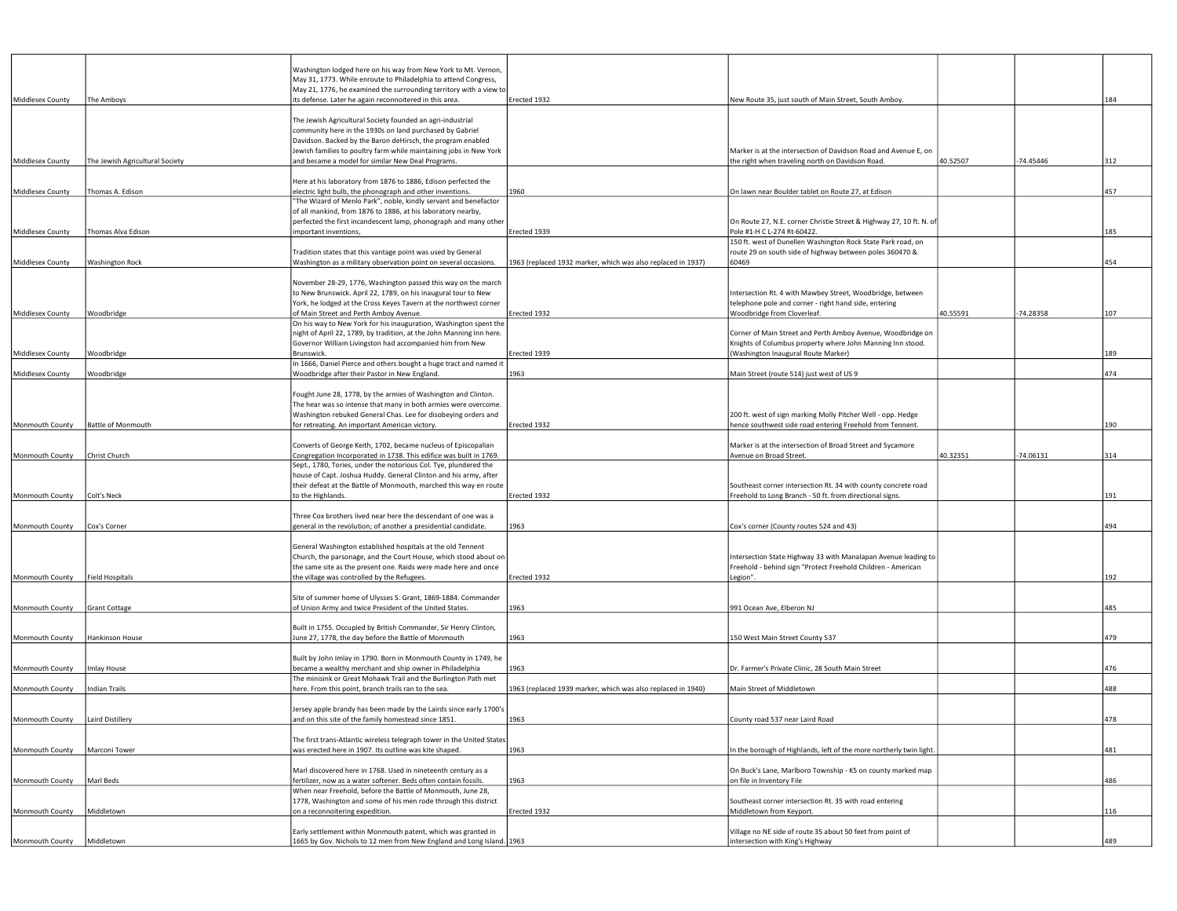|                  |                                 | Washington lodged here on his way from New York to Mt. Vernon,                                                                       |                                                              |                                                                                                                     |          |             |     |
|------------------|---------------------------------|--------------------------------------------------------------------------------------------------------------------------------------|--------------------------------------------------------------|---------------------------------------------------------------------------------------------------------------------|----------|-------------|-----|
|                  |                                 | May 31, 1773. While enroute to Philadelphia to attend Congress,                                                                      |                                                              |                                                                                                                     |          |             |     |
| Middlesex County |                                 | May 21, 1776, he examined the surrounding territory with a view to                                                                   |                                                              | New Route 35, just south of Main Street, South Amboy.                                                               |          |             | 184 |
|                  | The Amboys                      | its defense. Later he again reconnoitered in this area.                                                                              | Erected 1932                                                 |                                                                                                                     |          |             |     |
|                  |                                 | The Jewish Agricultural Society founded an agri-industrial                                                                           |                                                              |                                                                                                                     |          |             |     |
|                  |                                 | community here in the 1930s on land purchased by Gabriel                                                                             |                                                              |                                                                                                                     |          |             |     |
|                  |                                 | Davidson. Backed by the Baron deHirsch, the program enabled<br>Jewish families to poultry farm while maintaining jobs in New York    |                                                              |                                                                                                                     |          |             |     |
| Middlesex County | The Jewish Agricultural Society | and became a model for similar New Deal Programs.                                                                                    |                                                              | Marker is at the intersection of Davidson Road and Avenue E, on<br>the right when traveling north on Davidson Road. | 40.52507 | -74.45446   | 312 |
|                  |                                 |                                                                                                                                      |                                                              |                                                                                                                     |          |             |     |
|                  |                                 | Here at his laboratory from 1876 to 1886, Edison perfected the                                                                       |                                                              |                                                                                                                     |          |             |     |
| Middlesex County | Thomas A. Edison                | electric light bulb, the phonograph and other inventions.<br>'The Wizard of Menlo Park", noble, kindly servant and benefactor        | 1960                                                         | On lawn near Boulder tablet on Route 27, at Edison                                                                  |          |             | 457 |
|                  |                                 | of all mankind, from 1876 to 1886, at his laboratory nearby,                                                                         |                                                              |                                                                                                                     |          |             |     |
|                  |                                 | perfected the first incandescent lamp, phonograph and many other                                                                     |                                                              | On Route 27, N.E. corner Christie Street & Highway 27, 10 ft. N. of                                                 |          |             |     |
| Middlesex County | Thomas Alva Edison              | mportant inventions,                                                                                                                 | Erected 1939                                                 | Pole #1-H C L-274 Rt-60422.                                                                                         |          |             | 185 |
|                  |                                 | Tradition states that this vantage point was used by General                                                                         |                                                              | 150 ft. west of Dunellen Washington Rock State Park road, on                                                        |          |             |     |
| Middlesex County | <b>Washington Rock</b>          | Washington as a military observation point on several occasions.                                                                     | 1963 (replaced 1932 marker, which was also replaced in 1937) | route 29 on south side of highway between poles 360470 &<br>60469                                                   |          |             | 454 |
|                  |                                 |                                                                                                                                      |                                                              |                                                                                                                     |          |             |     |
|                  |                                 | November 28-29, 1776, Washington passed this way on the march                                                                        |                                                              |                                                                                                                     |          |             |     |
|                  |                                 | to New Brunswick. April 22, 1789, on his inaugural tour to New                                                                       |                                                              | Intersection Rt. 4 with Mawbey Street, Woodbridge, between                                                          |          |             |     |
| Middlesex County | Woodbridge                      | York, he lodged at the Cross Keyes Tavern at the northwest corner<br>of Main Street and Perth Amboy Avenue.                          | Erected 1932                                                 | telephone pole and corner - right hand side, entering<br>Woodbridge from Cloverleaf.                                | 40.55591 | $-74.28358$ | 107 |
|                  |                                 | On his way to New York for his inauguration, Washington spent the                                                                    |                                                              |                                                                                                                     |          |             |     |
|                  |                                 | night of April 22, 1789, by tradition, at the John Manning Inn here.                                                                 |                                                              | Corner of Main Street and Perth Amboy Avenue, Woodbridge on                                                         |          |             |     |
|                  |                                 | Governor William Livingston had accompanied him from New                                                                             |                                                              | Knights of Columbus property where John Manning Inn stood.                                                          |          |             |     |
| Middlesex County | Woodbridge                      | Brunswick.<br>In 1666, Daniel Pierce and others bought a huge tract and named it                                                     | Erected 1939                                                 | (Washington Inaugural Route Marker)                                                                                 |          |             | 189 |
| Middlesex County | Woodbridge                      | Woodbridge after their Pastor in New England.                                                                                        | 1963                                                         | Main Street (route 514) just west of US 9                                                                           |          |             | 474 |
|                  |                                 |                                                                                                                                      |                                                              |                                                                                                                     |          |             |     |
|                  |                                 | Fought June 28, 1778, by the armies of Washington and Clinton.                                                                       |                                                              |                                                                                                                     |          |             |     |
|                  |                                 | The hear was so intense that many in both armies were overcome.<br>Washington rebuked General Chas. Lee for disobeying orders and    |                                                              | 200 ft. west of sign marking Molly Pitcher Well - opp. Hedge                                                        |          |             |     |
| Monmouth County  | Battle of Monmouth              | for retreating. An important American victory.                                                                                       | Erected 1932                                                 | hence southwest side road entering Freehold from Tennent.                                                           |          |             | 190 |
|                  |                                 |                                                                                                                                      |                                                              |                                                                                                                     |          |             |     |
|                  |                                 | Converts of George Keith, 1702, became nucleus of Episcopalian                                                                       |                                                              | Marker is at the intersection of Broad Street and Sycamore                                                          |          |             |     |
| Monmouth County  | Christ Church                   | Congregation Incorporated in 1738. This edifice was built in 1769.                                                                   |                                                              | Avenue on Broad Street.                                                                                             | 40.32351 | $-74.06131$ | 314 |
|                  |                                 | Sept., 1780, Tories, under the notorious Col. Tye, plundered the<br>house of Capt. Joshua Huddy. General Clinton and his army, after |                                                              |                                                                                                                     |          |             |     |
|                  |                                 | their defeat at the Battle of Monmouth, marched this way en route                                                                    |                                                              | Southeast corner intersection Rt. 34 with county concrete road                                                      |          |             |     |
| Monmouth County  | Colt's Neck                     | to the Highlands.                                                                                                                    | Erected 1932                                                 | Freehold to Long Branch - 50 ft. from directional signs.                                                            |          |             | 191 |
|                  |                                 | Three Cox brothers lived near here the descendant of one was a                                                                       |                                                              |                                                                                                                     |          |             |     |
| Monmouth County  | Cox's Corner                    | eneral in the revolution; of another a presidential candidate.                                                                       | 1963                                                         | Cox's corner (County routes 524 and 43)                                                                             |          |             | 494 |
|                  |                                 |                                                                                                                                      |                                                              |                                                                                                                     |          |             |     |
|                  |                                 | General Washington established hospitals at the old Tennent                                                                          |                                                              |                                                                                                                     |          |             |     |
|                  |                                 | Church, the parsonage, and the Court House, which stood about on                                                                     |                                                              | Intersection State Highway 33 with Manalapan Avenue leading to                                                      |          |             |     |
| Monmouth County  | Field Hospitals                 | the same site as the present one. Raids were made here and once<br>the village was controlled by the Refugees.                       | Erected 1932                                                 | Freehold - behind sign "Protect Freehold Children - American<br>Legion".                                            |          |             | 192 |
|                  |                                 |                                                                                                                                      |                                                              |                                                                                                                     |          |             |     |
|                  |                                 | Site of summer home of Ulysses S. Grant, 1869-1884. Commander                                                                        |                                                              |                                                                                                                     |          |             |     |
| Monmouth County  | <b>Grant Cottage</b>            | of Union Army and twice President of the United States.                                                                              | 1963                                                         | 991 Ocean Ave, Elberon NJ                                                                                           |          |             | 485 |
|                  |                                 | Built in 1755. Occupied by British Commander, Sir Henry Clinton,                                                                     |                                                              |                                                                                                                     |          |             |     |
| Monmouth County  | Hankinson House                 | une 27, 1778, the day before the Battle of Monmouth                                                                                  | 1963                                                         | 150 West Main Street County 537                                                                                     |          |             | 479 |
|                  |                                 |                                                                                                                                      |                                                              |                                                                                                                     |          |             |     |
|                  |                                 | Built by John Imlay in 1790. Born in Monmouth County in 1749, he<br>became a wealthy merchant and ship owner in Philadelphia         |                                                              | Dr. Farmer's Private Clinic, 28 South Main Street                                                                   |          |             | 476 |
| Monmouth County  | Imlay House                     | The minisink or Great Mohawk Trail and the Burlington Path met                                                                       | 1963                                                         |                                                                                                                     |          |             |     |
| Monmouth County  | ndian Trails                    | here. From this point, branch trails ran to the sea.                                                                                 | 1963 (replaced 1939 marker, which was also replaced in 1940) | Main Street of Middletown                                                                                           |          |             | 488 |
|                  |                                 |                                                                                                                                      |                                                              |                                                                                                                     |          |             |     |
| Monmouth County  | Laird Distillery                | Jersey apple brandy has been made by the Lairds since early 1700's<br>and on this site of the family homestead since 1851.           | 1963                                                         | County road 537 near Laird Road                                                                                     |          |             | 478 |
|                  |                                 |                                                                                                                                      |                                                              |                                                                                                                     |          |             |     |
|                  |                                 | The first trans-Atlantic wireless telegraph tower in the United States                                                               |                                                              |                                                                                                                     |          |             |     |
| Monmouth County  | Marconi Tower                   | was erected here in 1907. Its outline was kite shaped.                                                                               | 1963                                                         | In the borough of Highlands, left of the more northerly twin light.                                                 |          |             | 481 |
|                  |                                 | Marl discovered here in 1768. Used in nineteenth century as a                                                                        |                                                              | On Buck's Lane, Marlboro Township - K5 on county marked map                                                         |          |             |     |
| Monmouth County  | Marl Beds                       | fertilizer, now as a water softener. Beds often contain fossils.                                                                     | 1963                                                         | on file in Inventory File                                                                                           |          |             | 486 |
|                  |                                 | When near Freehold, before the Battle of Monmouth, June 28,                                                                          |                                                              |                                                                                                                     |          |             |     |
|                  |                                 | 1778, Washington and some of his men rode through this district                                                                      |                                                              | Southeast corner intersection Rt. 35 with road entering                                                             |          |             |     |
| Monmouth County  | Middletown                      | on a reconnoitering expedition.                                                                                                      | Erected 1932                                                 | Middletown from Keyport.                                                                                            |          |             | 116 |
|                  |                                 | Early settlement within Monmouth patent, which was granted in                                                                        |                                                              | Village no NE side of route 35 about 50 feet from point of                                                          |          |             |     |
| Monmouth County  | Middletown                      | 1665 by Gov. Nichols to 12 men from New England and Long Island. 1963                                                                |                                                              | intersection with King's Highway                                                                                    |          |             | 489 |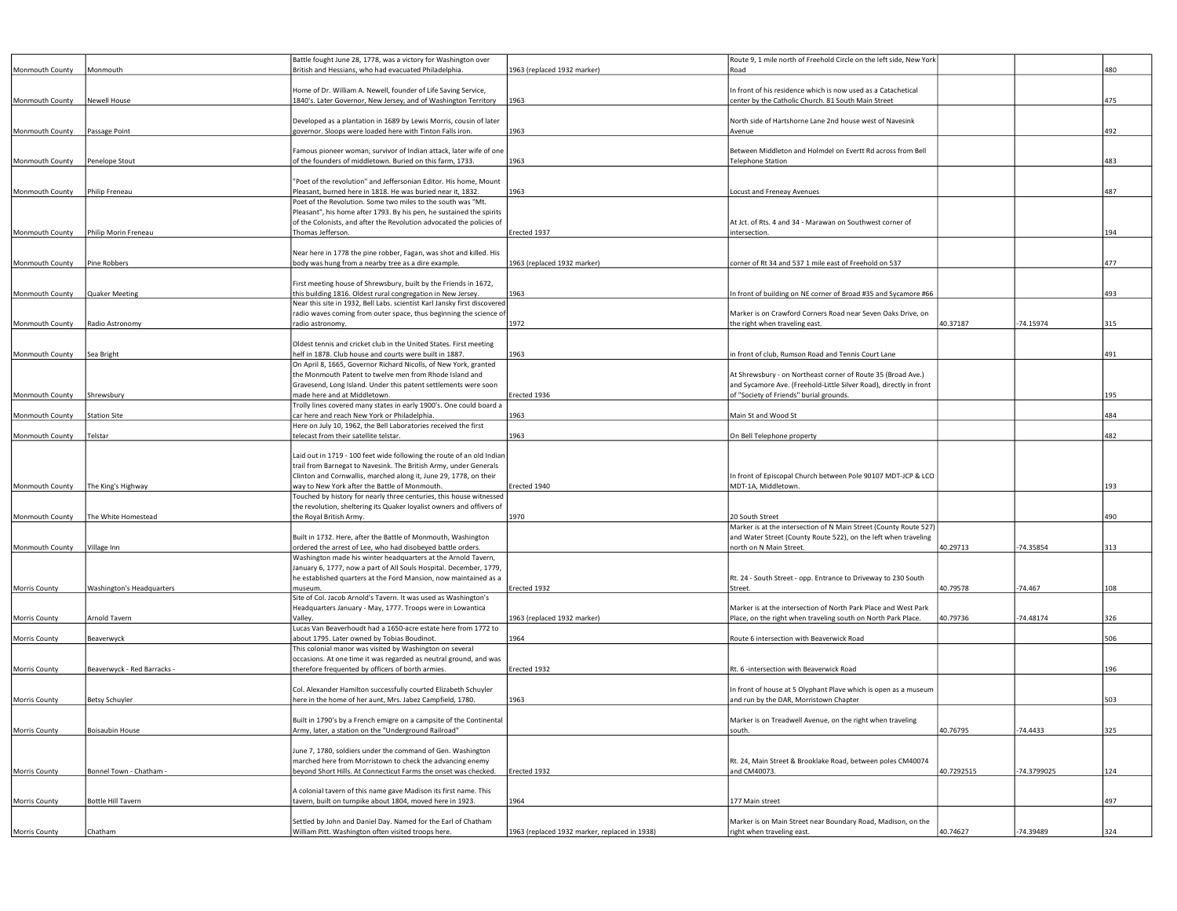|                      |                             | Battle fought June 28, 1778, was a victory for Washington over                                                       |                                               | Route 9, 1 mile north of Freehold Circle on the left side, New York |            |             |     |
|----------------------|-----------------------------|----------------------------------------------------------------------------------------------------------------------|-----------------------------------------------|---------------------------------------------------------------------|------------|-------------|-----|
| Monmouth County      | Monmouth                    | British and Hessians, who had evacuated Philadelphia.                                                                | 1963 (replaced 1932 marker)                   | Road                                                                |            |             | 480 |
|                      |                             |                                                                                                                      |                                               |                                                                     |            |             |     |
|                      |                             | Home of Dr. William A. Newell, founder of Life Saving Service,                                                       |                                               | In front of his residence which is now used as a Catachetical       |            |             |     |
| Monmouth County      | Newell House                | 1840's. Later Governor, New Jersey, and of Washington Territory                                                      | 1963                                          | center by the Catholic Church. 81 South Main Street                 |            |             | 475 |
|                      |                             |                                                                                                                      |                                               |                                                                     |            |             |     |
|                      |                             | Developed as a plantation in 1689 by Lewis Morris, cousin of later                                                   |                                               | North side of Hartshorne Lane 2nd house west of Navesink            |            |             |     |
| Monmouth County      | Passage Point               | governor. Sloops were loaded here with Tinton Falls iron.                                                            | 1963                                          | Avenue                                                              |            |             | 492 |
|                      |                             |                                                                                                                      |                                               |                                                                     |            |             |     |
|                      |                             | Famous pioneer woman, survivor of Indian attack, later wife of one                                                   |                                               | Between Middleton and Holmdel on Evertt Rd across from Bell         |            |             |     |
|                      |                             | of the founders of middletown. Buried on this farm, 1733.                                                            | 1963                                          | <b>Telephone Station</b>                                            |            |             | 483 |
| Monmouth County      | Penelope Stout              |                                                                                                                      |                                               |                                                                     |            |             |     |
|                      |                             |                                                                                                                      |                                               |                                                                     |            |             |     |
|                      |                             | "Poet of the revolution" and Jeffersonian Editor. His home, Mount                                                    |                                               |                                                                     |            |             |     |
| Monmouth County      | Philip Freneau              | Pleasant, burned here in 1818. He was buried near it, 1832.                                                          | 1963                                          | Locust and Freneay Avenues                                          |            |             | 487 |
|                      |                             | Poet of the Revolution. Some two miles to the south was "Mt.                                                         |                                               |                                                                     |            |             |     |
|                      |                             | Pleasant", his home after 1793. By his pen, he sustained the spirits                                                 |                                               |                                                                     |            |             |     |
|                      |                             | of the Colonists, and after the Revolution advocated the policies of                                                 |                                               | At Jct. of Rts. 4 and 34 - Marawan on Southwest corner of           |            |             |     |
| Monmouth County      | Philip Morin Freneau        | Thomas Jefferson.                                                                                                    | Erected 1937                                  | intersection.                                                       |            |             | 194 |
|                      |                             |                                                                                                                      |                                               |                                                                     |            |             |     |
|                      |                             | Near here in 1778 the pine robber, Fagan, was shot and killed. His                                                   |                                               |                                                                     |            |             |     |
| Monmouth County      | Pine Robbers                | body was hung from a nearby tree as a dire example.                                                                  | 1963 (replaced 1932 marker)                   | corner of Rt 34 and 537 1 mile east of Freehold on 537              |            |             | 477 |
|                      |                             |                                                                                                                      |                                               |                                                                     |            |             |     |
|                      |                             | First meeting house of Shrewsbury, built by the Friends in 1672,                                                     |                                               |                                                                     |            |             |     |
| Monmouth County      | <b>Quaker Meeting</b>       | this building 1816. Oldest rural congregation in New Jersey.                                                         | 1963                                          | In front of building on NE corner of Broad #35 and Sycamore #66     |            |             | 493 |
|                      |                             | Near this site in 1932, Bell Labs. scientist Karl Jansky first discovered                                            |                                               |                                                                     |            |             |     |
|                      |                             | radio waves coming from outer space, thus beginning the science of                                                   |                                               | Marker is on Crawford Corners Road near Seven Oaks Drive, on        |            |             |     |
|                      |                             |                                                                                                                      | 1972                                          |                                                                     | 40.37187   | -74.15974   | 315 |
| Monmouth County      | Radio Astronomy             | radio astronomy.                                                                                                     |                                               | the right when traveling east.                                      |            |             |     |
|                      |                             |                                                                                                                      |                                               |                                                                     |            |             |     |
|                      |                             | Oldest tennis and cricket club in the United States. First meeting                                                   |                                               |                                                                     |            |             |     |
| Monmouth County      | Sea Bright                  | helf in 1878. Club house and courts were built in 1887.                                                              | 1963                                          | in front of club, Rumson Road and Tennis Court Lane                 |            |             | 491 |
|                      |                             | On April 8, 1665, Governor Richard Nicolls, of New York, granted                                                     |                                               |                                                                     |            |             |     |
|                      |                             | the Monmouth Patent to twelve men from Rhode Island and                                                              |                                               | At Shrewsbury - on Northeast corner of Route 35 (Broad Ave.)        |            |             |     |
|                      |                             | Gravesend, Long Island. Under this patent settlements were soon                                                      |                                               | and Sycamore Ave. (Freehold-Little Silver Road), directly in front  |            |             |     |
| Monmouth County      | Shrewsbury                  | made here and at Middletown.                                                                                         | Erected 1936                                  | of "Society of Friends" burial grounds.                             |            |             | 195 |
|                      |                             | Trolly lines covered many states in early 1900's. One could board a                                                  |                                               |                                                                     |            |             |     |
| Monmouth County      | <b>Station Site</b>         | car here and reach New York or Philadelphia.                                                                         | 1963                                          | Main St and Wood St                                                 |            |             | 484 |
|                      |                             | Here on July 10, 1962, the Bell Laboratories received the first                                                      |                                               |                                                                     |            |             |     |
| Monmouth County      | Telstar                     | telecast from their satellite telstar.                                                                               | 1963                                          | On Bell Telephone property                                          |            |             | 482 |
|                      |                             |                                                                                                                      |                                               |                                                                     |            |             |     |
|                      |                             | Laid out in 1719 - 100 feet wide following the route of an old Indian                                                |                                               |                                                                     |            |             |     |
|                      |                             | trail from Barnegat to Navesink. The British Army, under Generals                                                    |                                               |                                                                     |            |             |     |
|                      |                             | Clinton and Cornwallis, marched along it, June 29, 1778, on their                                                    |                                               |                                                                     |            |             |     |
|                      |                             |                                                                                                                      |                                               | In front of Episcopal Church between Pole 90107 MDT-JCP & LCO       |            |             |     |
| Monmouth County      | The King's Highway          | way to New York after the Battle of Monmouth.                                                                        | Erected 1940                                  | MDT-1A, Middletown.                                                 |            |             | 193 |
|                      |                             | Touched by history for nearly three centuries, this house witnessed                                                  |                                               |                                                                     |            |             |     |
|                      |                             | the revolution, sheltering its Quaker loyalist owners and offivers of                                                |                                               |                                                                     |            |             |     |
| Monmouth County      | The White Homestead         | the Royal British Army.                                                                                              | 1970                                          | 20 South Street                                                     |            |             | 490 |
|                      |                             |                                                                                                                      |                                               | Marker is at the intersection of N Main Street (County Route 527)   |            |             |     |
|                      |                             | Built in 1732. Here, after the Battle of Monmouth, Washington                                                        |                                               | and Water Street (County Route 522), on the left when traveling     |            |             |     |
| Monmouth County      | Village Inn                 | ordered the arrest of Lee, who had disobeyed battle orders.                                                          |                                               | north on N Main Street.                                             | 40.29713   | -74.35854   | 313 |
|                      |                             | Washington made his winter headquarters at the Arnold Tavern,                                                        |                                               |                                                                     |            |             |     |
|                      |                             | January 6, 1777, now a part of All Souls Hospital. December, 1779,                                                   |                                               |                                                                     |            |             |     |
|                      |                             | he established quarters at the Ford Mansion, now maintained as a                                                     |                                               | Rt. 24 - South Street - opp. Entrance to Driveway to 230 South      |            |             |     |
| Morris County        | Washington's Headquarters   | museum.                                                                                                              | Erected 1932                                  | Street.                                                             | 40.79578   | $-74.467$   | 108 |
|                      |                             | Site of Col. Jacob Arnold's Tavern. It was used as Washington's                                                      |                                               |                                                                     |            |             |     |
|                      |                             | Headquarters January - May, 1777. Troops were in Lowantica                                                           |                                               | Marker is at the intersection of North Park Place and West Park     |            |             |     |
| <b>Morris County</b> | Arnold Tavern               | Valley.                                                                                                              | 1963 (replaced 1932 marker)                   | Place, on the right when traveling south on North Park Place.       | 40.79736   | $-74.48174$ | 326 |
|                      |                             | Lucas Van Beaverhoudt had a 1650-acre estate here from 1772 to                                                       |                                               |                                                                     |            |             |     |
| Morris County        | Beaverwyck                  | about 1795. Later owned by Tobias Boudinot.                                                                          | 1964                                          | Route 6 intersection with Beaverwick Road                           |            |             | 506 |
|                      |                             |                                                                                                                      |                                               |                                                                     |            |             |     |
|                      |                             | This colonial manor was visited by Washington on several                                                             |                                               |                                                                     |            |             |     |
|                      |                             | occasions. At one time it was regarded as neutral ground, and was                                                    |                                               |                                                                     |            |             |     |
| Morris County        | Beaverwyck - Red Barracks - | therefore frequented by officers of borth armies.                                                                    | Erected 1932                                  | Rt. 6 -intersection with Beaverwick Road                            |            |             | 196 |
|                      |                             |                                                                                                                      |                                               |                                                                     |            |             |     |
|                      |                             | Col. Alexander Hamilton successfully courted Elizabeth Schuyler                                                      |                                               | In front of house at 5 Olyphant Plave which is open as a museum     |            |             |     |
| Morris County        | <b>Betsy Schuyler</b>       | here in the home of her aunt, Mrs. Jabez Campfield, 1780.                                                            | 1963                                          | and run by the DAR. Morristown Chapter                              |            |             | 503 |
|                      |                             |                                                                                                                      |                                               |                                                                     |            |             |     |
|                      |                             | Built in 1790's by a French emigre on a campsite of the Continental                                                  |                                               | Marker is on Treadwell Avenue, on the right when traveling          |            |             |     |
| <b>Morris County</b> | Boisaubin House             | Army, later, a station on the "Underground Railroad"                                                                 |                                               | south.                                                              | 40.76795   | -74.4433    | 325 |
|                      |                             |                                                                                                                      |                                               |                                                                     |            |             |     |
|                      |                             | June 7, 1780, soldiers under the command of Gen. Washington                                                          |                                               |                                                                     |            |             |     |
|                      |                             | marched here from Morristown to check the advancing enemy                                                            |                                               | Rt. 24, Main Street & Brooklake Road, between poles CM40074         |            |             |     |
| Morris County        | Bonnel Town - Chatham -     | beyond Short Hills. At Connecticut Farms the onset was checked.                                                      | Erected 1932                                  | and CM40073.                                                        | 40.7292515 | 74.3799025  | 124 |
|                      |                             |                                                                                                                      |                                               |                                                                     |            |             |     |
|                      |                             | A colonial tavern of this name gave Madison its first name. This                                                     |                                               |                                                                     |            |             |     |
|                      | <b>Bottle Hill Tavern</b>   | tavern, built on turnpike about 1804, moved here in 1923.                                                            | 1964                                          | 177 Main street                                                     |            |             | 497 |
| <b>Morris County</b> |                             |                                                                                                                      |                                               |                                                                     |            |             |     |
|                      |                             |                                                                                                                      |                                               |                                                                     |            |             |     |
|                      | Chatham                     | Settled by John and Daniel Day. Named for the Earl of Chatham<br>William Pitt. Washington often visited troops here. | 1963 (replaced 1932 marker, replaced in 1938) | Marker is on Main Street near Boundary Road, Madison, on the        |            |             |     |
| Morris County        |                             |                                                                                                                      |                                               | right when traveling east.                                          | 40.74627   | -74.39489   | 324 |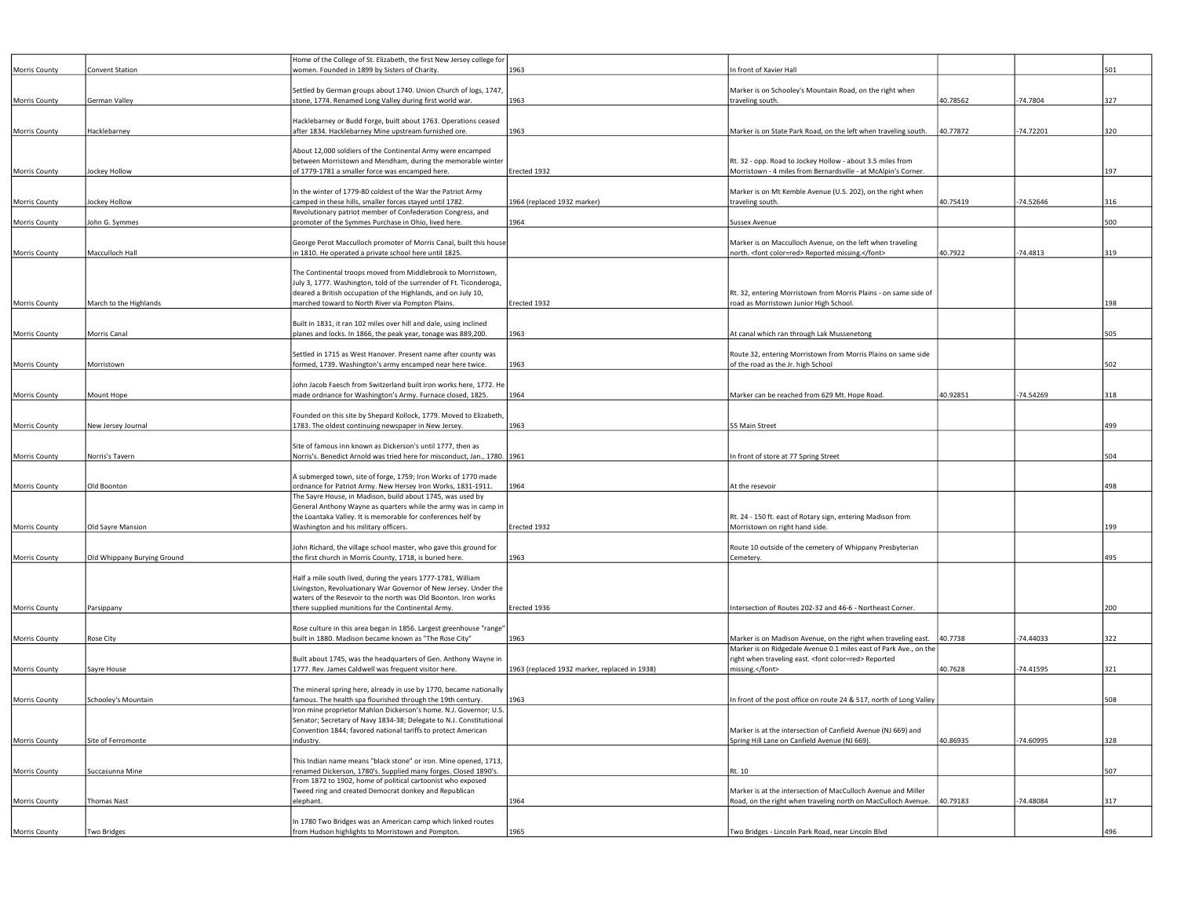|                      |                             | Home of the College of St. Elizabeth, the first New Jersey college for                                                                   |                                               |                                                                                                            |          |             |     |
|----------------------|-----------------------------|------------------------------------------------------------------------------------------------------------------------------------------|-----------------------------------------------|------------------------------------------------------------------------------------------------------------|----------|-------------|-----|
| Morris County        | <b>Convent Station</b>      | women. Founded in 1899 by Sisters of Charity.                                                                                            | 1963                                          | In front of Xavier Hall                                                                                    |          |             | 501 |
|                      |                             |                                                                                                                                          |                                               |                                                                                                            |          |             |     |
|                      |                             | Settled by German groups about 1740. Union Church of logs, 1747,                                                                         |                                               | Marker is on Schooley's Mountain Road, on the right when                                                   |          |             |     |
| Morris County        | German Valley               | stone, 1774. Renamed Long Valley during first world war.                                                                                 | 1963                                          | traveling south.                                                                                           | 40.78562 | $-74.7804$  | 327 |
|                      |                             | Hacklebarney or Budd Forge, built about 1763. Operations ceased                                                                          |                                               |                                                                                                            |          |             |     |
| Morris County        | Hacklebarney                | after 1834. Hacklebarney Mine upstream furnished ore.                                                                                    | 1963                                          | Marker is on State Park Road, on the left when traveling south.                                            | 40.77872 | $-74.72201$ | 320 |
|                      |                             |                                                                                                                                          |                                               |                                                                                                            |          |             |     |
|                      |                             | About 12,000 soldiers of the Continental Army were encamped                                                                              |                                               |                                                                                                            |          |             |     |
|                      |                             | between Morristown and Mendham, during the memorable winter                                                                              |                                               | Rt. 32 - opp. Road to Jockey Hollow - about 3.5 miles from                                                 |          |             |     |
| Morris County        | Jockey Hollow               | of 1779-1781 a smaller force was encamped here.                                                                                          | Erected 1932                                  | Morristown - 4 miles from Bernardsville - at McAlpin's Corner.                                             |          |             | 197 |
|                      |                             |                                                                                                                                          |                                               |                                                                                                            |          |             |     |
|                      |                             | In the winter of 1779-80 coldest of the War the Patriot Army<br>camped in these hills, smaller forces staved until 1782.                 |                                               | Marker is on Mt Kemble Avenue (U.S. 202), on the right when                                                |          |             |     |
| Morris County        | Jockey Hollow               | Revolutionary patriot member of Confederation Congress, and                                                                              | 1964 (replaced 1932 marker)                   | traveling south.                                                                                           | 40.75419 | $-74.52646$ | 316 |
| Morris County        | John G. Symmes              | promoter of the Symmes Purchase in Ohio, lived here.                                                                                     | 1964                                          | <b>Sussex Avenue</b>                                                                                       |          |             | 500 |
|                      |                             |                                                                                                                                          |                                               |                                                                                                            |          |             |     |
|                      |                             | George Perot Macculloch promoter of Morris Canal, built this house                                                                       |                                               | Marker is on Macculloch Avenue, on the left when traveling                                                 |          |             |     |
| <b>Morris County</b> | Macculloch Hall             | in 1810. He operated a private school here until 1825.                                                                                   |                                               | north. < font color=red> Reported missing.                                                                 | 40.7922  | $-74.4813$  | 319 |
|                      |                             |                                                                                                                                          |                                               |                                                                                                            |          |             |     |
|                      |                             | The Continental troops moved from Middlebrook to Morristown,                                                                             |                                               |                                                                                                            |          |             |     |
|                      |                             | July 3, 1777. Washington, told of the surrender of Ft. Ticonderoga,                                                                      |                                               |                                                                                                            |          |             |     |
| <b>Morris County</b> | March to the Highlands      | deared a British occupation of the Highlands, and on July 10,<br>marched toward to North River via Pompton Plains.                       | Erected 1932                                  | Rt. 32, entering Morristown from Morris Plains - on same side of<br>road as Morristown Junior High School. |          |             | 198 |
|                      |                             |                                                                                                                                          |                                               |                                                                                                            |          |             |     |
|                      |                             | Built in 1831, it ran 102 miles over hill and dale, using inclined                                                                       |                                               |                                                                                                            |          |             |     |
| Morris County        | Morris Canal                | planes and locks. In 1866, the peak year, tonage was 889,200.                                                                            | 1963                                          | At canal which ran through Lak Mussenetong                                                                 |          |             | 505 |
|                      |                             |                                                                                                                                          |                                               |                                                                                                            |          |             |     |
|                      |                             | Settled in 1715 as West Hanover. Present name after county was                                                                           |                                               | Route 32, entering Morristown from Morris Plains on same side                                              |          |             |     |
| <b>Morris County</b> | Morristown                  | formed, 1739. Washington's army encamped near here twice.                                                                                | 1963                                          | of the road as the Jr. high School                                                                         |          |             | 502 |
|                      |                             |                                                                                                                                          |                                               |                                                                                                            |          |             |     |
| Morris County        | Mount Hope                  | John Jacob Faesch from Switzerland built iron works here, 1772. He<br>made ordnance for Washington's Army. Furnace closed, 1825.         | 1964                                          | Marker can be reached from 629 Mt. Hope Road.                                                              | 40.92851 | -74.54269   | 318 |
|                      |                             |                                                                                                                                          |                                               |                                                                                                            |          |             |     |
|                      |                             | Founded on this site by Shepard Kollock, 1779. Moved to Elizabeth,                                                                       |                                               |                                                                                                            |          |             |     |
| Morris County        | New Jersey Journal          | 1783. The oldest continuing newspaper in New Jersey.                                                                                     | 1963                                          | 55 Main Street                                                                                             |          |             | 499 |
|                      |                             |                                                                                                                                          |                                               |                                                                                                            |          |             |     |
|                      |                             | Site of famous inn known as Dickerson's until 1777, then as                                                                              |                                               |                                                                                                            |          |             |     |
| Morris County        | Norris's Tavern             | Norris's. Benedict Arnold was tried here for misconduct, Jan., 1780. 1961                                                                |                                               | In front of store at 77 Spring Street                                                                      |          |             | 504 |
|                      |                             | A submerged town, site of forge, 1759; Iron Works of 1770 made                                                                           |                                               |                                                                                                            |          |             |     |
| Morris County        | Old Boonton                 | ordnance for Patriot Army. New Hersey Iron Works, 1831-1911.                                                                             | 1964                                          | At the resevoir                                                                                            |          |             | 498 |
|                      |                             | The Sayre House, in Madison, build about 1745, was used by                                                                               |                                               |                                                                                                            |          |             |     |
|                      |                             | General Anthony Wayne as quarters while the army was in camp in                                                                          |                                               |                                                                                                            |          |             |     |
|                      |                             | the Loantaka Valley. It is memorable for conferences helf by                                                                             |                                               | Rt. 24 - 150 ft. east of Rotary sign, entering Madison from                                                |          |             |     |
| Morris County        | Old Sayre Mansion           | Washington and his military officers.                                                                                                    | Erected 1932                                  | Morristown on right hand side.                                                                             |          |             | 199 |
|                      |                             |                                                                                                                                          |                                               | Route 10 outside of the cemetery of Whippany Presbyterian                                                  |          |             |     |
| Morris County        | Old Whippany Burying Ground | John Richard, the village school master, who gave this ground for<br>the first church in Morris County, 1718, is buried here.            | 1963                                          | Cemetery.                                                                                                  |          |             | 495 |
|                      |                             |                                                                                                                                          |                                               |                                                                                                            |          |             |     |
|                      |                             | Half a mile south lived, during the years 1777-1781, William                                                                             |                                               |                                                                                                            |          |             |     |
|                      |                             | Livingston, Revoluationary War Governor of New Jersey. Under the                                                                         |                                               |                                                                                                            |          |             |     |
|                      |                             | waters of the Resevoir to the north was Old Boonton. Iron works                                                                          |                                               |                                                                                                            |          |             |     |
| Morris County        | Parsippany                  | there supplied munitions for the Continental Army.                                                                                       | Erected 1936                                  | Intersection of Routes 202-32 and 46-6 - Northeast Corner.                                                 |          |             | 200 |
|                      |                             |                                                                                                                                          |                                               |                                                                                                            |          |             |     |
| <b>Morris County</b> | Rose City                   | Rose culture in this area began in 1856. Largest greenhouse "range"<br>built in 1880. Madison became known as "The Rose City"            | 1963                                          | Marker is on Madison Avenue, on the right when traveling east.                                             | 40.7738  | $-74.44033$ | 322 |
|                      |                             |                                                                                                                                          |                                               | Marker is on Ridgedale Avenue 0.1 miles east of Park Ave., on the                                          |          |             |     |
|                      |                             | Built about 1745, was the headquarters of Gen. Anthony Wayne in                                                                          |                                               | right when traveling east. <font color="red"> Reported</font>                                              |          |             |     |
| Morris County        | Sayre House                 | 1777. Rev. James Caldwell was frequent visitor here.                                                                                     | 1963 (replaced 1932 marker, replaced in 1938) | missing.                                                                                                   | 40.7628  | $-74.41595$ | 321 |
|                      |                             |                                                                                                                                          |                                               |                                                                                                            |          |             |     |
|                      |                             | The mineral spring here, already in use by 1770, became nationally                                                                       |                                               |                                                                                                            |          |             |     |
| Morris County        | Schooley's Mountain         | famous. The health spa flourished through the 19th century.                                                                              | 1963                                          | In front of the post office on route 24 & 517, north of Long Valley                                        |          |             | 508 |
|                      |                             | Iron mine proprietor Mahlon Dickerson's home. N.J. Governor; U.S.<br>Senator; Secretary of Navy 1834-38; Delegate to N.J. Constitutional |                                               |                                                                                                            |          |             |     |
|                      |                             | Convention 1844; favored national tariffs to protect American                                                                            |                                               | Marker is at the intersection of Canfield Avenue (NJ 669) and                                              |          |             |     |
| Morris County        | Site of Ferromonte          | industry.                                                                                                                                |                                               | Spring Hill Lane on Canfield Avenue (NJ 669).                                                              | 40.86935 | $-74.60995$ | 328 |
|                      |                             |                                                                                                                                          |                                               |                                                                                                            |          |             |     |
|                      |                             | This Indian name means "black stone" or iron. Mine opened, 1713,                                                                         |                                               |                                                                                                            |          |             |     |
| Morris County        | Succasunna Mine             | enamed Dickerson, 1780's. Supplied many forges. Closed 1890's.                                                                           |                                               | Rt. 10                                                                                                     |          |             | 507 |
|                      |                             | From 1872 to 1902, home of political cartoonist who exposed                                                                              |                                               | Marker is at the intersection of MacCulloch Avenue and Miller                                              |          |             |     |
| Morris County        |                             |                                                                                                                                          |                                               |                                                                                                            |          |             |     |
|                      |                             | Tweed ring and created Democrat donkey and Republican                                                                                    |                                               |                                                                                                            |          |             |     |
|                      | <b>Thomas Nast</b>          | elephant.                                                                                                                                | 1964                                          | Road, on the right when traveling north on MacCulloch Avenue.                                              | 40.79183 | $-74.48084$ | 317 |
|                      |                             |                                                                                                                                          |                                               |                                                                                                            |          |             |     |
| Morris County        | Two Bridges                 | In 1780 Two Bridges was an American camp which linked routes<br>from Hudson highlights to Morristown and Pompton.                        | 1965                                          | Two Bridges - Lincoln Park Road, near Lincoln Blvd                                                         |          |             | 496 |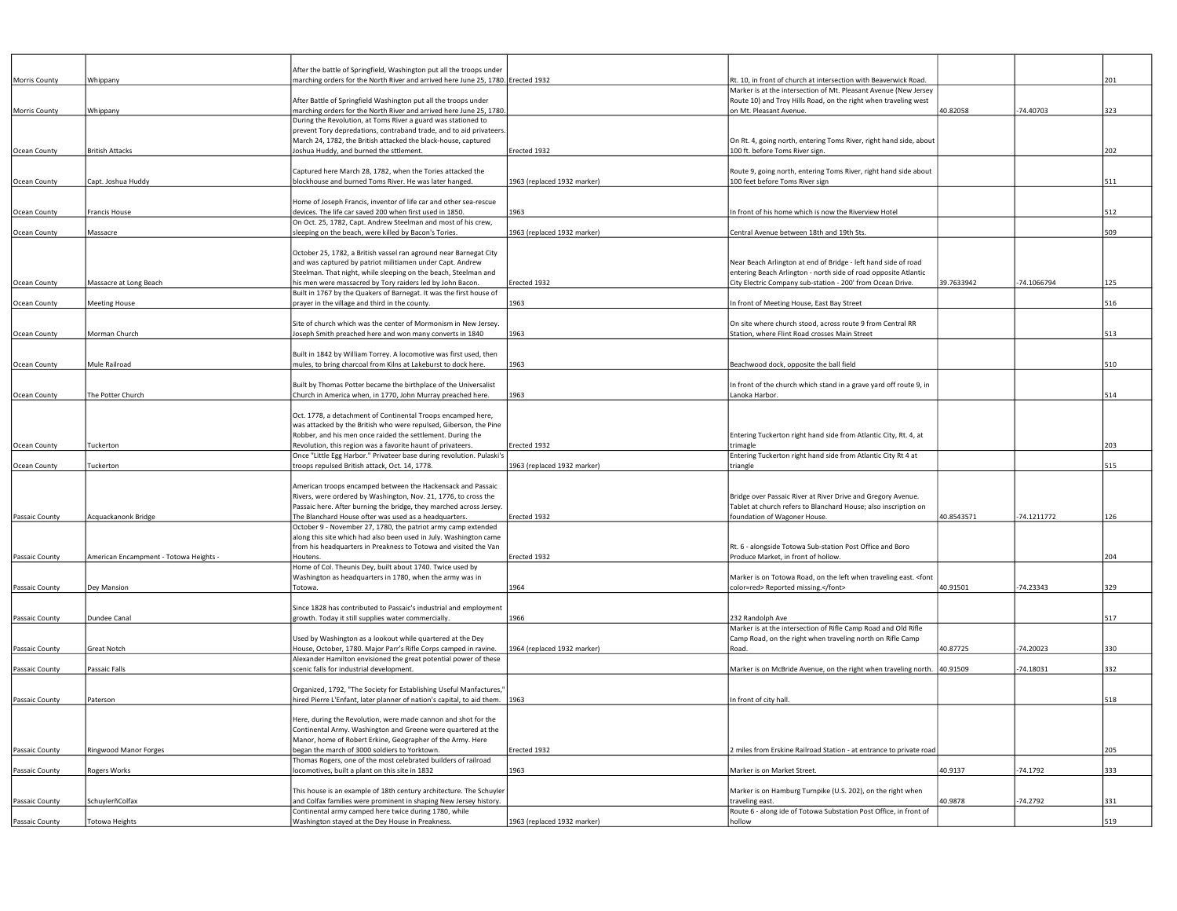|                |                                        | After the battle of Springfield, Washington put all the troops under                                                             |                             |                                                                                                                               |            |               |     |
|----------------|----------------------------------------|----------------------------------------------------------------------------------------------------------------------------------|-----------------------------|-------------------------------------------------------------------------------------------------------------------------------|------------|---------------|-----|
| Morris County  | Whippany                               | marching orders for the North River and arrived here June 25, 1780. Erected 1932                                                 |                             | Rt. 10. in front of church at intersection with Beaverwick Road.                                                              |            |               | 201 |
|                |                                        | After Battle of Springfield Washington put all the troops under                                                                  |                             | Marker is at the intersection of Mt. Pleasant Avenue (New Jersey                                                              |            |               |     |
| Morris County  | <b>Whippany</b>                        | marching orders for the North River and arrived here June 25, 1780                                                               |                             | Route 10) and Troy Hills Road, on the right when traveling west<br>on Mt. Pleasant Avenue.                                    | 40.82058   | 74.40703      | 323 |
|                |                                        | During the Revolution, at Toms River a guard was stationed to                                                                    |                             |                                                                                                                               |            |               |     |
|                |                                        | prevent Tory depredations, contraband trade, and to aid privateers                                                               |                             |                                                                                                                               |            |               |     |
|                |                                        | March 24, 1782, the British attacked the black-house, captured                                                                   |                             | On Rt. 4, going north, entering Toms River, right hand side, about                                                            |            |               |     |
| Ocean County   | <b>British Attacks</b>                 | Joshua Huddy, and burned the sttlement.                                                                                          | Erected 1932                | 100 ft. before Toms River sign.                                                                                               |            |               | 202 |
|                |                                        |                                                                                                                                  |                             |                                                                                                                               |            |               |     |
|                |                                        | Captured here March 28, 1782, when the Tories attacked the                                                                       |                             | Route 9, going north, entering Toms River, right hand side about                                                              |            |               |     |
| Ocean County   | Capt. Joshua Huddy                     | blockhouse and burned Toms River. He was later hanged.                                                                           | 1963 (replaced 1932 marker) | 100 feet before Toms River sign                                                                                               |            |               | 511 |
|                |                                        | Home of Joseph Francis, inventor of life car and other sea-rescue                                                                |                             |                                                                                                                               |            |               |     |
| Ocean County   | <b>Francis House</b>                   | devices. The life car saved 200 when first used in 1850.                                                                         | 1963                        | In front of his home which is now the Riverview Hotel                                                                         |            |               | 512 |
|                |                                        | On Oct. 25, 1782, Capt. Andrew Steelman and most of his crew,                                                                    |                             |                                                                                                                               |            |               |     |
| Ocean County   | Massacre                               | sleeping on the beach, were killed by Bacon's Tories.                                                                            | 1963 (replaced 1932 marker) | Central Avenue between 18th and 19th Sts.                                                                                     |            |               | 509 |
|                |                                        |                                                                                                                                  |                             |                                                                                                                               |            |               |     |
|                |                                        | October 25, 1782, a British vassel ran aground near Barnegat City                                                                |                             |                                                                                                                               |            |               |     |
|                |                                        | and was captured by patriot militiamen under Capt. Andrew                                                                        |                             | Near Beach Arlington at end of Bridge - left hand side of road                                                                |            |               |     |
|                |                                        | Steelman. That night, while sleeping on the beach, Steelman and                                                                  | Erected 1932                | entering Beach Arlington - north side of road opposite Atlantic<br>City Electric Company sub-station - 200' from Ocean Drive. | 39.7633942 | -74.1066794   | 125 |
| Ocean County   | Massacre at Long Beach                 | his men were massacred by Tory raiders led by John Bacon.<br>Built in 1767 by the Quakers of Barnegat. It was the first house of |                             |                                                                                                                               |            |               |     |
| Ocean County   | <b>Meeting House</b>                   | prayer in the village and third in the county.                                                                                   | 1963                        | In front of Meeting House, East Bay Street                                                                                    |            |               | 516 |
|                |                                        |                                                                                                                                  |                             |                                                                                                                               |            |               |     |
|                |                                        | Site of church which was the center of Mormonism in New Jersey.                                                                  |                             | On site where church stood, across route 9 from Central RR                                                                    |            |               |     |
| Ocean County   | Morman Church                          | Joseph Smith preached here and won many converts in 1840                                                                         | 1963                        | Station, where Flint Road crosses Main Street                                                                                 |            |               | 513 |
|                |                                        |                                                                                                                                  |                             |                                                                                                                               |            |               |     |
|                |                                        | Built in 1842 by William Torrey. A locomotive was first used, then                                                               |                             |                                                                                                                               |            |               |     |
| Ocean County   | Mule Railroad                          | mules, to bring charcoal from Kilns at Lakeburst to dock here.                                                                   | 1963                        | Beachwood dock, opposite the ball field                                                                                       |            |               | 510 |
|                |                                        |                                                                                                                                  |                             |                                                                                                                               |            |               |     |
| Ocean County   | The Potter Church                      | Built by Thomas Potter became the birthplace of the Universalist<br>Church in America when, in 1770, John Murray preached here.  | 1963                        | In front of the church which stand in a grave yard off route 9, in<br>Lanoka Harbor                                           |            |               | 514 |
|                |                                        |                                                                                                                                  |                             |                                                                                                                               |            |               |     |
|                |                                        | Oct. 1778, a detachment of Continental Troops encamped here,                                                                     |                             |                                                                                                                               |            |               |     |
|                |                                        | was attacked by the British who were repulsed, Giberson, the Pine                                                                |                             |                                                                                                                               |            |               |     |
|                |                                        | Robber, and his men once raided the settlement. During the                                                                       |                             | Entering Tuckerton right hand side from Atlantic City, Rt. 4, at                                                              |            |               |     |
| Ocean County   | Tuckerton                              | Revolution, this region was a favorite haunt of privateers.                                                                      | Erected 1932                | trimagle                                                                                                                      |            |               | 203 |
|                |                                        | Once "Little Egg Harbor." Privateer base during revolution. Pulaski's                                                            |                             | Entering Tuckerton right hand side from Atlantic City Rt 4 at                                                                 |            |               |     |
| Ocean County   | Tuckerton                              | troops repulsed British attack, Oct. 14, 1778.                                                                                   | 1963 (replaced 1932 marker) | triangle                                                                                                                      |            |               | 515 |
|                |                                        | American troops encamped between the Hackensack and Passaic                                                                      |                             |                                                                                                                               |            |               |     |
|                |                                        | Rivers, were ordered by Washington, Nov. 21, 1776, to cross the                                                                  |                             | Bridge over Passaic River at River Drive and Gregory Avenue.                                                                  |            |               |     |
|                |                                        | Passaic here. After burning the bridge, they marched across Jersey.                                                              |                             | Tablet at church refers to Blanchard House; also inscription on                                                               |            |               |     |
| Passaic County | Acquackanonk Bridge                    | The Blanchard House ofter was used as a headquarters.                                                                            | Erected 1932                | foundation of Wagoner House.                                                                                                  | 40.8543571 | $-74.1211772$ | 126 |
|                |                                        | October 9 - November 27, 1780, the patriot army camp extended                                                                    |                             |                                                                                                                               |            |               |     |
|                |                                        | along this site which had also been used in July. Washington came                                                                |                             |                                                                                                                               |            |               |     |
|                |                                        | from his headquarters in Preakness to Totowa and visited the Van                                                                 |                             | Rt. 6 - alongside Totowa Sub-station Post Office and Boro                                                                     |            |               |     |
| Passaic County | American Encampment - Totowa Heights - | Houtens.                                                                                                                         | Erected 1932                | Produce Market, in front of hollow.                                                                                           |            |               | 04  |
|                |                                        | Home of Col. Theunis Dey, built about 1740. Twice used by<br>Washington as headquarters in 1780, when the army was in            |                             | Marker is on Totowa Road, on the left when traveling east. < font                                                             |            |               |     |
| Passaic County | Dey Mansion                            | Totowa.                                                                                                                          | 1964                        | color=red> Reported missing.                                                                                                  | 40.91501   | 74.23343      | 329 |
|                |                                        |                                                                                                                                  |                             |                                                                                                                               |            |               |     |
|                |                                        | Since 1828 has contributed to Passaic's industrial and employment                                                                |                             |                                                                                                                               |            |               |     |
| Passaic County | Dundee Canal                           | growth. Today it still supplies water commercially.                                                                              | 1966                        | 232 Randolph Ave                                                                                                              |            |               | 517 |
|                |                                        |                                                                                                                                  |                             | Marker is at the intersection of Rifle Camp Road and Old Rifle                                                                |            |               |     |
|                |                                        | Used by Washington as a lookout while quartered at the Dey                                                                       |                             | Camp Road, on the right when traveling north on Rifle Camp                                                                    |            |               |     |
| Passaic County | <b>Great Notch</b>                     | House, October, 1780. Major Parr's Rifle Corps camped in ravine.                                                                 | 1964 (replaced 1932 marker) | Road.                                                                                                                         | 40.87725   | $-74.20023$   | 330 |
| Passaic County | <b>Passaic Falls</b>                   | Alexander Hamilton envisioned the great potential power of these<br>scenic falls for industrial development.                     |                             |                                                                                                                               | 40.91509   | $-74.18031$   | 332 |
|                |                                        |                                                                                                                                  |                             | Marker is on McBride Avenue, on the right when traveling north.                                                               |            |               |     |
|                |                                        | Organized, 1792, "The Society for Establishing Useful Manfactures,'                                                              |                             |                                                                                                                               |            |               |     |
| Passaic County | Paterson                               | hired Pierre L'Enfant, later planner of nation's capital, to aid them. 1963                                                      |                             | In front of city hall.                                                                                                        |            |               | 518 |
|                |                                        |                                                                                                                                  |                             |                                                                                                                               |            |               |     |
|                |                                        | Here, during the Revolution, were made cannon and shot for the                                                                   |                             |                                                                                                                               |            |               |     |
|                |                                        | Continental Army. Washington and Greene were quartered at the                                                                    |                             |                                                                                                                               |            |               |     |
|                |                                        | Manor, home of Robert Erkine, Geographer of the Army. Here                                                                       |                             |                                                                                                                               |            |               |     |
| Passaic County | Ringwood Manor Forges                  | began the march of 3000 soldiers to Yorktown.                                                                                    | Erected 1932                | 2 miles from Erskine Railroad Station - at entrance to private road                                                           |            |               | 205 |
|                |                                        | Thomas Rogers, one of the most celebrated builders of railroad                                                                   |                             |                                                                                                                               |            |               |     |
| Passaic County | Rogers Works                           | locomotives, built a plant on this site in 1832                                                                                  | 1963                        | Marker is on Market Street.                                                                                                   | 40.9137    | $-74.1792$    | 333 |
|                |                                        | This house is an example of 18th century architecture. The Schuyler                                                              |                             | Marker is on Hamburg Turnpike (U.S. 202), on the right when                                                                   |            |               |     |
| Passaic County | SchuylerñColfax                        | and Colfax families were prominent in shaping New Jersey history.                                                                |                             | traveling east.                                                                                                               | 40.9878    | 74.2792       | 331 |
|                |                                        | Continental army camped here twice during 1780, while                                                                            |                             | Route 6 - along ide of Totowa Substation Post Office, in front of                                                             |            |               |     |
| Passaic County | <b>Totowa Heights</b>                  | Washington stayed at the Dey House in Preakness.                                                                                 | 1963 (replaced 1932 marker) | hollow                                                                                                                        |            |               | 519 |
|                |                                        |                                                                                                                                  |                             |                                                                                                                               |            |               |     |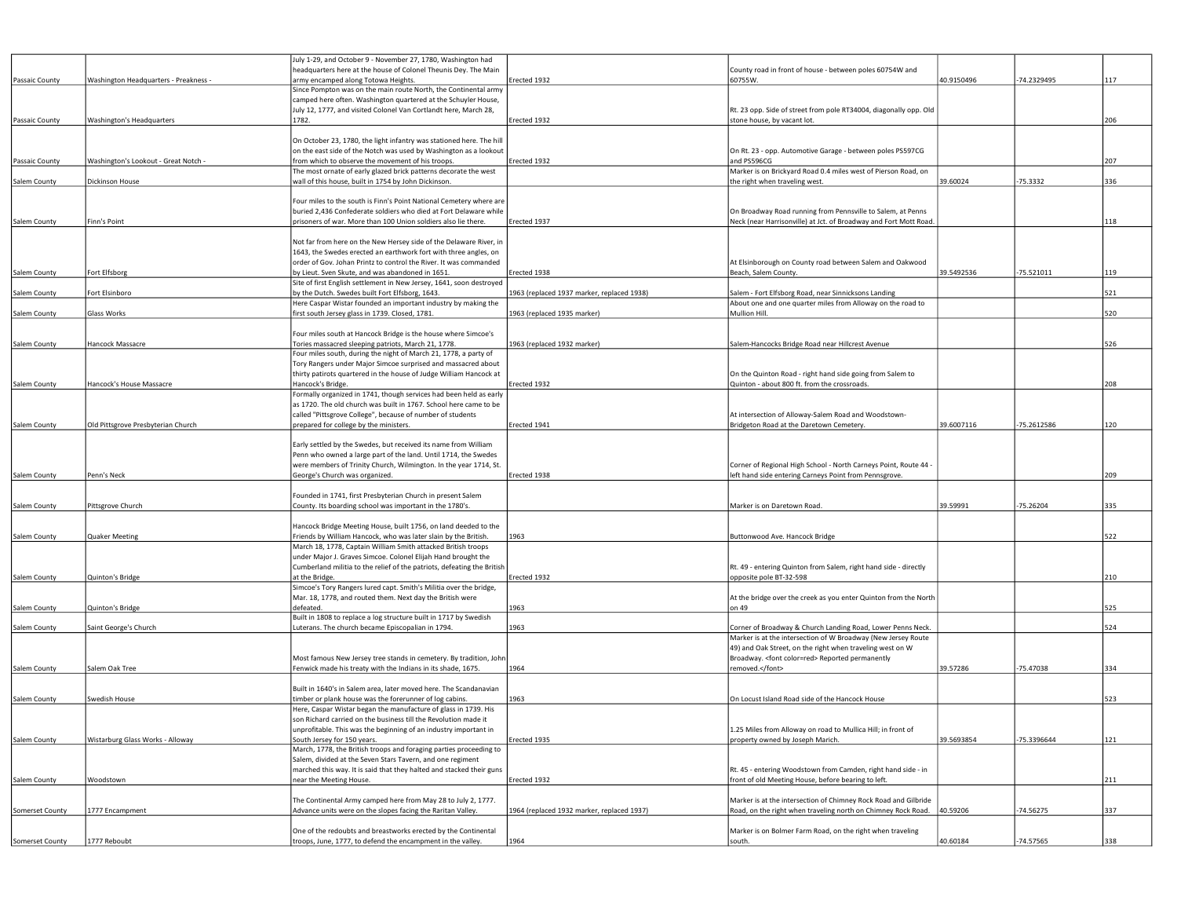|                 |                                       | July 1-29, and October 9 - November 27, 1780, Washington had                                                                  |                                            |                                                                      |            |             |     |
|-----------------|---------------------------------------|-------------------------------------------------------------------------------------------------------------------------------|--------------------------------------------|----------------------------------------------------------------------|------------|-------------|-----|
|                 |                                       | headquarters here at the house of Colonel Theunis Dey. The Main                                                               |                                            | County road in front of house - between poles 60754W and             |            |             |     |
| Passaic County  | Washington Headquarters - Preakness - | army encamped along Totowa Heights.                                                                                           | Erected 1932                               | 60755W.                                                              | 40.9150496 | 74.2329495  | 117 |
|                 |                                       | Since Pompton was on the main route North, the Continental army                                                               |                                            |                                                                      |            |             |     |
|                 |                                       | camped here often. Washington quartered at the Schuyler House,                                                                |                                            |                                                                      |            |             |     |
|                 |                                       | July 12, 1777, and visited Colonel Van Cortlandt here, March 28,                                                              |                                            | Rt. 23 opp. Side of street from pole RT34004, diagonally opp. Old    |            |             |     |
| Passaic County  | Washington's Headquarters             | 1782.                                                                                                                         | Erected 1932                               | stone house, by vacant lot.                                          |            |             | 206 |
|                 |                                       |                                                                                                                               |                                            |                                                                      |            |             |     |
|                 |                                       | On October 23, 1780, the light infantry was stationed here. The hill                                                          |                                            |                                                                      |            |             |     |
|                 |                                       | on the east side of the Notch was used by Washington as a lookout                                                             |                                            | On Rt. 23 - opp. Automotive Garage - between poles PS597CG           |            |             |     |
| Passaic County  | Washington's Lookout - Great Notch -  | from which to observe the movement of his troops.                                                                             | Erected 1932                               | and PS596CG                                                          |            |             | 207 |
|                 |                                       | The most ornate of early glazed brick patterns decorate the west                                                              |                                            | Marker is on Brickyard Road 0.4 miles west of Pierson Road, on       |            |             |     |
| Salem County    | Dickinson House                       | wall of this house, built in 1754 by John Dickinson.                                                                          |                                            | the right when traveling west.                                       | 39.60024   | 75.3332     | 336 |
|                 |                                       |                                                                                                                               |                                            |                                                                      |            |             |     |
|                 |                                       | Four miles to the south is Finn's Point National Cemetery where are                                                           |                                            |                                                                      |            |             |     |
|                 |                                       |                                                                                                                               |                                            | On Broadway Road running from Pennsville to Salem, at Penns          |            |             |     |
|                 |                                       | buried 2,436 Confederate soldiers who died at Fort Delaware while                                                             |                                            |                                                                      |            |             |     |
| Salem County    | Finn's Point                          | prisoners of war. More than 100 Union soldiers also lie there.                                                                | Erected 1937                               | Neck (near Harrisonville) at Jct. of Broadway and Fort Mott Road.    |            |             | 118 |
|                 |                                       |                                                                                                                               |                                            |                                                                      |            |             |     |
|                 |                                       | Not far from here on the New Hersey side of the Delaware River, in                                                            |                                            |                                                                      |            |             |     |
|                 |                                       | 1643, the Swedes erected an earthwork fort with three angles, on                                                              |                                            |                                                                      |            |             |     |
|                 |                                       | order of Gov. Johan Printz to control the River. It was commanded                                                             |                                            | At Elsinborough on County road between Salem and Oakwood             |            |             |     |
| Salem County    | Fort Elfsborg                         | by Lieut. Sven Skute, and was abandoned in 1651.                                                                              | Erected 1938                               | Beach, Salem County.                                                 | 39.5492536 | -75.521011  | 119 |
|                 |                                       | Site of first English settlement in New Jersey, 1641, soon destroyed                                                          |                                            |                                                                      |            |             |     |
| Salem County    | Fort Elsinboro                        | by the Dutch. Swedes built Fort Elfsborg, 1643.                                                                               | 1963 (replaced 1937 marker, replaced 1938) | Salem - Fort Elfsborg Road, near Sinnicksons Landing                 |            |             | 521 |
|                 |                                       | Here Caspar Wistar founded an important industry by making the                                                                |                                            | About one and one quarter miles from Alloway on the road to          |            |             |     |
| Salem County    | Glass Works                           | first south Jersey glass in 1739. Closed, 1781.                                                                               | 1963 (replaced 1935 marker)                | Mullion Hill.                                                        |            |             | 520 |
|                 |                                       |                                                                                                                               |                                            |                                                                      |            |             |     |
|                 |                                       | Four miles south at Hancock Bridge is the house where Simcoe's                                                                |                                            |                                                                      |            |             |     |
| Salem County    | Hancock Massacre                      | Tories massacred sleeping patriots, March 21, 1778.                                                                           | 1963 (replaced 1932 marker)                | Salem-Hancocks Bridge Road near Hillcrest Avenue                     |            |             | 526 |
|                 |                                       | Four miles south, during the night of March 21, 1778, a party of                                                              |                                            |                                                                      |            |             |     |
|                 |                                       | Tory Rangers under Major Simcoe surprised and massacred about                                                                 |                                            |                                                                      |            |             |     |
|                 |                                       | thirty patirots quartered in the house of Judge William Hancock at                                                            |                                            | On the Quinton Road - right hand side going from Salem to            |            |             |     |
| Salem County    | Hancock's House Massacre              | Hancock's Bridge.                                                                                                             | Erected 1932                               | Quinton - about 800 ft. from the crossroads.                         |            |             | 208 |
|                 |                                       | Formally organized in 1741, though services had been held as early                                                            |                                            |                                                                      |            |             |     |
|                 |                                       | as 1720. The old church was built in 1767. School here came to be                                                             |                                            |                                                                      |            |             |     |
|                 |                                       | called "Pittsgrove College", because of number of students                                                                    |                                            | At intersection of Alloway-Salem Road and Woodstown-                 |            |             |     |
| Salem County    | Old Pittsgrove Presbyterian Church    | prepared for college by the ministers.                                                                                        | Erected 1941                               | Bridgeton Road at the Daretown Cemetery.                             | 39.6007116 | -75.2612586 | 120 |
|                 |                                       |                                                                                                                               |                                            |                                                                      |            |             |     |
|                 |                                       | Early settled by the Swedes, but received its name from William                                                               |                                            |                                                                      |            |             |     |
|                 |                                       |                                                                                                                               |                                            |                                                                      |            |             |     |
|                 |                                       | Penn who owned a large part of the land. Until 1714, the Swedes                                                               |                                            |                                                                      |            |             |     |
|                 |                                       | were members of Trinity Church, Wilmington. In the year 1714, St.                                                             |                                            | Corner of Regional High School - North Carneys Point, Route 44 -     |            |             |     |
| Salem County    | Penn's Neck                           | George's Church was organized.                                                                                                | Erected 1938                               | left hand side entering Carneys Point from Pennsgrove.               |            |             | 209 |
|                 |                                       |                                                                                                                               |                                            |                                                                      |            |             |     |
|                 |                                       | Founded in 1741, first Presbyterian Church in present Salem                                                                   |                                            |                                                                      |            |             |     |
| Salem County    | Pittsgrove Church                     | County. Its boarding school was important in the 1780's.                                                                      |                                            | Marker is on Daretown Road.                                          | 39.59991   |             | 335 |
|                 |                                       |                                                                                                                               |                                            |                                                                      |            | 75.26204    |     |
|                 |                                       |                                                                                                                               |                                            |                                                                      |            |             |     |
|                 |                                       | Hancock Bridge Meeting House, built 1756, on land deeded to the                                                               |                                            |                                                                      |            |             |     |
| Salem County    | Quaker Meeting                        | Friends by William Hancock, who was later slain by the British.                                                               | 1963                                       | Buttonwood Ave. Hancock Bridge                                       |            |             | 522 |
|                 |                                       | March 18, 1778, Captain William Smith attacked British troops                                                                 |                                            |                                                                      |            |             |     |
|                 |                                       | under Major J. Graves Simcoe. Colonel Elijah Hand brought the                                                                 |                                            |                                                                      |            |             |     |
|                 |                                       | Cumberland militia to the relief of the patriots, defeating the British                                                       |                                            | Rt. 49 - entering Quinton from Salem, right hand side - directly     |            |             |     |
| Salem County    | Quinton's Bridge                      | at the Bridge.                                                                                                                | Erected 1932                               | opposite pole BT-32-598                                              |            |             | 210 |
|                 |                                       | Simcoe's Tory Rangers lured capt. Smith's Militia over the bridge,                                                            |                                            |                                                                      |            |             |     |
|                 |                                       | Mar. 18, 1778, and routed them. Next day the British were                                                                     |                                            | At the bridge over the creek as you enter Quinton from the North     |            |             |     |
| Salem County    | Quinton's Bridge                      | defeated.                                                                                                                     | 1963                                       | on 49                                                                |            |             | 525 |
|                 |                                       | Built in 1808 to replace a log structure built in 1717 by Swedish                                                             |                                            |                                                                      |            |             |     |
| Salem County    | Saint George's Church                 | uterans. The church became Episcopalian in 1794.                                                                              | 1963                                       | Corner of Broadway & Church Landing Road, Lower Penns Neck.          |            |             | 524 |
|                 |                                       |                                                                                                                               |                                            | Marker is at the intersection of W Broadway (New Jersey Route        |            |             |     |
|                 |                                       |                                                                                                                               |                                            | 49) and Oak Street, on the right when traveling west on W            |            |             |     |
|                 |                                       |                                                                                                                               |                                            |                                                                      |            |             |     |
|                 |                                       | Most famous New Jersey tree stands in cemetery. By tradition, John                                                            |                                            | Broadway. < font color=red> Reported permanently                     |            |             |     |
| Salem County    | Salem Oak Tree                        | enwick made his treaty with the Indians in its shade, 1675.                                                                   | 1964                                       |                                                                      | 39.57286   | $-75.47038$ | 334 |
|                 |                                       |                                                                                                                               |                                            |                                                                      |            |             |     |
|                 |                                       | Built in 1640's in Salem area, later moved here. The Scandanavian                                                             |                                            |                                                                      |            |             |     |
| Salem County    | Swedish House                         | timber or plank house was the forerunner of log cabins.                                                                       | 1963                                       | On Locust Island Road side of the Hancock House                      |            |             | 523 |
|                 |                                       | Here, Caspar Wistar began the manufacture of glass in 1739. His                                                               |                                            |                                                                      |            |             |     |
|                 |                                       | son Richard carried on the business till the Revolution made it                                                               |                                            |                                                                      |            |             |     |
|                 |                                       | unprofitable. This was the beginning of an industry important in                                                              |                                            | 1.25 Miles from Alloway on road to Mullica Hill; in front of         |            |             |     |
| Salem County    | Wistarburg Glass Works - Alloway      | South Jersey for 150 years.                                                                                                   | Erected 1935                               | property owned by Joseph Marich.                                     | 39.5693854 | -75.3396644 | 121 |
|                 |                                       | March, 1778, the British troops and foraging parties proceeding to                                                            |                                            |                                                                      |            |             |     |
|                 |                                       | Salem, divided at the Seven Stars Tavern, and one regiment                                                                    |                                            |                                                                      |            |             |     |
|                 |                                       | marched this way. It is said that they halted and stacked their guns                                                          |                                            | Rt. 45 - entering Woodstown from Camden, right hand side - in        |            |             |     |
| Salem County    | Woodstown                             | hear the Meeting House.                                                                                                       | Erected 1932                               | front of old Meeting House, before bearing to left.                  |            |             | 211 |
|                 |                                       |                                                                                                                               |                                            |                                                                      |            |             |     |
|                 |                                       | The Continental Army camped here from May 28 to July 2, 1777.                                                                 |                                            | Marker is at the intersection of Chimney Rock Road and Gilbride      |            |             |     |
| Somerset County | 1777 Encampment                       | Advance units were on the slopes facing the Raritan Valley.                                                                   | 1964 (replaced 1932 marker, replaced 1937) | Road, on the right when traveling north on Chimney Rock Road.        | 40.59206   | 74.56275    | 337 |
|                 |                                       |                                                                                                                               |                                            |                                                                      |            |             |     |
| Somerset County | 1777 Reboubt                          | One of the redoubts and breastworks erected by the Continental<br>troops, June, 1777, to defend the encampment in the valley. | 1964                                       | Marker is on Bolmer Farm Road, on the right when traveling<br>south. | 40.60184   | $-74.57565$ | 338 |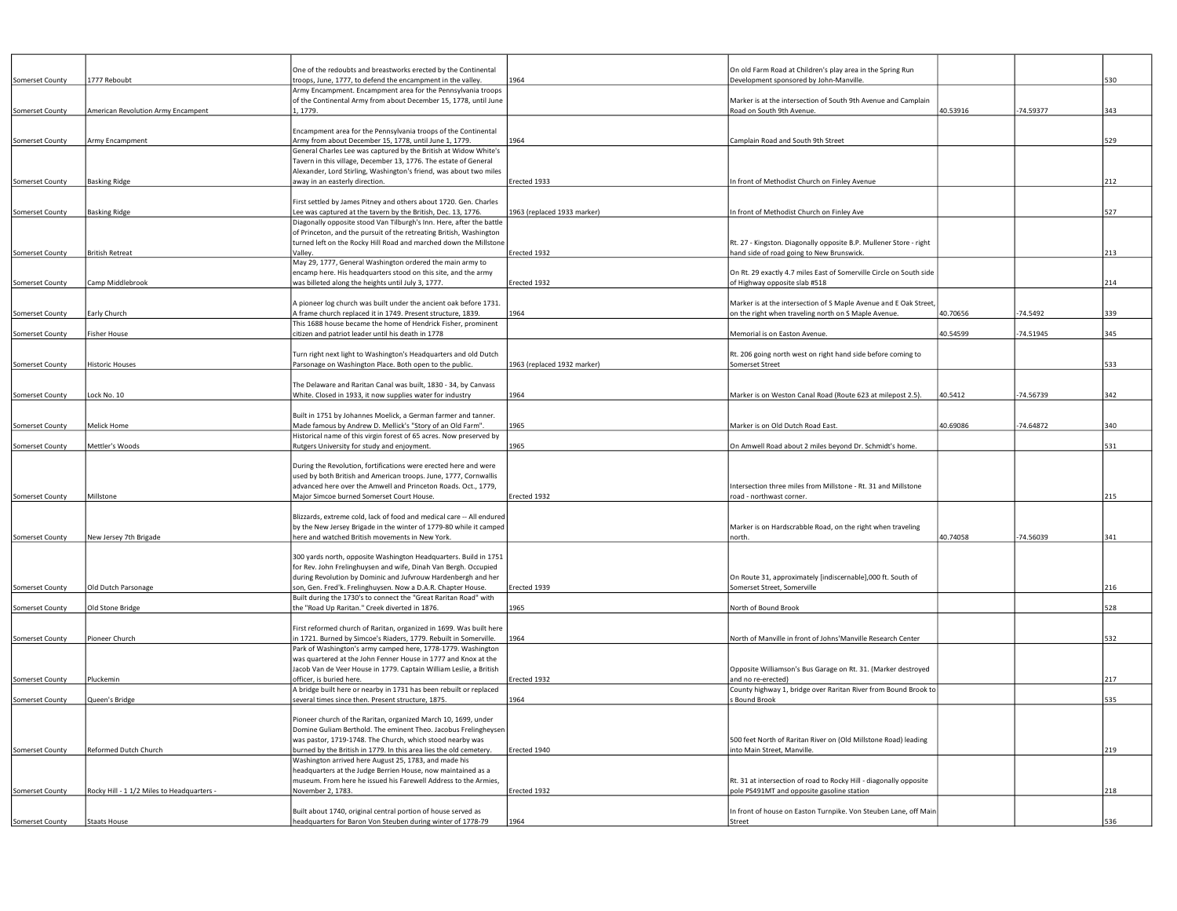|                 |                                            | One of the redoubts and breastworks erected by the Continental                                                              |                             | On old Farm Road at Children's play area in the Spring Run                                           |          |             |     |
|-----------------|--------------------------------------------|-----------------------------------------------------------------------------------------------------------------------------|-----------------------------|------------------------------------------------------------------------------------------------------|----------|-------------|-----|
| Somerset County | 1777 Reboubt                               | troops, June, 1777, to defend the encampment in the valley.<br>Army Encampment. Encampment area for the Pennsylvania troops | 1964                        | Development sponsored by John-Manville.                                                              |          |             | 530 |
|                 |                                            | of the Continental Army from about December 15, 1778, until June                                                            |                             | Marker is at the intersection of South 9th Avenue and Camplain                                       |          |             |     |
| Somerset County | American Revolution Army Encampent         | 1.1779                                                                                                                      |                             | Road on South 9th Avenue.                                                                            | 40.53916 | $-74.59377$ | 343 |
|                 |                                            |                                                                                                                             |                             |                                                                                                      |          |             |     |
|                 |                                            | Encampment area for the Pennsylvania troops of the Continental                                                              |                             |                                                                                                      |          |             |     |
| Somerset County | Army Encampment                            | Army from about December 15, 1778, until June 1, 1779.                                                                      | 1964                        | Camplain Road and South 9th Street                                                                   |          |             | 529 |
|                 |                                            | General Charles Lee was captured by the British at Widow White's                                                            |                             |                                                                                                      |          |             |     |
|                 |                                            | Tavern in this village, December 13, 1776. The estate of General                                                            |                             |                                                                                                      |          |             |     |
| Somerset County | <b>Basking Ridge</b>                       | Alexander, Lord Stirling, Washington's friend, was about two miles<br>away in an easterly direction.                        | Erected 1933                | In front of Methodist Church on Finley Avenue                                                        |          |             | 212 |
|                 |                                            |                                                                                                                             |                             |                                                                                                      |          |             |     |
|                 |                                            | First settled by James Pitney and others about 1720. Gen. Charles                                                           |                             |                                                                                                      |          |             |     |
| Somerset County | <b>Basking Ridge</b>                       | Lee was captured at the tavern by the British, Dec. 13, 1776.                                                               | 1963 (replaced 1933 marker) | 1 front of Methodist Church on Finley Ave                                                            |          |             | 527 |
|                 |                                            | Diagonally opposite stood Van Tilburgh's Inn. Here, after the battle                                                        |                             |                                                                                                      |          |             |     |
|                 |                                            | of Princeton, and the pursuit of the retreating British, Washington                                                         |                             |                                                                                                      |          |             |     |
|                 |                                            | turned left on the Rocky Hill Road and marched down the Millstone                                                           |                             | Rt. 27 - Kingston. Diagonally opposite B.P. Mullener Store - right                                   |          |             |     |
| Somerset County | <b>British Retreat</b>                     | Valley.                                                                                                                     | Erected 1932                | hand side of road going to New Brunswick.                                                            |          |             | 213 |
|                 |                                            | May 29, 1777, General Washington ordered the main army to                                                                   |                             |                                                                                                      |          |             |     |
| Somerset County | Camp Middlebrook                           | encamp here. His headquarters stood on this site, and the army<br>was billeted along the heights until July 3, 1777.        | Erected 1932                | On Rt. 29 exactly 4.7 miles East of Somerville Circle on South side<br>of Highway opposite slab #518 |          |             | 214 |
|                 |                                            |                                                                                                                             |                             |                                                                                                      |          |             |     |
|                 |                                            | A pioneer log church was built under the ancient oak before 1731.                                                           |                             | Marker is at the intersection of S Maple Avenue and E Oak Stree                                      |          |             |     |
| Somerset County | Early Church                               | A frame church replaced it in 1749. Present structure, 1839.                                                                | 1964                        | on the right when traveling north on S Maple Avenue.                                                 | 40.70656 | 74.5492     | 339 |
|                 |                                            | This 1688 house became the home of Hendrick Fisher, prominent                                                               |                             |                                                                                                      |          |             |     |
| Somerset County | Fisher House                               | citizen and patriot leader until his death in 1778                                                                          |                             | Memorial is on Easton Avenue.                                                                        | 40.54599 | 74.51945    | 345 |
|                 |                                            |                                                                                                                             |                             |                                                                                                      |          |             |     |
|                 |                                            | Turn right next light to Washington's Headquarters and old Dutch                                                            |                             | Rt. 206 going north west on right hand side before coming to                                         |          |             |     |
| Somerset County | <b>Historic Houses</b>                     | Parsonage on Washington Place. Both open to the public.                                                                     | 1963 (replaced 1932 marker) | Somerset Street                                                                                      |          |             | 533 |
|                 |                                            | The Delaware and Raritan Canal was built, 1830 - 34, by Canvass                                                             |                             |                                                                                                      |          |             |     |
| Somerset County | Lock No. 10                                | White. Closed in 1933, it now supplies water for industry                                                                   | 1964                        | Marker is on Weston Canal Road (Route 623 at milepost 2.5).                                          | 40.5412  | -74.56739   | 342 |
|                 |                                            |                                                                                                                             |                             |                                                                                                      |          |             |     |
|                 |                                            | Built in 1751 by Johannes Moelick, a German farmer and tanner.                                                              |                             |                                                                                                      |          |             |     |
| Somerset County | Melick Home                                | Made famous by Andrew D. Mellick's "Story of an Old Farm".                                                                  | 1965                        | Marker is on Old Dutch Road East.                                                                    | 40.69086 | $-74.64872$ | 340 |
|                 |                                            | Historical name of this virgin forest of 65 acres. Now preserved by                                                         |                             |                                                                                                      |          |             |     |
| Somerset County | Mettler's Woods                            | Rutgers University for study and enjoyment.                                                                                 | 1965                        | On Amwell Road about 2 miles beyond Dr. Schmidt's home.                                              |          |             | 531 |
|                 |                                            |                                                                                                                             |                             |                                                                                                      |          |             |     |
|                 |                                            | During the Revolution, fortifications were erected here and were                                                            |                             |                                                                                                      |          |             |     |
|                 |                                            | used by both British and American troops. June, 1777, Cornwallis                                                            |                             |                                                                                                      |          |             |     |
|                 | Millstone                                  | advanced here over the Amwell and Princeton Roads. Oct., 1779,<br>Major Simcoe burned Somerset Court House.                 | Erected 1932                | Intersection three miles from Millstone - Rt. 31 and Millstone                                       |          |             | 215 |
| Somerset County |                                            |                                                                                                                             |                             | road - northwast corner.                                                                             |          |             |     |
|                 |                                            | Blizzards, extreme cold, lack of food and medical care -- All endured                                                       |                             |                                                                                                      |          |             |     |
|                 |                                            | by the New Jersey Brigade in the winter of 1779-80 while it camped                                                          |                             | Marker is on Hardscrabble Road, on the right when traveling                                          |          |             |     |
| Somerset County | New Jersey 7th Brigade                     | here and watched British movements in New York.                                                                             |                             | north.                                                                                               | 40.74058 | -74.56039   | 341 |
|                 |                                            |                                                                                                                             |                             |                                                                                                      |          |             |     |
|                 |                                            | 300 yards north, opposite Washington Headquarters. Build in 1751                                                            |                             |                                                                                                      |          |             |     |
|                 |                                            | for Rev. John Frelinghuysen and wife, Dinah Van Bergh. Occupied                                                             |                             |                                                                                                      |          |             |     |
|                 |                                            | during Revolution by Dominic and Jufvrouw Hardenbergh and her                                                               |                             | On Route 31, approximately [indiscernable],000 ft. South of                                          |          |             |     |
| Somerset County | Old Dutch Parsonage                        | son, Gen. Fred'k. Frelinghuysen. Now a D.A.R. Chapter House.                                                                | Erected 1939                | Somerset Street, Somerville                                                                          |          |             | 216 |
|                 | Old Stone Bridge                           | Built during the 1730's to connect the "Great Raritan Road" with<br>the "Road Up Raritan." Creek diverted in 1876.          | 1965                        |                                                                                                      |          |             | 528 |
| Somerset County |                                            |                                                                                                                             |                             | North of Bound Brook                                                                                 |          |             |     |
|                 |                                            | First reformed church of Raritan, organized in 1699. Was built here                                                         |                             |                                                                                                      |          |             |     |
| Somerset County | Pioneer Church                             | in 1721. Burned by Simcoe's Riaders, 1779. Rebuilt in Somerville.                                                           | 1964                        | North of Manville in front of Johns'Manville Research Center                                         |          |             | 532 |
|                 |                                            | Park of Washington's army camped here, 1778-1779. Washington                                                                |                             |                                                                                                      |          |             |     |
|                 |                                            | was quartered at the John Fenner House in 1777 and Knox at the                                                              |                             |                                                                                                      |          |             |     |
|                 |                                            | Jacob Van de Veer House in 1779. Captain William Leslie, a British                                                          |                             | Opposite Williamson's Bus Garage on Rt. 31. (Marker destroyed                                        |          |             |     |
| Somerset County | Pluckemin                                  | officer, is buried here.                                                                                                    | Erected 1932                | and no re-erected)                                                                                   |          |             | 217 |
|                 |                                            | A bridge built here or nearby in 1731 has been rebuilt or replaced                                                          |                             | County highway 1, bridge over Raritan River from Bound Brook to                                      |          |             |     |
| Somerset County | Queen's Bridge                             | several times since then. Present structure, 1875.                                                                          | 1964                        | Bound Brook                                                                                          |          |             | 535 |
|                 |                                            | Pioneer church of the Raritan, organized March 10, 1699, under                                                              |                             |                                                                                                      |          |             |     |
|                 |                                            | Domine Guliam Berthold. The eminent Theo. Jacobus Frelingheysen                                                             |                             |                                                                                                      |          |             |     |
|                 |                                            | was pastor, 1719-1748. The Church, which stood nearby was                                                                   |                             | 500 feet North of Raritan River on (Old Millstone Road) leading                                      |          |             |     |
| Somerset County | Reformed Dutch Church                      | burned by the British in 1779. In this area lies the old cemetery.                                                          | Erected 1940                | into Main Street, Manville.                                                                          |          |             | 219 |
|                 |                                            | Washington arrived here August 25, 1783, and made his                                                                       |                             |                                                                                                      |          |             |     |
|                 |                                            | headquarters at the Judge Berrien House, now maintained as a                                                                |                             |                                                                                                      |          |             |     |
|                 |                                            | museum. From here he issued his Farewell Address to the Armies,                                                             |                             | Rt. 31 at intersection of road to Rocky Hill - diagonally opposite                                   |          |             |     |
| Somerset County | Rocky Hill - 1 1/2 Miles to Headquarters - | November 2, 1783.                                                                                                           | Erected 1932                | pole PS491MT and opposite gasoline station                                                           |          |             | 218 |
|                 |                                            | Built about 1740, original central portion of house served as                                                               |                             | In front of house on Easton Turnpike. Von Steuben Lane, off Main                                     |          |             |     |
| Somerset County | <b>Staats House</b>                        | headquarters for Baron Von Steuben during winter of 1778-79                                                                 | 1964                        | Street                                                                                               |          |             | 536 |
|                 |                                            |                                                                                                                             |                             |                                                                                                      |          |             |     |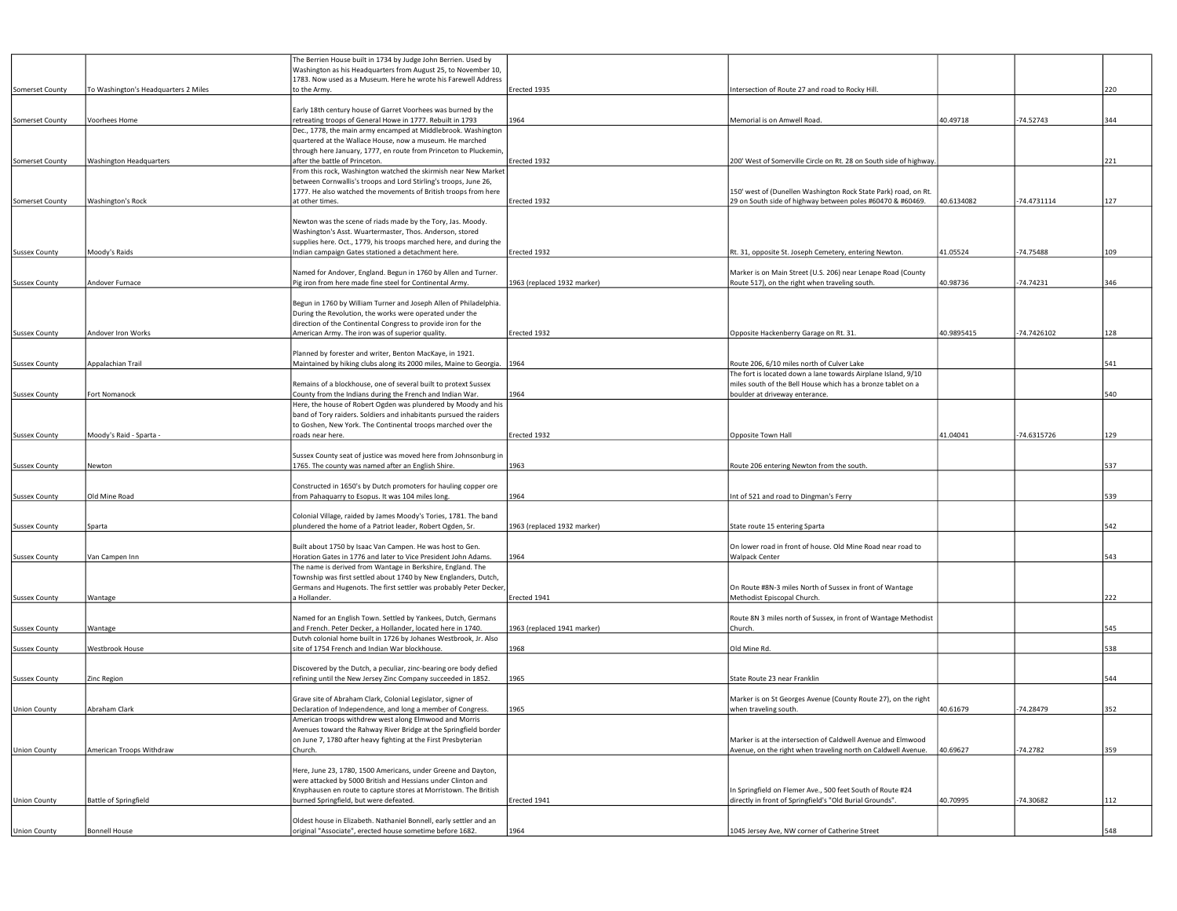|                      |                                      | The Berrien House built in 1734 by Judge John Berrien. Used by     |                             |                                                                    |            |               |     |
|----------------------|--------------------------------------|--------------------------------------------------------------------|-----------------------------|--------------------------------------------------------------------|------------|---------------|-----|
|                      |                                      | Washington as his Headquarters from August 25, to November 10,     |                             |                                                                    |            |               |     |
|                      |                                      |                                                                    |                             |                                                                    |            |               |     |
|                      |                                      | 1783. Now used as a Museum. Here he wrote his Farewell Address     |                             |                                                                    |            |               |     |
| Somerset County      | To Washington's Headquarters 2 Miles | to the Army.                                                       | Erected 1935                | Intersection of Route 27 and road to Rocky Hill.                   |            |               | 220 |
|                      |                                      |                                                                    |                             |                                                                    |            |               |     |
|                      |                                      | Early 18th century house of Garret Voorhees was burned by the      |                             |                                                                    |            |               |     |
| Somerset County      | Voorhees Home                        | retreating troops of General Howe in 1777. Rebuilt in 1793         | 1964                        | Memorial is on Amwell Road.                                        | 40.49718   | $-74.52743$   | 344 |
|                      |                                      | Dec., 1778, the main army encamped at Middlebrook. Washington      |                             |                                                                    |            |               |     |
|                      |                                      | quartered at the Wallace House, now a museum. He marched           |                             |                                                                    |            |               |     |
|                      |                                      | through here January, 1777, en route from Princeton to Pluckemin,  |                             |                                                                    |            |               |     |
|                      |                                      |                                                                    |                             |                                                                    |            |               |     |
| Somerset County      | <b>Washington Headquarters</b>       | after the battle of Princeton.                                     | Erected 1932                | 200' West of Somerville Circle on Rt. 28 on South side of highway. |            |               | 221 |
|                      |                                      | From this rock, Washington watched the skirmish near New Market    |                             |                                                                    |            |               |     |
|                      |                                      | between Cornwallis's troops and Lord Stirling's troops, June 26,   |                             |                                                                    |            |               |     |
|                      |                                      | 1777. He also watched the movements of British troops from here    |                             | 150' west of (Dunellen Washington Rock State Park) road, on Rt.    |            |               |     |
| Somerset County      | Washington's Rock                    | at other times.                                                    | Erected 1932                | 29 on South side of highway between poles #60470 & #60469.         | 40.6134082 | $-74.4731114$ | 127 |
|                      |                                      |                                                                    |                             |                                                                    |            |               |     |
|                      |                                      |                                                                    |                             |                                                                    |            |               |     |
|                      |                                      | Newton was the scene of riads made by the Tory, Jas. Moody.        |                             |                                                                    |            |               |     |
|                      |                                      | Washington's Asst. Wuartermaster, Thos. Anderson, stored           |                             |                                                                    |            |               |     |
|                      |                                      | supplies here. Oct., 1779, his troops marched here, and during the |                             |                                                                    |            |               |     |
| <b>Sussex County</b> | Moody's Raids                        | Indian campaign Gates stationed a detachment here.                 | Erected 1932                | Rt. 31, opposite St. Joseph Cemetery, entering Newton.             | 41.05524   | 74.75488      | 109 |
|                      |                                      |                                                                    |                             |                                                                    |            |               |     |
|                      |                                      |                                                                    |                             |                                                                    |            |               |     |
|                      |                                      | Named for Andover, England. Begun in 1760 by Allen and Turner.     |                             | Marker is on Main Street (U.S. 206) near Lenape Road (County       |            |               |     |
| <b>Sussex County</b> | Andover Furnace                      | Pig iron from here made fine steel for Continental Army.           | 1963 (replaced 1932 marker) | Route 517), on the right when traveling south.                     | 40.98736   | $-74.74231$   | 346 |
|                      |                                      |                                                                    |                             |                                                                    |            |               |     |
|                      |                                      | Begun in 1760 by William Turner and Joseph Allen of Philadelphia.  |                             |                                                                    |            |               |     |
|                      |                                      |                                                                    |                             |                                                                    |            |               |     |
|                      |                                      | During the Revolution, the works were operated under the           |                             |                                                                    |            |               |     |
|                      |                                      | direction of the Continental Congress to provide iron for the      |                             |                                                                    |            |               |     |
| <b>Sussex County</b> | Andover Iron Works                   | American Army. The iron was of superior quality.                   | Erected 1932                | Opposite Hackenberry Garage on Rt. 31.                             | 40.9895415 | $-74.7426102$ | 128 |
|                      |                                      |                                                                    |                             |                                                                    |            |               |     |
|                      |                                      | Planned by forester and writer, Benton MacKaye, in 1921.           |                             |                                                                    |            |               |     |
| <b>Sussex County</b> | Appalachian Trail                    | Maintained by hiking clubs along its 2000 miles, Maine to Georgia. | 1964                        | Route 206, 6/10 miles north of Culver Lake                         |            |               | 541 |
|                      |                                      |                                                                    |                             |                                                                    |            |               |     |
|                      |                                      |                                                                    |                             | The fort is located down a lane towards Airplane Island, 9/10      |            |               |     |
|                      |                                      | Remains of a blockhouse, one of several built to protext Sussex    |                             | miles south of the Bell House which has a bronze tablet on a       |            |               |     |
| <b>Sussex County</b> | Fort Nomanock                        | County from the Indians during the French and Indian War.          | 1964                        | boulder at driveway enterance.                                     |            |               | 540 |
|                      |                                      | Here, the house of Robert Ogden was plundered by Moody and his     |                             |                                                                    |            |               |     |
|                      |                                      | band of Tory raiders. Soldiers and inhabitants pursued the raiders |                             |                                                                    |            |               |     |
|                      |                                      |                                                                    |                             |                                                                    |            |               |     |
|                      |                                      | to Goshen, New York. The Continental troops marched over the       |                             |                                                                    |            |               |     |
| <b>Sussex County</b> | Moody's Raid - Sparta -              | roads near here.                                                   | Erected 1932                | Opposite Town Hall                                                 | 41.04041   | 74.6315726    | 129 |
|                      |                                      |                                                                    |                             |                                                                    |            |               |     |
|                      |                                      | Sussex County seat of justice was moved here from Johnsonburg in   |                             |                                                                    |            |               |     |
| <b>Sussex County</b> | Newton                               | 1765. The county was named after an English Shire.                 | 1963                        | Route 206 entering Newton from the south.                          |            |               | 537 |
|                      |                                      |                                                                    |                             |                                                                    |            |               |     |
|                      |                                      |                                                                    |                             |                                                                    |            |               |     |
|                      |                                      | Constructed in 1650's by Dutch promoters for hauling copper ore    |                             |                                                                    |            |               |     |
| <b>Sussex County</b> | Old Mine Road                        | from Pahaquarry to Esopus. It was 104 miles long.                  | 1964                        | Int of 521 and road to Dingman's Ferry                             |            |               | 539 |
|                      |                                      |                                                                    |                             |                                                                    |            |               |     |
|                      |                                      | Colonial Village, raided by James Moody's Tories, 1781. The band   |                             |                                                                    |            |               |     |
|                      |                                      |                                                                    |                             |                                                                    |            |               |     |
| <b>Sussex County</b> | Sparta                               | plundered the home of a Patriot leader, Robert Ogden, Sr.          | 1963 (replaced 1932 marker) | State route 15 entering Sparta                                     |            |               | 542 |
|                      |                                      |                                                                    |                             |                                                                    |            |               |     |
|                      |                                      | Built about 1750 by Isaac Van Campen. He was host to Gen.          |                             | On lower road in front of house. Old Mine Road near road to        |            |               |     |
| <b>Sussex County</b> | Van Campen Inn                       | Horation Gates in 1776 and later to Vice President John Adams.     | 1964                        | <b>Walpack Center</b>                                              |            |               | 543 |
|                      |                                      | The name is derived from Wantage in Berkshire, England. The        |                             |                                                                    |            |               |     |
|                      |                                      |                                                                    |                             |                                                                    |            |               |     |
|                      |                                      | Township was first settled about 1740 by New Englanders, Dutch,    |                             |                                                                    |            |               |     |
|                      |                                      | Germans and Hugenots. The first settler was probably Peter Decker  |                             | On Route #8N-3 miles North of Sussex in front of Wantage           |            |               |     |
| <b>Sussex County</b> | Wantage                              | a Hollander.                                                       | Erected 1941                | Methodist Episcopal Church.                                        |            |               | 222 |
|                      |                                      |                                                                    |                             |                                                                    |            |               |     |
|                      |                                      | Named for an English Town. Settled by Yankees, Dutch, Germans      |                             | Route 8N 3 miles north of Sussex, in front of Wantage Methodist    |            |               |     |
| <b>Sussex County</b> |                                      | and French. Peter Decker, a Hollander, located here in 1740.       | 1963 (replaced 1941 marker) | Church.                                                            |            |               | 545 |
|                      | Wantage                              |                                                                    |                             |                                                                    |            |               |     |
|                      |                                      | Dutvh colonial home built in 1726 by Johanes Westbrook, Jr. Also   |                             |                                                                    |            |               |     |
| <b>Sussex County</b> | Westbrook House                      | site of 1754 French and Indian War blockhouse.                     | 1968                        | Old Mine Rd.                                                       |            |               | 538 |
|                      |                                      |                                                                    |                             |                                                                    |            |               |     |
|                      |                                      | Discovered by the Dutch, a peculiar, zinc-bearing ore body defied  |                             |                                                                    |            |               |     |
| <b>Sussex County</b> | Zinc Region                          | refining until the New Jersey Zinc Company succeeded in 1852.      | 1965                        | State Route 23 near Franklin                                       |            |               | 544 |
|                      |                                      |                                                                    |                             |                                                                    |            |               |     |
|                      |                                      |                                                                    |                             |                                                                    |            |               |     |
|                      |                                      | Grave site of Abraham Clark, Colonial Legislator, signer of        |                             | Marker is on St Georges Avenue (County Route 27), on the right     |            |               |     |
| <b>Union County</b>  | Abraham Clark                        | Declaration of Independence, and long a member of Congress.        | 1965                        | when traveling south.                                              | 40.61679   | -74.28479     | 352 |
|                      |                                      | American troops withdrew west along Elmwood and Morris             |                             |                                                                    |            |               |     |
|                      |                                      | Avenues toward the Rahway River Bridge at the Springfield border   |                             |                                                                    |            |               |     |
|                      |                                      | on June 7, 1780 after heavy fighting at the First Presbyterian     |                             | Marker is at the intersection of Caldwell Avenue and Elmwood       |            |               |     |
|                      |                                      |                                                                    |                             |                                                                    |            |               |     |
| <b>Union County</b>  | American Troops Withdraw             | Church.                                                            |                             | Avenue, on the right when traveling north on Caldwell Avenue.      | 40.69627   | $-74.2782$    | 359 |
|                      |                                      |                                                                    |                             |                                                                    |            |               |     |
|                      |                                      | Here, June 23, 1780, 1500 Americans, under Greene and Dayton,      |                             |                                                                    |            |               |     |
|                      |                                      | were attacked by 5000 British and Hessians under Clinton and       |                             |                                                                    |            |               |     |
|                      |                                      | Knyphausen en route to capture stores at Morristown. The British   |                             | In Springfield on Flemer Ave., 500 feet South of Route #24         |            |               |     |
|                      |                                      |                                                                    |                             |                                                                    |            |               |     |
| <b>Union County</b>  | Battle of Springfield                | burned Springfield, but were defeated.                             | Erected 1941                | directly in front of Springfield's "Old Burial Grounds".           | 40.70995   | $-74.30682$   | 112 |
|                      |                                      |                                                                    |                             |                                                                    |            |               |     |
|                      |                                      | Oldest house in Elizabeth. Nathaniel Bonnell, early settler and an |                             |                                                                    |            |               |     |
| <b>Union County</b>  | <b>Bonnell House</b>                 | original "Associate", erected house sometime before 1682.          | 1964                        | 1045 Jersey Ave, NW corner of Catherine Street                     |            |               | 548 |
|                      |                                      |                                                                    |                             |                                                                    |            |               |     |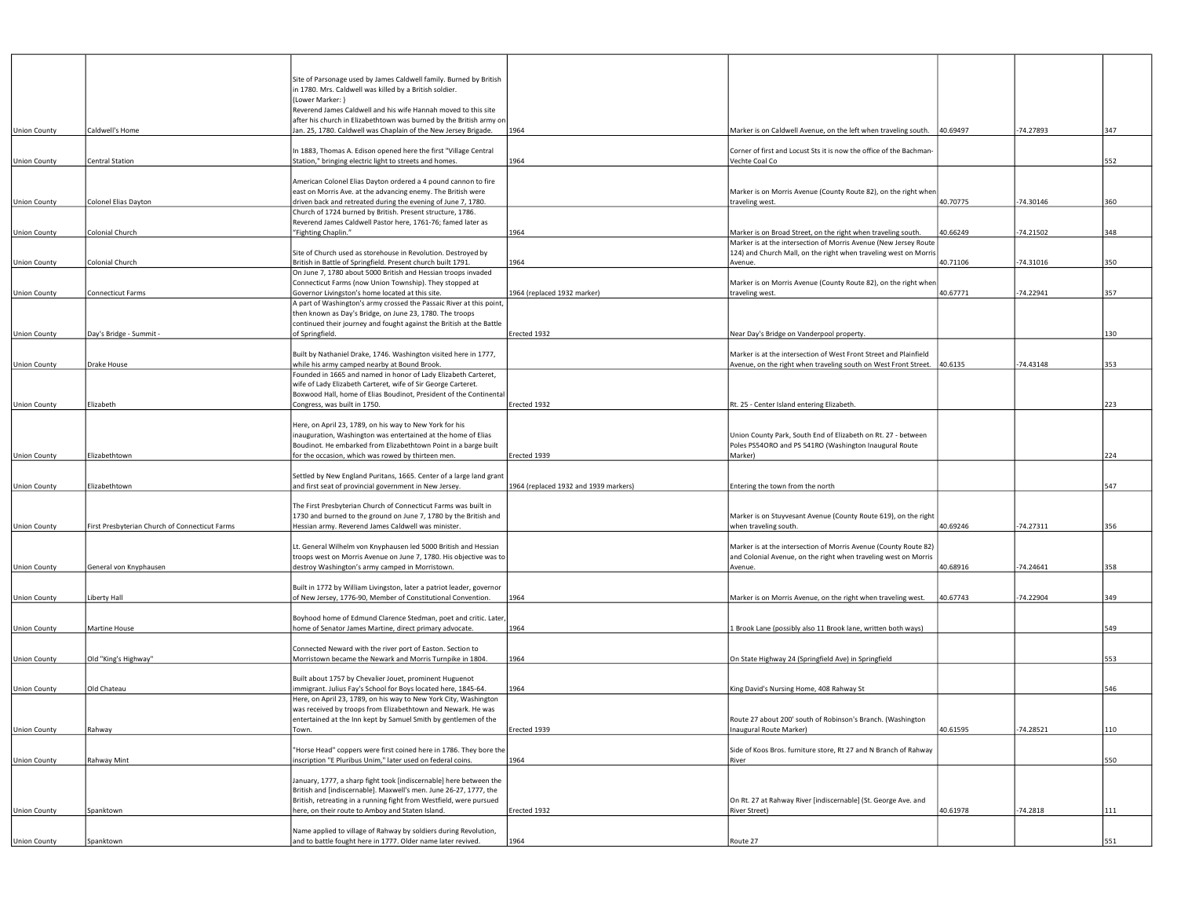|                     |                                                | Site of Parsonage used by James Caldwell family. Burned by British<br>in 1780. Mrs. Caldwell was killed by a British soldier.       |                                       |                                                                                                                                   |          |             |     |
|---------------------|------------------------------------------------|-------------------------------------------------------------------------------------------------------------------------------------|---------------------------------------|-----------------------------------------------------------------------------------------------------------------------------------|----------|-------------|-----|
|                     |                                                | (Lower Marker:)                                                                                                                     |                                       |                                                                                                                                   |          |             |     |
|                     |                                                | Reverend James Caldwell and his wife Hannah moved to this site                                                                      |                                       |                                                                                                                                   |          |             |     |
|                     |                                                | after his church in Elizabethtown was burned by the British army on                                                                 |                                       |                                                                                                                                   |          |             |     |
| <b>Union County</b> | Caldwell's Home                                | Jan. 25, 1780. Caldwell was Chaplain of the New Jersey Brigade.                                                                     | 1964                                  | Marker is on Caldwell Avenue, on the left when traveling south.                                                                   | 40.69497 | $-74.27893$ | 347 |
|                     |                                                | In 1883, Thomas A. Edison opened here the first "Village Central                                                                    |                                       | Corner of first and Locust Sts it is now the office of the Bachman-                                                               |          |             |     |
| <b>Union County</b> | Central Station                                | Station," bringing electric light to streets and homes.                                                                             | 1964                                  | Vechte Coal Co                                                                                                                    |          |             | 552 |
|                     |                                                |                                                                                                                                     |                                       |                                                                                                                                   |          |             |     |
|                     |                                                | American Colonel Elias Dayton ordered a 4 pound cannon to fire<br>east on Morris Ave. at the advancing enemy. The British were      |                                       | Marker is on Morris Avenue (County Route 82), on the right when                                                                   |          |             |     |
| <b>Union County</b> | Colonel Elias Dayton                           | driven back and retreated during the evening of June 7, 1780.                                                                       |                                       | traveling west.                                                                                                                   | 40.70775 | -74.30146   | 360 |
|                     |                                                | Church of 1724 burned by British. Present structure, 1786.                                                                          |                                       |                                                                                                                                   |          |             |     |
|                     |                                                | Reverend James Caldwell Pastor here, 1761-76; famed later as                                                                        |                                       |                                                                                                                                   |          |             |     |
| <b>Union County</b> | Colonial Church                                | "Fighting Chaplin."                                                                                                                 | 1964                                  | Marker is on Broad Street, on the right when traveling south.<br>Marker is at the intersection of Morris Avenue (New Jersey Route | 40.66249 | $-74.21502$ | 348 |
|                     |                                                | Site of Church used as storehouse in Revolution. Destroyed by                                                                       |                                       | 124) and Church Mall, on the right when traveling west on Morris                                                                  |          |             |     |
| <b>Union County</b> | Colonial Church                                | British in Battle of Springfield. Present church built 1791.                                                                        | 1964                                  | Avenue.                                                                                                                           | 40.71106 | $-74.31016$ | 350 |
|                     |                                                | On June 7, 1780 about 5000 British and Hessian troops invaded                                                                       |                                       |                                                                                                                                   |          |             |     |
|                     |                                                | Connecticut Farms (now Union Township). They stopped at                                                                             |                                       | Marker is on Morris Avenue (County Route 82), on the right when                                                                   |          |             |     |
| <b>Union County</b> | Connecticut Farms                              | Governor Livingston's home located at this site.<br>A part of Washington's army crossed the Passaic River at this point,            | 1964 (replaced 1932 marker)           | traveling west.                                                                                                                   | 40.67771 | 74.22941    | 357 |
|                     |                                                | then known as Day's Bridge, on June 23, 1780. The troops                                                                            |                                       |                                                                                                                                   |          |             |     |
|                     |                                                | continued their journey and fought against the British at the Battle                                                                |                                       |                                                                                                                                   |          |             |     |
| <b>Union County</b> | Day's Bridge - Summit -                        | of Springfield.                                                                                                                     | Erected 1932                          | Near Day's Bridge on Vanderpool property.                                                                                         |          |             | 130 |
|                     |                                                | Built by Nathaniel Drake, 1746. Washington visited here in 1777,                                                                    |                                       | Marker is at the intersection of West Front Street and Plainfield                                                                 |          |             |     |
| <b>Union County</b> | Drake House                                    | while his army camped nearby at Bound Brook.                                                                                        |                                       | Avenue, on the right when traveling south on West Front Street. 40.6135                                                           |          | $-74.43148$ | 353 |
|                     |                                                | Founded in 1665 and named in honor of Lady Elizabeth Carteret,                                                                      |                                       |                                                                                                                                   |          |             |     |
|                     |                                                | wife of Lady Elizabeth Carteret, wife of Sir George Carteret.                                                                       |                                       |                                                                                                                                   |          |             |     |
|                     | Elizabeth                                      | Boxwood Hall, home of Elias Boudinot, President of the Continental                                                                  |                                       |                                                                                                                                   |          |             | 223 |
| <b>Union County</b> |                                                | Congress, was built in 1750.                                                                                                        | Erected 1932                          | Rt. 25 - Center Island entering Elizabeth.                                                                                        |          |             |     |
|                     |                                                | Here, on April 23, 1789, on his way to New York for his                                                                             |                                       |                                                                                                                                   |          |             |     |
|                     |                                                | inauguration, Washington was entertained at the home of Elias                                                                       |                                       | Union County Park, South End of Elizabeth on Rt. 27 - between                                                                     |          |             |     |
|                     |                                                | Boudinot. He embarked from Elizabethtown Point in a barge built                                                                     |                                       | Poles PS54ORO and PS 541RO (Washington Inaugural Route                                                                            |          |             |     |
| <b>Union County</b> | Elizabethtown                                  | for the occasion, which was rowed by thirteen men.                                                                                  | Erected 1939                          | Marker)                                                                                                                           |          |             | 224 |
|                     |                                                | Settled by New England Puritans, 1665. Center of a large land grant                                                                 |                                       |                                                                                                                                   |          |             |     |
| <b>Union County</b> | Elizabethtown                                  | and first seat of provincial government in New Jersey.                                                                              | 1964 (replaced 1932 and 1939 markers) | Entering the town from the north                                                                                                  |          |             | 547 |
|                     |                                                |                                                                                                                                     |                                       |                                                                                                                                   |          |             |     |
|                     |                                                | The First Presbyterian Church of Connecticut Farms was built in<br>1730 and burned to the ground on June 7, 1780 by the British and |                                       | Marker is on Stuyvesant Avenue (County Route 619), on the right                                                                   |          |             |     |
| <b>Union County</b> | First Presbyterian Church of Connecticut Farms | Hessian army. Reverend James Caldwell was minister.                                                                                 |                                       | when traveling south.                                                                                                             | 40.69246 | $-74.27311$ | 356 |
|                     |                                                |                                                                                                                                     |                                       |                                                                                                                                   |          |             |     |
|                     |                                                | Lt. General Wilhelm von Knyphausen led 5000 British and Hessian                                                                     |                                       | Marker is at the intersection of Morris Avenue (County Route 82)                                                                  |          |             |     |
| <b>Union County</b> | General von Knyphausen                         | troops west on Morris Avenue on June 7, 1780. His objective was to<br>destroy Washington's army camped in Morristown.               |                                       | and Colonial Avenue, on the right when traveling west on Morris<br>Avenue.                                                        | 40.68916 | $-74.24641$ | 358 |
|                     |                                                |                                                                                                                                     |                                       |                                                                                                                                   |          |             |     |
|                     |                                                | Built in 1772 by William Livingston, later a patriot leader, governor                                                               |                                       |                                                                                                                                   |          |             |     |
| <b>Union County</b> | Liberty Hall                                   | of New Jersey, 1776-90, Member of Constitutional Convention.                                                                        | 1964                                  | Marker is on Morris Avenue, on the right when traveling west.                                                                     | 40.67743 | $-74.22904$ | 349 |
|                     |                                                |                                                                                                                                     |                                       |                                                                                                                                   |          |             |     |
| <b>Union County</b> | Martine House                                  | Boyhood home of Edmund Clarence Stedman, poet and critic. Later<br>home of Senator James Martine, direct primary advocate.          | 1964                                  | L Brook Lane (possibly also 11 Brook lane, written both ways)                                                                     |          |             | 549 |
|                     |                                                |                                                                                                                                     |                                       |                                                                                                                                   |          |             |     |
|                     |                                                | Connected Neward with the river port of Easton. Section to                                                                          |                                       |                                                                                                                                   |          |             |     |
| <b>Union County</b> | Old "King's Highway"                           | Morristown became the Newark and Morris Turnpike in 1804.                                                                           | 1964                                  | On State Highway 24 (Springfield Ave) in Springfield                                                                              |          |             | 553 |
|                     |                                                | Built about 1757 by Chevalier Jouet, prominent Huguenot                                                                             |                                       |                                                                                                                                   |          |             |     |
| <b>Union County</b> | Old Chateau                                    | immigrant. Julius Fay's School for Boys located here, 1845-64.                                                                      | 1964                                  | King David's Nursing Home, 408 Rahway St                                                                                          |          |             | 546 |
|                     |                                                | Here, on April 23, 1789, on his way to New York City, Washington                                                                    |                                       |                                                                                                                                   |          |             |     |
|                     |                                                | was received by troops from Elizabethtown and Newark. He was                                                                        |                                       |                                                                                                                                   |          |             |     |
| <b>Union County</b> | Rahway                                         | entertained at the Inn kept by Samuel Smith by gentlemen of the<br>Town.                                                            | Erected 1939                          | Route 27 about 200' south of Robinson's Branch, (Washington)<br>Inaugural Route Marker)                                           | 40.61595 | $-74.28521$ | 110 |
|                     |                                                |                                                                                                                                     |                                       |                                                                                                                                   |          |             |     |
|                     |                                                | "Horse Head" coppers were first coined here in 1786. They bore the                                                                  |                                       | Side of Koos Bros. furniture store, Rt 27 and N Branch of Rahway                                                                  |          |             |     |
| <b>Union County</b> | Rahway Mint                                    | inscription "E Pluribus Unim," later used on federal coins.                                                                         | 1964                                  | River                                                                                                                             |          |             | 550 |
|                     |                                                | January, 1777, a sharp fight took [indiscernable] here between the                                                                  |                                       |                                                                                                                                   |          |             |     |
|                     |                                                | British and [indiscernable]. Maxwell's men. June 26-27, 1777, the                                                                   |                                       |                                                                                                                                   |          |             |     |
|                     |                                                | British, retreating in a running fight from Westfield, were pursued                                                                 |                                       | On Rt. 27 at Rahway River [indiscernable] (St. George Ave. and                                                                    |          |             |     |
| <b>Union County</b> | Spanktown                                      | here, on their route to Amboy and Staten Island.                                                                                    | Erected 1932                          | River Street)                                                                                                                     | 40.61978 | 74.2818     | 111 |
|                     |                                                |                                                                                                                                     |                                       |                                                                                                                                   |          |             |     |
| <b>Union County</b> | Spanktown                                      | Name applied to village of Rahway by soldiers during Revolution,<br>and to battle fought here in 1777. Older name later revived.    | 1964                                  | Route 27                                                                                                                          |          |             | 551 |
|                     |                                                |                                                                                                                                     |                                       |                                                                                                                                   |          |             |     |